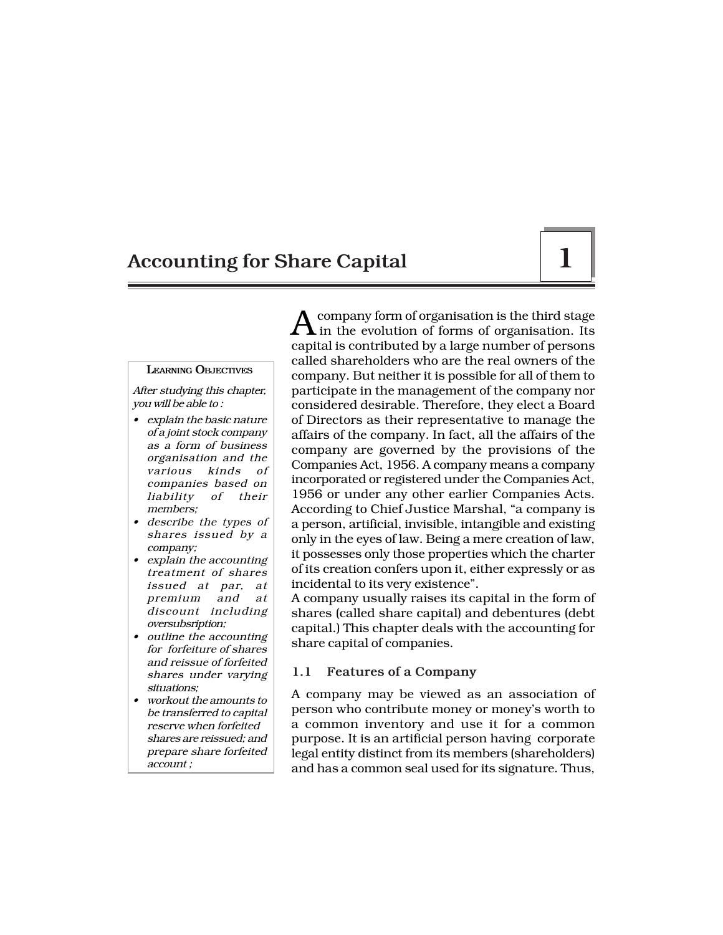# **Accounting for Share Capital 1**

# **LEARNING OBJECTIVES**

*After studying this chapter, you will be able to :*

- *• explain the basic nature of a joint stock company as a form of business organisation and the various kinds of companies based on liability of their members;*
- *• describe the types of shares issued by a company;*
- *• explain the accounting treatment of shares issued at par, at premium and at discount including oversubsription;*
- *• outline the accounting for forfeiture of shares and reissue of forfeited shares under varying situations;*
- *• workout the amounts to be transferred to capital reserve when forfeited shares are reissued; and prepare share forfeited account ;*

 $\displaystyle\bigwedge$  company form of organisation is the third stage<br>capital is contributed by a large number of persons company form of organisation is the third stage in the evolution of forms of organisation. Its called shareholders who are the real owners of the company. But neither it is possible for all of them to participate in the management of the company nor considered desirable. Therefore, they elect a Board of Directors as their representative to manage the affairs of the company. In fact, all the affairs of the company are governed by the provisions of the Companies Act, 1956. A company means a company incorporated or registered under the Companies Act, 1956 or under any other earlier Companies Acts. According to Chief Justice Marshal, "a company is a person, artificial, invisible, intangible and existing only in the eyes of law. Being a mere creation of law, it possesses only those properties which the charter of its creation confers upon it, either expressly or as incidental to its very existence".

A company usually raises its capital in the form of shares (called share capital) and debentures (debt capital.) This chapter deals with the accounting for share capital of companies.

### **1.1 Features of a Company**

A company may be viewed as an association of person who contribute money or money's worth to a common inventory and use it for a common purpose. It is an artificial person having corporate legal entity distinct from its members (shareholders) and has a common seal used for its signature. Thus,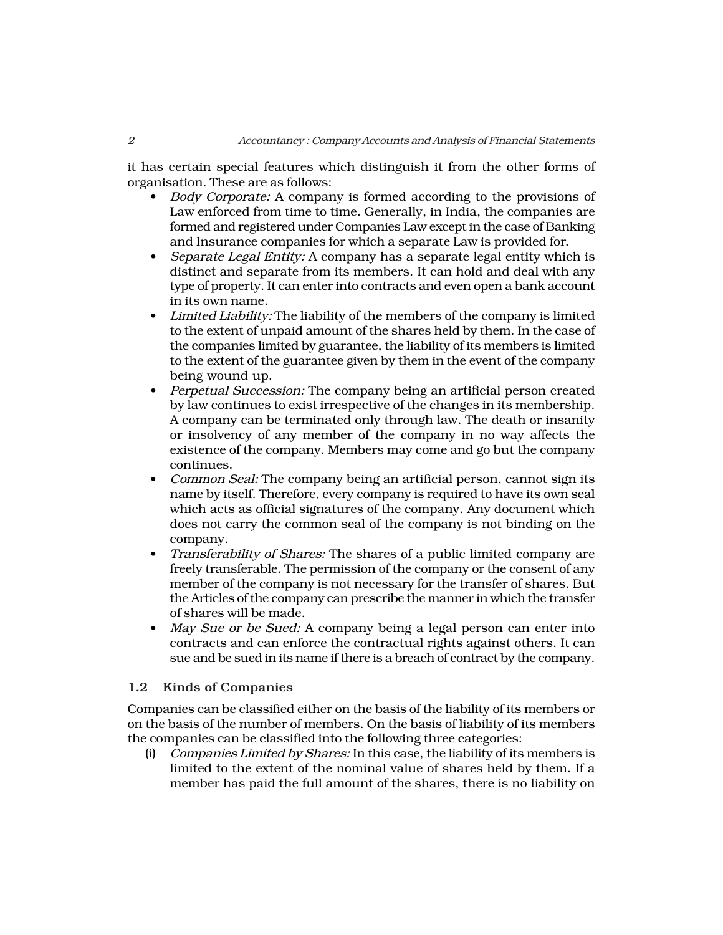it has certain special features which distinguish it from the other forms of organisation. These are as follows:

- *Body Corporate:* A company is formed according to the provisions of Law enforced from time to time. Generally, in India, the companies are formed and registered under Companies Law except in the case of Banking and Insurance companies for which a separate Law is provided for.
- *Separate Legal Entity:* A company has a separate legal entity which is distinct and separate from its members. It can hold and deal with any type of property. It can enter into contracts and even open a bank account in its own name.
- *Limited Liability:* The liability of the members of the company is limited to the extent of unpaid amount of the shares held by them. In the case of the companies limited by guarantee, the liability of its members is limited to the extent of the guarantee given by them in the event of the company being wound up.
- *Perpetual Succession:* The company being an artificial person created by law continues to exist irrespective of the changes in its membership. A company can be terminated only through law. The death or insanity or insolvency of any member of the company in no way affects the existence of the company. Members may come and go but the company continues.
- *Common Seal:* The company being an artificial person, cannot sign its name by itself. Therefore, every company is required to have its own seal which acts as official signatures of the company. Any document which does not carry the common seal of the company is not binding on the company.
- *Transferability of Shares:* The shares of a public limited company are freely transferable. The permission of the company or the consent of any member of the company is not necessary for the transfer of shares. But the Articles of the company can prescribe the manner in which the transfer of shares will be made.
- *May Sue or be Sued:* A company being a legal person can enter into contracts and can enforce the contractual rights against others. It can sue and be sued in its name if there is a breach of contract by the company.

# **1.2 Kinds of Companies**

Companies can be classified either on the basis of the liability of its members or on the basis of the number of members. On the basis of liability of its members the companies can be classified into the following three categories:

(i) *Companies Limited by Shares:* In this case, the liability of its members is limited to the extent of the nominal value of shares held by them. If a member has paid the full amount of the shares, there is no liability on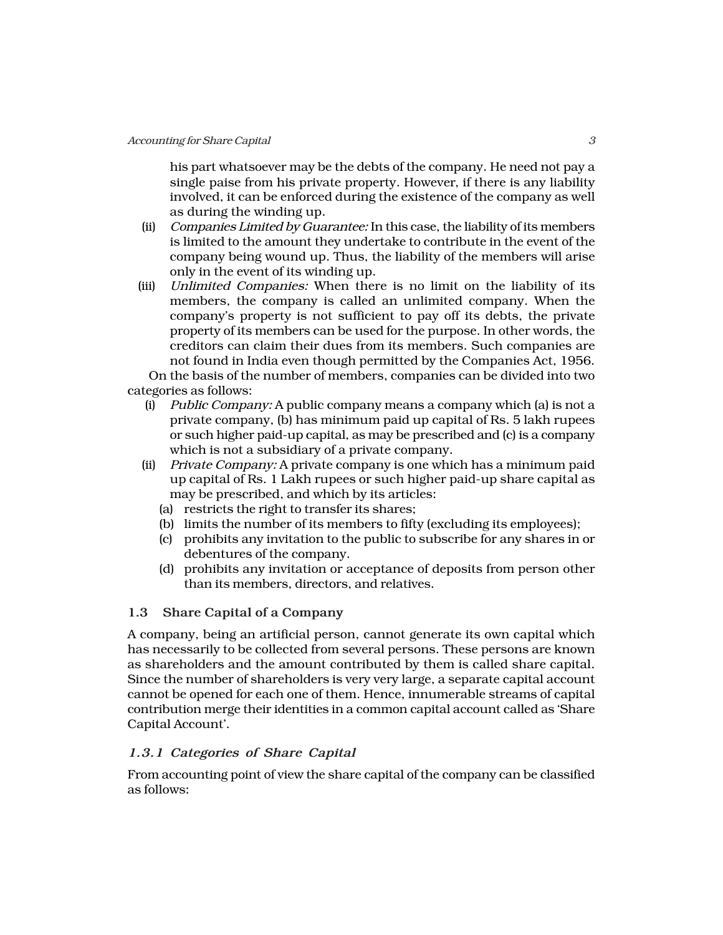his part whatsoever may be the debts of the company. He need not pay a single paise from his private property. However, if there is any liability involved, it can be enforced during the existence of the company as well as during the winding up.

- (ii) *Companies Limited by Guarantee:* In this case, the liability of its members is limited to the amount they undertake to contribute in the event of the company being wound up. Thus, the liability of the members will arise only in the event of its winding up.
- (iii) *Unlimited Companies:* When there is no limit on the liability of its members, the company is called an unlimited company. When the company's property is not sufficient to pay off its debts, the private property of its members can be used for the purpose. In other words, the creditors can claim their dues from its members. Such companies are not found in India even though permitted by the Companies Act, 1956.

On the basis of the number of members, companies can be divided into two categories as follows:

- (i) *Public Company:* A public company means a company which (a) is not a private company, (b) has minimum paid up capital of Rs. 5 lakh rupees or such higher paid-up capital, as may be prescribed and (c) is a company which is not a subsidiary of a private company.
- (ii) *Private Company:* A private company is one which has a minimum paid up capital of Rs. 1 Lakh rupees or such higher paid-up share capital as may be prescribed, and which by its articles:
	- (a) restricts the right to transfer its shares;
	- (b) limits the number of its members to fifty (excluding its employees);
	- (c) prohibits any invitation to the public to subscribe for any shares in or debentures of the company.
	- (d) prohibits any invitation or acceptance of deposits from person other than its members, directors, and relatives.

# **1.3 Share Capital of a Company**

A company, being an artificial person, cannot generate its own capital which has necessarily to be collected from several persons. These persons are known as shareholders and the amount contributed by them is called share capital. Since the number of shareholders is very very large, a separate capital account cannot be opened for each one of them. Hence, innumerable streams of capital contribution merge their identities in a common capital account called as 'Share Capital Account'.

# *1.3.1 Categories of Share Capital*

From accounting point of view the share capital of the company can be classified as follows: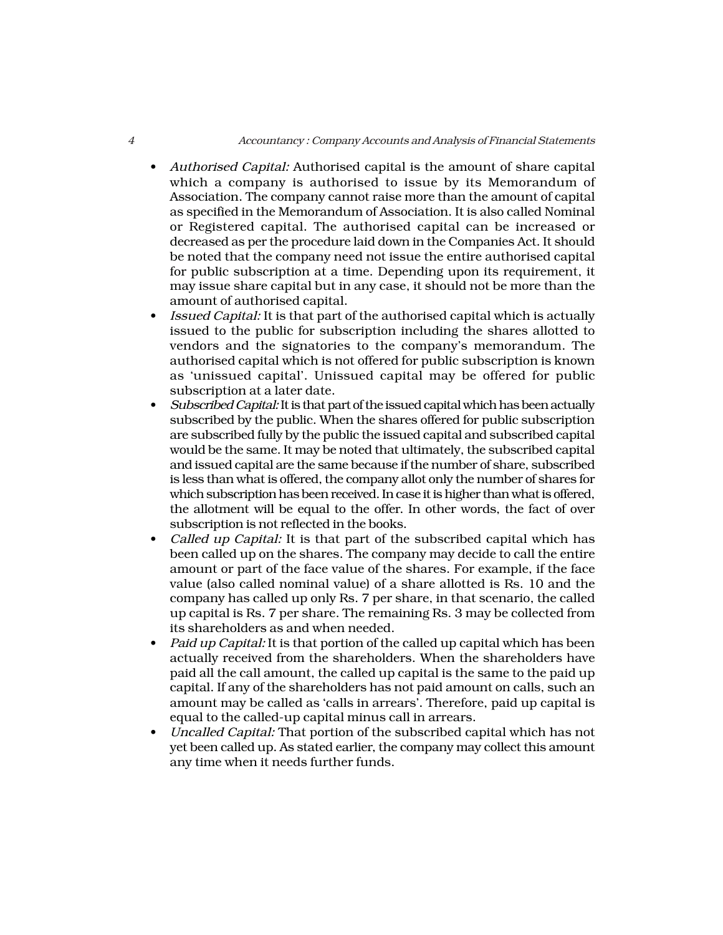- *Authorised Capital:* Authorised capital is the amount of share capital which a company is authorised to issue by its Memorandum of Association. The company cannot raise more than the amount of capital as specified in the Memorandum of Association. It is also called Nominal or Registered capital. The authorised capital can be increased or decreased as per the procedure laid down in the Companies Act. It should be noted that the company need not issue the entire authorised capital for public subscription at a time. Depending upon its requirement, it may issue share capital but in any case, it should not be more than the amount of authorised capital.
- *Issued Capital:* It is that part of the authorised capital which is actually issued to the public for subscription including the shares allotted to vendors and the signatories to the company's memorandum. The authorised capital which is not offered for public subscription is known as 'unissued capital'. Unissued capital may be offered for public subscription at a later date.
- *Subscribed Capital:* It is that part of the issued capital which has been actually subscribed by the public. When the shares offered for public subscription are subscribed fully by the public the issued capital and subscribed capital would be the same. It may be noted that ultimately, the subscribed capital and issued capital are the same because if the number of share, subscribed is less than what is offered, the company allot only the number of shares for which subscription has been received. In case it is higher than what is offered, the allotment will be equal to the offer. In other words, the fact of over subscription is not reflected in the books.
- *Called up Capital:* It is that part of the subscribed capital which has been called up on the shares. The company may decide to call the entire amount or part of the face value of the shares. For example, if the face value (also called nominal value) of a share allotted is Rs. 10 and the company has called up only Rs. 7 per share, in that scenario, the called up capital is Rs. 7 per share. The remaining Rs. 3 may be collected from its shareholders as and when needed.
- *Paid up Capital:* It is that portion of the called up capital which has been actually received from the shareholders. When the shareholders have paid all the call amount, the called up capital is the same to the paid up capital. If any of the shareholders has not paid amount on calls, such an amount may be called as 'calls in arrears'. Therefore, paid up capital is equal to the called-up capital minus call in arrears.
- *Uncalled Capital:* That portion of the subscribed capital which has not yet been called up. As stated earlier, the company may collect this amount any time when it needs further funds.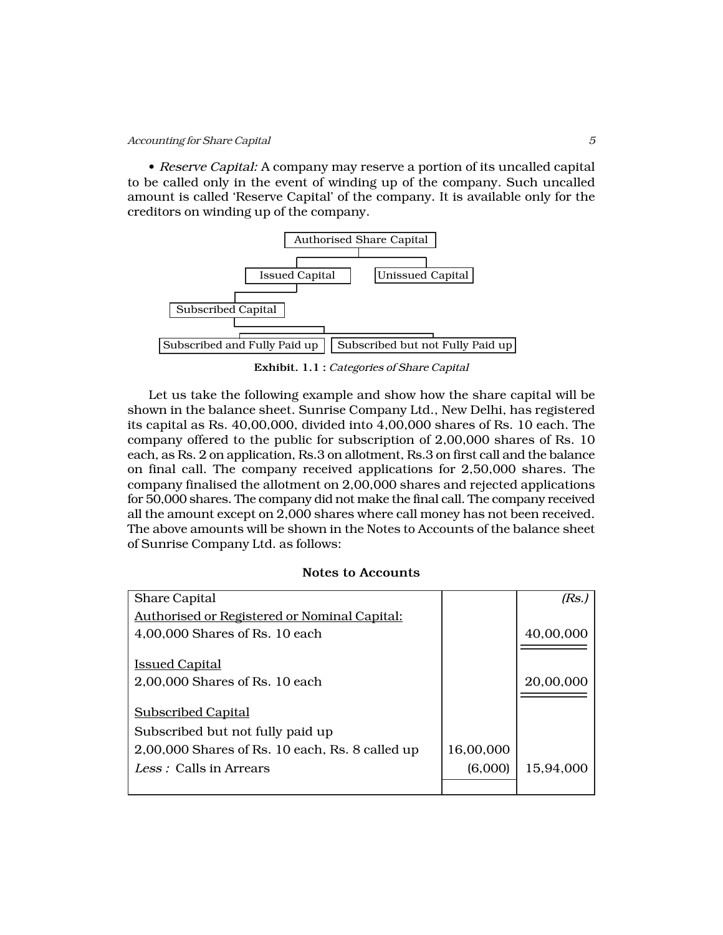• *Reserve Capital:* A company may reserve a portion of its uncalled capital to be called only in the event of winding up of the company. Such uncalled amount is called 'Reserve Capital' of the company. It is available only for the creditors on winding up of the company.



**Exhibit. 1.1 :** *Categories of Share Capital*

Let us take the following example and show how the share capital will be shown in the balance sheet. Sunrise Company Ltd., New Delhi, has registered its capital as Rs. 40,00,000, divided into 4,00,000 shares of Rs. 10 each. The company offered to the public for subscription of 2,00,000 shares of Rs. 10 each, as Rs. 2 on application, Rs.3 on allotment, Rs.3 on first call and the balance on final call. The company received applications for 2,50,000 shares. The company finalised the allotment on 2,00,000 shares and rejected applications for 50,000 shares. The company did not make the final call. The company received all the amount except on 2,000 shares where call money has not been received. The above amounts will be shown in the Notes to Accounts of the balance sheet of Sunrise Company Ltd. as follows:

### **Notes to Accounts**

| <b>Share Capital</b>                            |           | (Rs.)     |
|-------------------------------------------------|-----------|-----------|
| Authorised or Registered or Nominal Capital:    |           |           |
| 4,00,000 Shares of Rs. 10 each                  |           | 40,00,000 |
|                                                 |           |           |
| <b>Issued Capital</b>                           |           |           |
| 2,00,000 Shares of Rs. 10 each                  |           | 20,00,000 |
|                                                 |           |           |
| <b>Subscribed Capital</b>                       |           |           |
| Subscribed but not fully paid up                |           |           |
| 2,00,000 Shares of Rs. 10 each, Rs. 8 called up | 16,00,000 |           |
| Less: Calls in Arrears                          | (6,000)   | 15,94,000 |
|                                                 |           |           |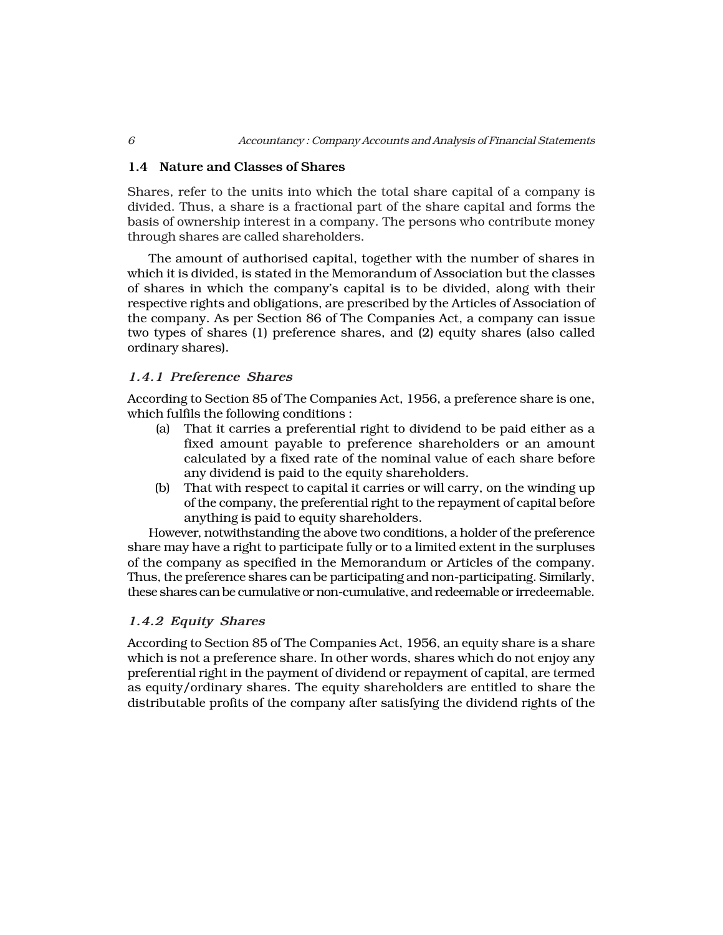## **1.4 Nature and Classes of Shares**

Shares, refer to the units into which the total share capital of a company is divided. Thus, a share is a fractional part of the share capital and forms the basis of ownership interest in a company. The persons who contribute money through shares are called shareholders.

The amount of authorised capital, together with the number of shares in which it is divided, is stated in the Memorandum of Association but the classes of shares in which the company's capital is to be divided, along with their respective rights and obligations, are prescribed by the Articles of Association of the company. As per Section 86 of The Companies Act, a company can issue two types of shares (1) preference shares, and (2) equity shares (also called ordinary shares).

# *1.4.1 Preference Shares*

According to Section 85 of The Companies Act, 1956, a preference share is one, which fulfils the following conditions :

- (a) That it carries a preferential right to dividend to be paid either as a fixed amount payable to preference shareholders or an amount calculated by a fixed rate of the nominal value of each share before any dividend is paid to the equity shareholders.
- (b) That with respect to capital it carries or will carry, on the winding up of the company, the preferential right to the repayment of capital before anything is paid to equity shareholders.

However, notwithstanding the above two conditions, a holder of the preference share may have a right to participate fully or to a limited extent in the surpluses of the company as specified in the Memorandum or Articles of the company. Thus, the preference shares can be participating and non-participating. Similarly, these shares can be cumulative or non-cumulative, and redeemable or irredeemable.

# *1.4.2 Equity Shares*

According to Section 85 of The Companies Act, 1956, an equity share is a share which is not a preference share. In other words, shares which do not enjoy any preferential right in the payment of dividend or repayment of capital, are termed as equity/ordinary shares. The equity shareholders are entitled to share the distributable profits of the company after satisfying the dividend rights of the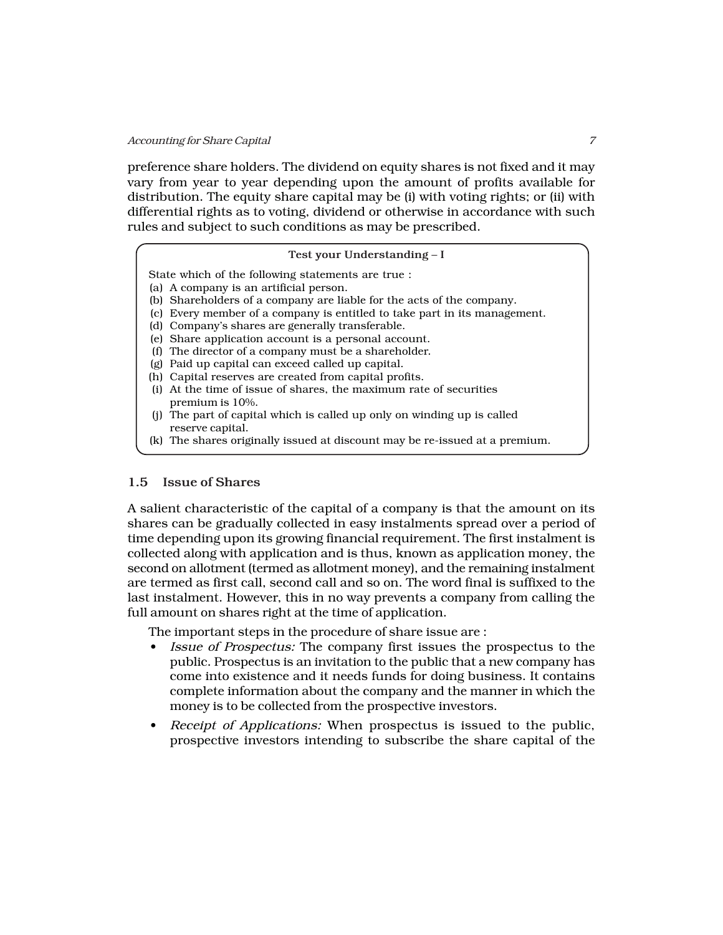preference share holders. The dividend on equity shares is not fixed and it may vary from year to year depending upon the amount of profits available for distribution. The equity share capital may be (i) with voting rights; or (ii) with differential rights as to voting, dividend or otherwise in accordance with such rules and subject to such conditions as may be prescribed.

### **Test your Understanding – I**

State which of the following statements are true :

- (a) A company is an artificial person.
- (b) Shareholders of a company are liable for the acts of the company.
- (c) Every member of a company is entitled to take part in its management.
- (d) Company's shares are generally transferable.
- (e) Share application account is a personal account.
- (f) The director of a company must be a shareholder.
- (g) Paid up capital can exceed called up capital.
- (h) Capital reserves are created from capital profits.
- (i) At the time of issue of shares, the maximum rate of securities premium is 10%.
- (j) The part of capital which is called up only on winding up is called reserve capital.
- (k) The shares originally issued at discount may be re-issued at a premium.

# **1.5 Issue of Shares**

A salient characteristic of the capital of a company is that the amount on its shares can be gradually collected in easy instalments spread over a period of time depending upon its growing financial requirement. The first instalment is collected along with application and is thus, known as application money, the second on allotment (termed as allotment money), and the remaining instalment are termed as first call, second call and so on. The word final is suffixed to the last instalment. However, this in no way prevents a company from calling the full amount on shares right at the time of application.

The important steps in the procedure of share issue are :

- *Issue of Prospectus:* The company first issues the prospectus to the public. Prospectus is an invitation to the public that a new company has come into existence and it needs funds for doing business. It contains complete information about the company and the manner in which the money is to be collected from the prospective investors.
- *Receipt of Applications:* When prospectus is issued to the public, prospective investors intending to subscribe the share capital of the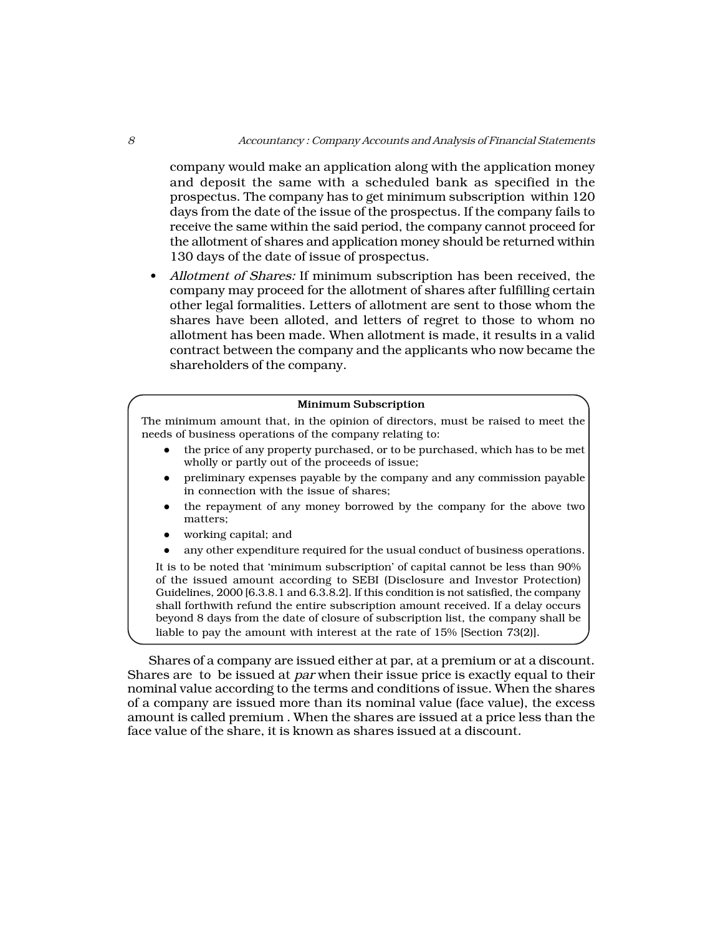company would make an application along with the application money and deposit the same with a scheduled bank as specified in the prospectus. The company has to get minimum subscription within 120 days from the date of the issue of the prospectus. If the company fails to receive the same within the said period, the company cannot proceed for the allotment of shares and application money should be returned within 130 days of the date of issue of prospectus.

• *Allotment of Shares:* If minimum subscription has been received, the company may proceed for the allotment of shares after fulfilling certain other legal formalities. Letters of allotment are sent to those whom the shares have been alloted, and letters of regret to those to whom no allotment has been made. When allotment is made, it results in a valid contract between the company and the applicants who now became the shareholders of the company.

### **Minimum Subscription**

The minimum amount that, in the opinion of directors, must be raised to meet the needs of business operations of the company relating to:

- the price of any property purchased, or to be purchased, which has to be met wholly or partly out of the proceeds of issue;
- preliminary expenses payable by the company and any commission payable in connection with the issue of shares;
- the repayment of any money borrowed by the company for the above two matters;
- working capital; and
- any other expenditure required for the usual conduct of business operations.

It is to be noted that 'minimum subscription' of capital cannot be less than 90% of the issued amount according to SEBI (Disclosure and Investor Protection) Guidelines, 2000 [6.3.8.1 and 6.3.8.2]. If this condition is not satisfied, the company shall forthwith refund the entire subscription amount received. If a delay occurs beyond 8 days from the date of closure of subscription list, the company shall be liable to pay the amount with interest at the rate of 15% [Section 73(2)].

Shares of a company are issued either at par, at a premium or at a discount. Shares are to be issued at *par* when their issue price is exactly equal to their nominal value according to the terms and conditions of issue. When the shares of a company are issued more than its nominal value (face value), the excess amount is called premium . When the shares are issued at a price less than the face value of the share, it is known as shares issued at a discount.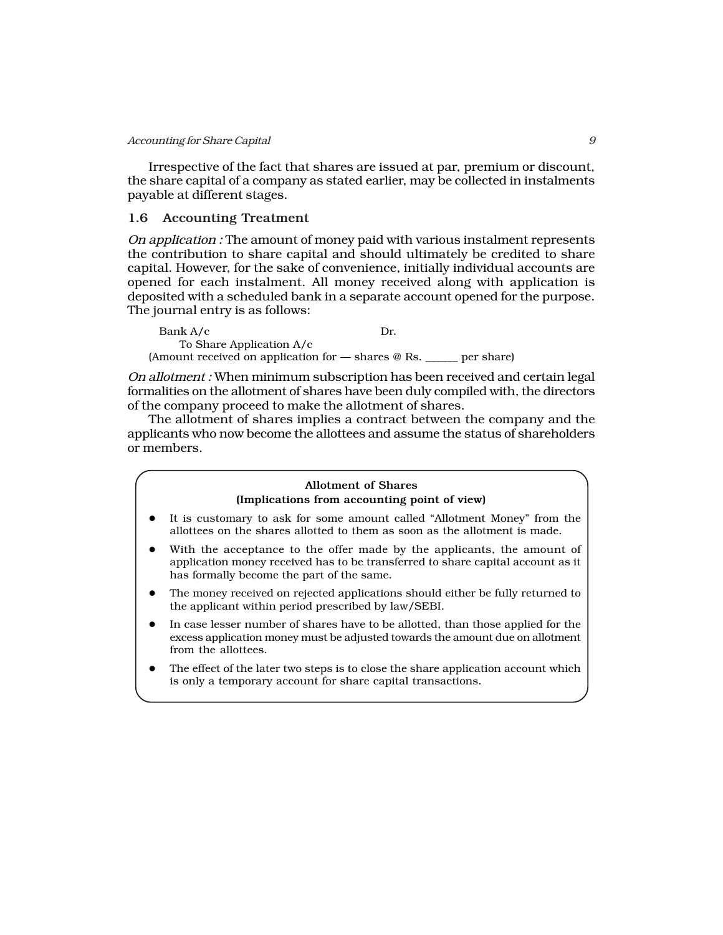Irrespective of the fact that shares are issued at par, premium or discount, the share capital of a company as stated earlier, may be collected in instalments payable at different stages.

### **1.6 Accounting Treatment**

*On application :* The amount of money paid with various instalment represents the contribution to share capital and should ultimately be credited to share capital. However, for the sake of convenience, initially individual accounts are opened for each instalment. All money received along with application is deposited with a scheduled bank in a separate account opened for the purpose. The journal entry is as follows:

Bank A/c Dr. To Share Application A/c (Amount received on application for  $-$  shares  $\mathcal{Q}$  Rs. \_\_\_\_\_ per share)

*On allotment :* When minimum subscription has been received and certain legal formalities on the allotment of shares have been duly compiled with, the directors of the company proceed to make the allotment of shares.

The allotment of shares implies a contract between the company and the applicants who now become the allottees and assume the status of shareholders or members.

### **Allotment of Shares (Implications from accounting point of view)**

- l It is customary to ask for some amount called "Allotment Money" from the allottees on the shares allotted to them as soon as the allotment is made.
- l With the acceptance to the offer made by the applicants, the amount of application money received has to be transferred to share capital account as it has formally become the part of the same.
- The money received on rejected applications should either be fully returned to the applicant within period prescribed by law/SEBI.
- In case lesser number of shares have to be allotted, than those applied for the excess application money must be adjusted towards the amount due on allotment from the allottees.
- The effect of the later two steps is to close the share application account which is only a temporary account for share capital transactions.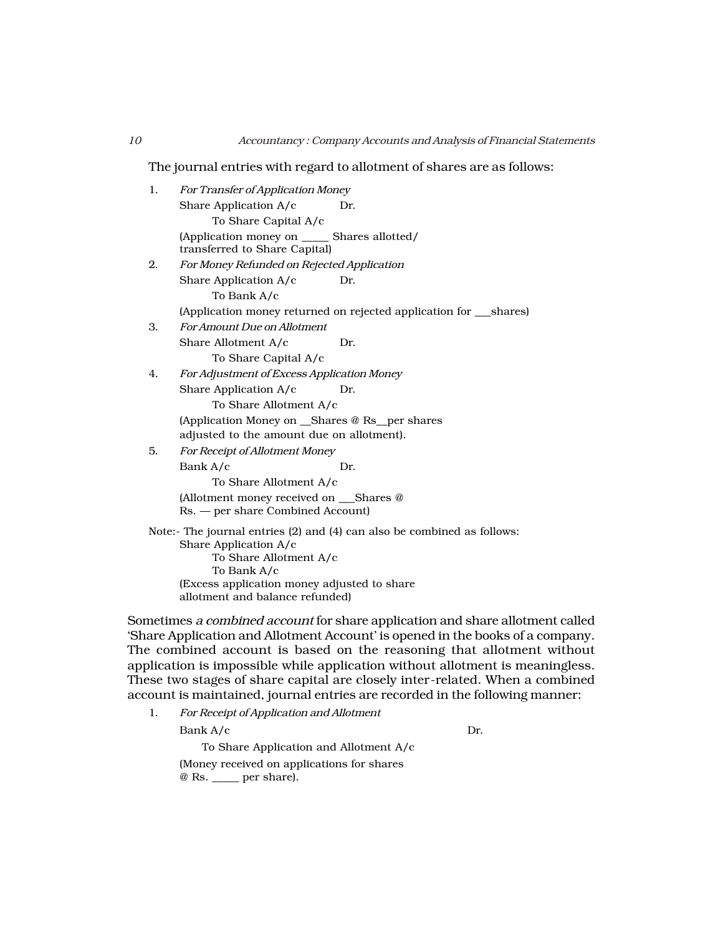The journal entries with regard to allotment of shares are as follows:

| 1. | For Transfer of Application Money                                                 |
|----|-----------------------------------------------------------------------------------|
|    | Share Application A/c<br>Dr.                                                      |
|    | To Share Capital A/c                                                              |
|    | (Application money on ______ Shares allotted/                                     |
|    | transferred to Share Capital)                                                     |
| 2. | For Money Refunded on Rejected Application                                        |
|    | Share Application A/c<br>Dr.                                                      |
|    | To Bank A/c                                                                       |
|    | (Application money returned on rejected application for _________________________ |
| 3. | For Amount Due on Allotment                                                       |
|    | Share Allotment A/c<br>Dr.                                                        |
|    | To Share Capital A/c                                                              |
| 4. | For Adjustment of Excess Application Money                                        |
|    | Share Application A/c<br>Dr.                                                      |
|    | To Share Allotment A/c                                                            |
|    | (Application Money on _Shares @ Rs_per shares                                     |
|    | adjusted to the amount due on allotment).                                         |
| 5. | For Receipt of Allotment Money                                                    |
|    | Bank A/c<br>Dr.                                                                   |
|    | To Share Allotment A/c                                                            |
|    | (Allotment money received on ___Shares @                                          |
|    | Rs. — per share Combined Account)                                                 |
|    | Note:- The journal entries (2) and (4) can also be combined as follows:           |
|    | Share Application A/c                                                             |
|    | To Share Allotment A/c                                                            |
|    | To Bank A/c                                                                       |
|    | (Excess application money adjusted to share                                       |

allotment and balance refunded)

Sometimes *a combined account* for share application and share allotment called 'Share Application and Allotment Account' is opened in the books of a company. The combined account is based on the reasoning that allotment without application is impossible while application without allotment is meaningless. These two stages of share capital are closely inter-related. When a combined account is maintained, journal entries are recorded in the following manner:

1. *For Receipt of Application and Allotment* Bank A/c Dr. To Share Application and Allotment A/c (Money received on applications for shares @ Rs. \_\_\_\_\_ per share).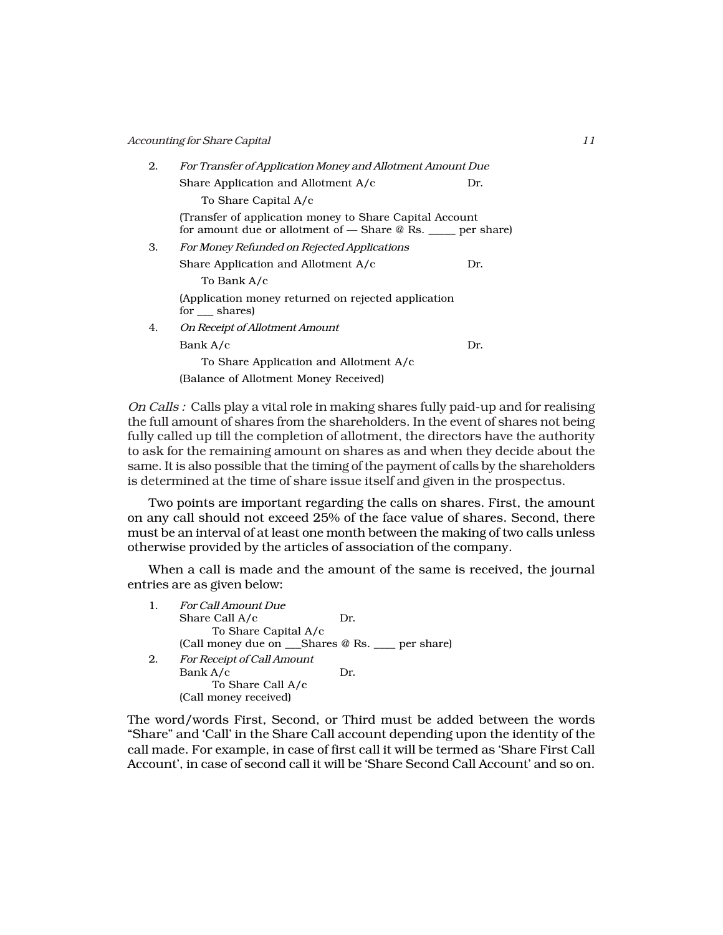| 2. | For Transfer of Application Money and Allotment Amount Due                                                                |     |  |  |
|----|---------------------------------------------------------------------------------------------------------------------------|-----|--|--|
|    | Share Application and Allotment A/c                                                                                       | Dr. |  |  |
|    | To Share Capital A/c                                                                                                      |     |  |  |
|    | (Transfer of application money to Share Capital Account<br>for amount due or allotment of $-$ Share @ Rs. ____ per share) |     |  |  |
| З. | For Money Refunded on Rejected Applications                                                                               |     |  |  |
|    | Share Application and Allotment A/c                                                                                       | Dr. |  |  |
|    | To Bank A/c                                                                                                               |     |  |  |
|    | (Application money returned on rejected application<br>for shares)                                                        |     |  |  |
| 4. | On Receipt of Allotment Amount                                                                                            |     |  |  |
|    | Bank A/c                                                                                                                  | Dr. |  |  |
|    | To Share Application and Allotment A/c                                                                                    |     |  |  |
|    | (Balance of Allotment Money Received)                                                                                     |     |  |  |

*On Calls :* Calls play a vital role in making shares fully paid-up and for realising the full amount of shares from the shareholders. In the event of shares not being fully called up till the completion of allotment, the directors have the authority to ask for the remaining amount on shares as and when they decide about the same. It is also possible that the timing of the payment of calls by the shareholders is determined at the time of share issue itself and given in the prospectus.

Two points are important regarding the calls on shares. First, the amount on any call should not exceed 25% of the face value of shares. Second, there must be an interval of at least one month between the making of two calls unless otherwise provided by the articles of association of the company.

When a call is made and the amount of the same is received, the journal entries are as given below:

| 1. | For Call Amount Due                                |     |  |
|----|----------------------------------------------------|-----|--|
|    | Share Call A/c                                     | Dr. |  |
|    | To Share Capital A/c                               |     |  |
|    | (Call money due on ___Shares @ Rs. ____ per share) |     |  |
| 2. | For Receipt of Call Amount                         |     |  |
|    | Bank A/c                                           | Dr. |  |
|    | To Share Call A/c                                  |     |  |
|    | (Call money received)                              |     |  |

The word/words First, Second, or Third must be added between the words "Share" and 'Call' in the Share Call account depending upon the identity of the call made. For example, in case of first call it will be termed as 'Share First Call Account', in case of second call it will be 'Share Second Call Account' and so on.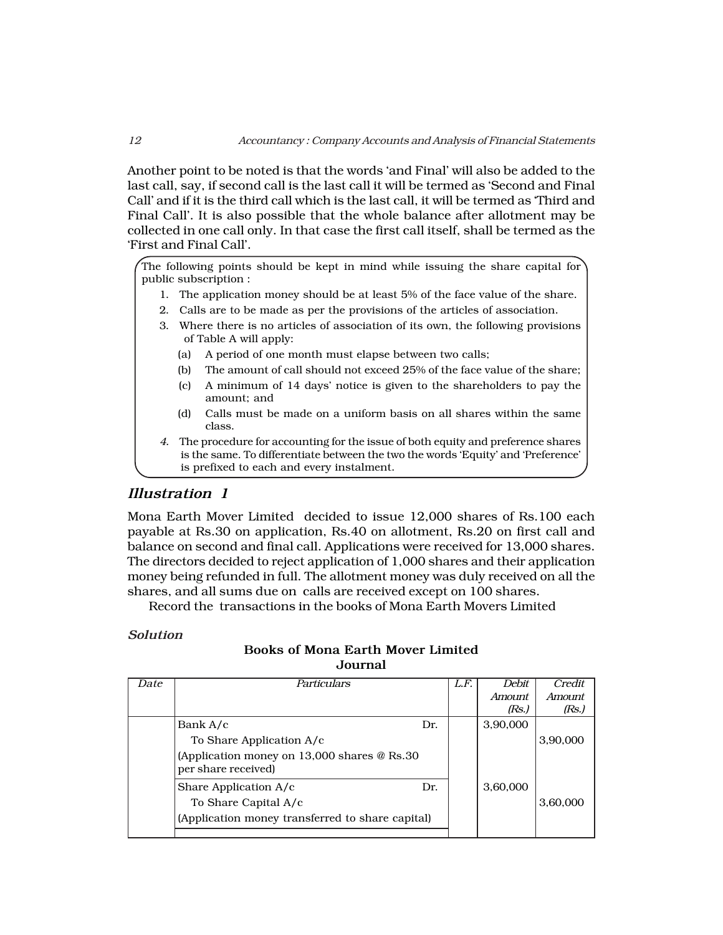Another point to be noted is that the words 'and Final' will also be added to the last call, say, if second call is the last call it will be termed as 'Second and Final Call' and if it is the third call which is the last call, it will be termed as 'Third and Final Call'. It is also possible that the whole balance after allotment may be collected in one call only. In that case the first call itself, shall be termed as the 'First and Final Call'.

The following points should be kept in mind while issuing the share capital for public subscription :

- 1. The application money should be at least 5% of the face value of the share.
- 2. Calls are to be made as per the provisions of the articles of association.
- 3. Where there is no articles of association of its own, the following provisions of Table A will apply:
	- (a) A period of one month must elapse between two calls;
	- (b) The amount of call should not exceed 25% of the face value of the share;
	- (c) A minimum of 14 days' notice is given to the shareholders to pay the amount; and
	- (d) Calls must be made on a uniform basis on all shares within the same class.
- *4.* The procedure for accounting for the issue of both equity and preference shares is the same. To differentiate between the two the words 'Equity' and 'Preference' is prefixed to each and every instalment.

# *Illustration 1*

Mona Earth Mover Limited decided to issue 12,000 shares of Rs.100 each payable at Rs.30 on application, Rs.40 on allotment, Rs.20 on first call and balance on second and final call. Applications were received for 13,000 shares. The directors decided to reject application of 1,000 shares and their application money being refunded in full. The allotment money was duly received on all the shares, and all sums due on calls are received except on 100 shares.

Record the transactions in the books of Mona Earth Movers Limited

## *Solution*

# **Books of Mona Earth Mover Limited Journal**

| Date | Particulars                                                         | L.F. | Debit         | Credit   |
|------|---------------------------------------------------------------------|------|---------------|----------|
|      |                                                                     |      | <i>Amount</i> | Amount   |
|      |                                                                     |      | (Rs.)         | (Rs.)    |
|      | Bank A/c<br>Dr.                                                     |      | 3,90,000      |          |
|      | To Share Application A/c                                            |      |               | 3,90,000 |
|      | (Application money on 13,000 shares @ Rs.30)<br>per share received) |      |               |          |
|      | Share Application A/c<br>Dr.                                        |      | 3,60,000      |          |
|      | To Share Capital A/c                                                |      |               | 3,60,000 |
|      | (Application money transferred to share capital)                    |      |               |          |
|      |                                                                     |      |               |          |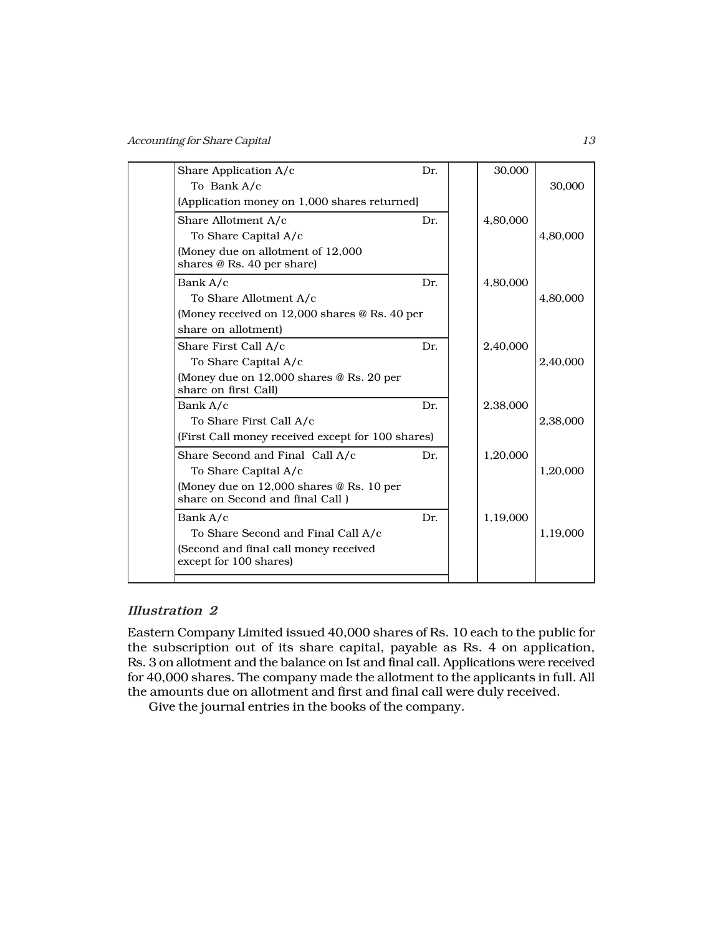| Share Application A/c                                                       | Dr. | 30,000   |          |
|-----------------------------------------------------------------------------|-----|----------|----------|
| To Bank A/c                                                                 |     |          | 30,000   |
| (Application money on 1,000 shares returned)                                |     |          |          |
| Share Allotment A/c                                                         | Dr. | 4,80,000 |          |
| To Share Capital A/c                                                        |     |          | 4,80,000 |
| (Money due on allotment of 12,000)<br>shares @ Rs. 40 per share)            |     |          |          |
| Bank A/c                                                                    | Dr. | 4,80,000 |          |
| To Share Allotment A/c                                                      |     |          | 4,80,000 |
| (Money received on 12,000 shares @ Rs. 40 per                               |     |          |          |
| share on allotment)                                                         |     |          |          |
| Share First Call A/c                                                        | Dr. | 2,40,000 |          |
| To Share Capital A/c                                                        |     |          | 2,40,000 |
| (Money due on 12,000 shares @ Rs. 20 per<br>share on first Call)            |     |          |          |
| Bank A/c                                                                    | Dr. | 2,38,000 |          |
| To Share First Call A/c                                                     |     |          | 2,38,000 |
| (First Call money received except for 100 shares)                           |     |          |          |
| Share Second and Final Call A/c                                             | Dr. | 1,20,000 |          |
| To Share Capital A/c                                                        |     |          | 1,20,000 |
| (Money due on 12,000 shares @ Rs. 10 per<br>share on Second and final Call) |     |          |          |
| Bank A/c                                                                    | Dr. | 1,19,000 |          |
| To Share Second and Final Call A/c                                          |     |          | 1,19,000 |
| (Second and final call money received<br>except for 100 shares)             |     |          |          |
|                                                                             |     |          |          |

# *Illustration 2*

Eastern Company Limited issued 40,000 shares of Rs. 10 each to the public for the subscription out of its share capital, payable as Rs. 4 on application, Rs. 3 on allotment and the balance on Ist and final call. Applications were received for 40,000 shares. The company made the allotment to the applicants in full. All the amounts due on allotment and first and final call were duly received.

Give the journal entries in the books of the company.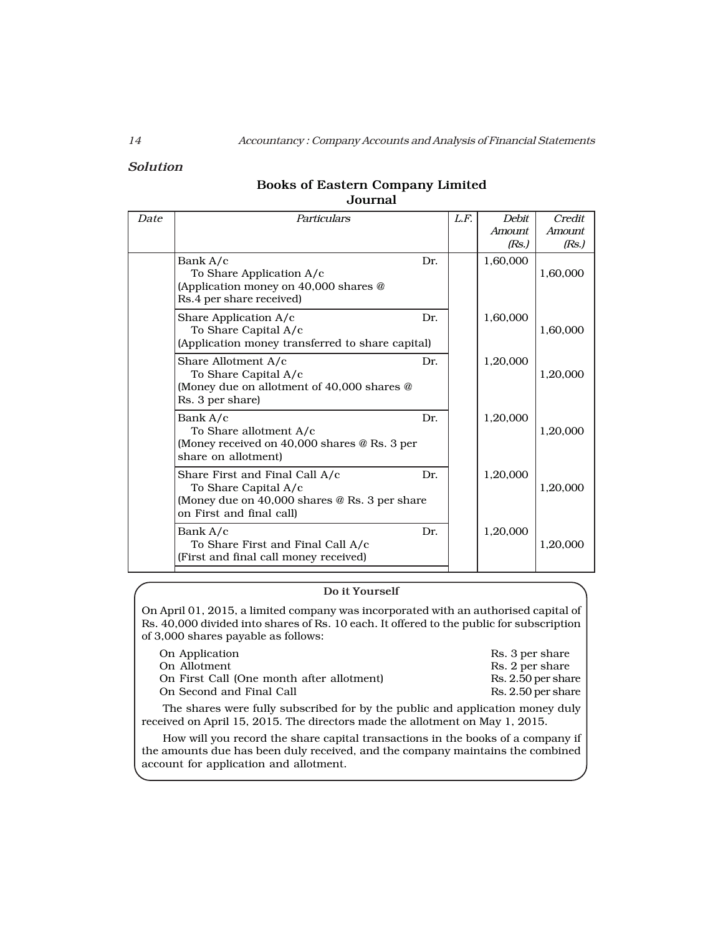### *Solution*

# **Books of Eastern Company Limited Journal**

| Date | Particulars                                                                                                                         |     | L.F. | <b>Debit</b> | Credit        |
|------|-------------------------------------------------------------------------------------------------------------------------------------|-----|------|--------------|---------------|
|      |                                                                                                                                     |     |      | Amount       | <i>Amount</i> |
|      |                                                                                                                                     |     |      | (Rs.)        | (Rs.)         |
|      | Bank A/c<br>To Share Application A/c<br>(Application money on 40,000 shares @<br>Rs.4 per share received)                           | Dr. |      | 1,60,000     | 1,60,000      |
|      | Share Application A/c<br>To Share Capital A/c<br>(Application money transferred to share capital)                                   | Dr. |      | 1,60,000     | 1,60,000      |
|      | Share Allotment A/c<br>To Share Capital A/c<br>(Money due on allotment of 40,000 shares @<br>Rs. 3 per share)                       | Dr. |      | 1,20,000     | 1,20,000      |
|      | Bank A/c<br>To Share allotment A/c<br>(Money received on 40,000 shares @ Rs. 3 per<br>share on allotment)                           | Dr. |      | 1,20,000     | 1,20,000      |
|      | Share First and Final Call A/c<br>To Share Capital A/c<br>(Money due on 40,000 shares @ Rs. 3 per share<br>on First and final call) | Dr. |      | 1,20,000     | 1,20,000      |
|      | Bank A/c<br>To Share First and Final Call A/c<br>(First and final call money received)                                              | Dr. |      | 1,20,000     | 1,20,000      |
|      |                                                                                                                                     |     |      |              |               |

### **Do it Yourself**

On April 01, 2015, a limited company was incorporated with an authorised capital of Rs. 40,000 divided into shares of Rs. 10 each. It offered to the public for subscription of 3,000 shares payable as follows:

| On Application                            | Rs. 3 per share    |
|-------------------------------------------|--------------------|
| On Allotment                              | Rs. 2 per share    |
| On First Call (One month after allotment) | Rs. 2.50 per share |
| On Second and Final Call                  | Rs. 2.50 per share |

The shares were fully subscribed for by the public and application money duly received on April 15, 2015. The directors made the allotment on May 1, 2015.

How will you record the share capital transactions in the books of a company if the amounts due has been duly received, and the company maintains the combined account for application and allotment.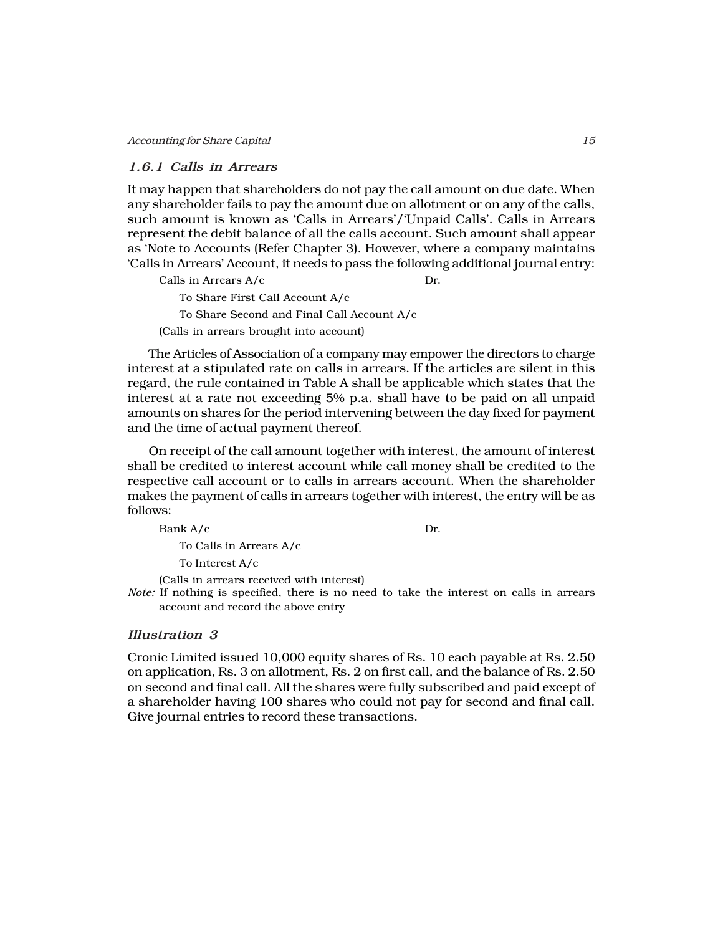# *1.6.1 Calls in Arrears*

It may happen that shareholders do not pay the call amount on due date. When any shareholder fails to pay the amount due on allotment or on any of the calls, such amount is known as 'Calls in Arrears'/'Unpaid Calls'. Calls in Arrears represent the debit balance of all the calls account. Such amount shall appear as 'Note to Accounts (Refer Chapter 3). However, where a company maintains 'Calls in Arrears' Account, it needs to pass the following additional journal entry:

Calls in Arrears A/c Dr. To Share First Call Account A/c To Share Second and Final Call Account A/c (Calls in arrears brought into account)

The Articles of Association of a company may empower the directors to charge interest at a stipulated rate on calls in arrears. If the articles are silent in this regard, the rule contained in Table A shall be applicable which states that the interest at a rate not exceeding 5% p.a. shall have to be paid on all unpaid amounts on shares for the period intervening between the day fixed for payment and the time of actual payment thereof.

On receipt of the call amount together with interest, the amount of interest shall be credited to interest account while call money shall be credited to the respective call account or to calls in arrears account. When the shareholder makes the payment of calls in arrears together with interest, the entry will be as follows:

Bank A/c Dr.

To Calls in Arrears A/c To Interest A/c

(Calls in arrears received with interest)

*Note:* If nothing is specified, there is no need to take the interest on calls in arrears account and record the above entry

## *Illustration 3*

Cronic Limited issued 10,000 equity shares of Rs. 10 each payable at Rs. 2.50 on application, Rs. 3 on allotment, Rs. 2 on first call, and the balance of Rs. 2.50 on second and final call. All the shares were fully subscribed and paid except of a shareholder having 100 shares who could not pay for second and final call. Give journal entries to record these transactions.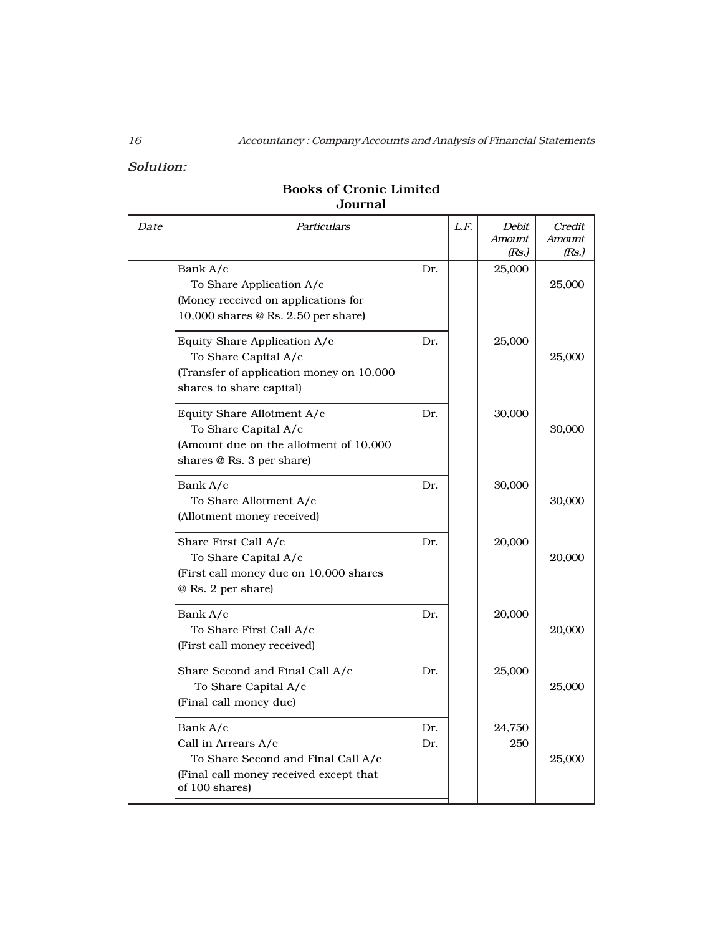# *Solution:*

# **Books of Cronic Limited Journal**

| Date | Particulars                                                                                                                       |            | L.F. | Debit<br>Amount<br>(Rs.) | Credit<br>Amount<br>(Rs.) |
|------|-----------------------------------------------------------------------------------------------------------------------------------|------------|------|--------------------------|---------------------------|
|      | Bank A/c<br>To Share Application A/c<br>(Money received on applications for<br>10,000 shares @ Rs. 2.50 per share)                | Dr.        |      | 25,000                   | 25,000                    |
|      | Equity Share Application A/c<br>To Share Capital A/c<br>(Transfer of application money on 10,000<br>shares to share capital)      | Dr.        |      | 25,000                   | 25,000                    |
|      | Equity Share Allotment A/c<br>To Share Capital A/c<br>(Amount due on the allotment of 10,000<br>shares @ Rs. 3 per share)         | Dr.        |      | 30,000                   | 30,000                    |
|      | Bank A/c<br>To Share Allotment A/c<br>(Allotment money received)                                                                  | Dr.        |      | 30,000                   | 30,000                    |
|      | Share First Call A/c<br>To Share Capital A/c<br>(First call money due on 10,000 shares<br>@ Rs. 2 per share)                      | Dr.        |      | 20,000                   | 20,000                    |
|      | Bank A/c<br>To Share First Call A/c<br>(First call money received)                                                                | Dr.        |      | 20,000                   | 20,000                    |
|      | Share Second and Final Call A/c<br>To Share Capital A/c<br>(Final call money due)                                                 | Dr.        |      | 25,000                   | 25,000                    |
|      | Bank A/c<br>Call in Arrears A/c<br>To Share Second and Final Call A/c<br>(Final call money received except that<br>of 100 shares) | Dr.<br>Dr. |      | 24,750<br>250            | 25,000                    |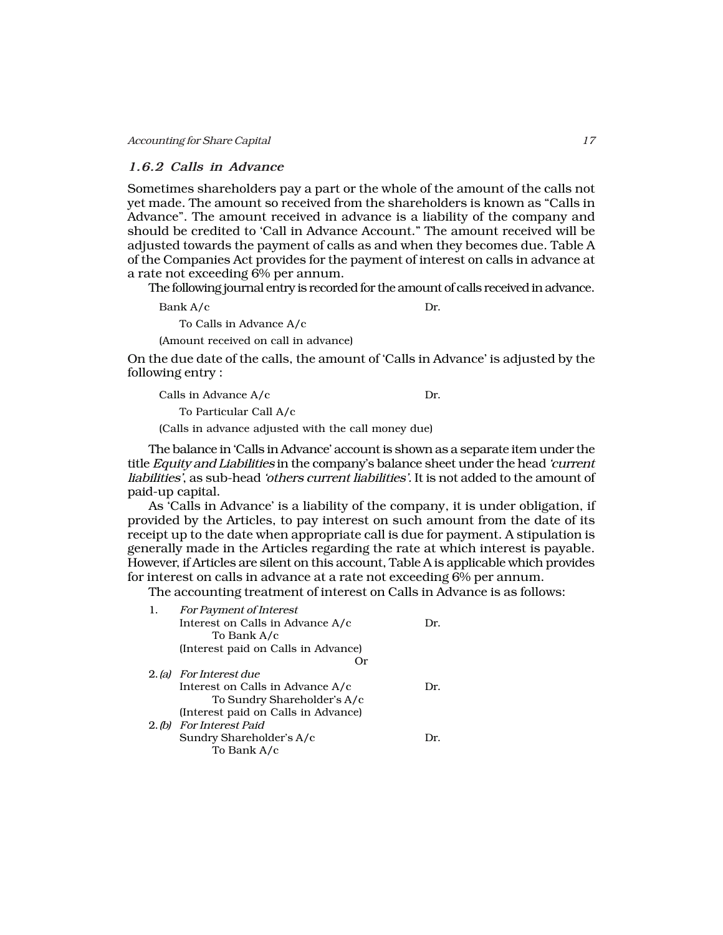# *1.6.2 Calls in Advance*

Sometimes shareholders pay a part or the whole of the amount of the calls not yet made. The amount so received from the shareholders is known as "Calls in Advance". The amount received in advance is a liability of the company and should be credited to 'Call in Advance Account." The amount received will be adjusted towards the payment of calls as and when they becomes due. Table A of the Companies Act provides for the payment of interest on calls in advance at a rate not exceeding 6% per annum.

The following journal entry is recorded for the amount of calls received in advance.

Bank A/c Dr.

To Calls in Advance A/c

(Amount received on call in advance)

On the due date of the calls, the amount of 'Calls in Advance' is adjusted by the following entry :

| Calls in Advance A/c   | Dr. |  |
|------------------------|-----|--|
| To Particular Call A/c |     |  |

(Calls in advance adjusted with the call money due)

The balance in 'Calls in Advance' account is shown as a separate item under the title *Equity and Liabilities* in the company's balance sheet under the head *'current liabilities'*, as sub-head *'others current liabilities'.* It is not added to the amount of paid-up capital.

As 'Calls in Advance' is a liability of the company, it is under obligation, if provided by the Articles, to pay interest on such amount from the date of its receipt up to the date when appropriate call is due for payment. A stipulation is generally made in the Articles regarding the rate at which interest is payable. However, if Articles are silent on this account, Table A is applicable which provides for interest on calls in advance at a rate not exceeding 6% per annum.

The accounting treatment of interest on Calls in Advance is as follows:

| <b>For Payment of Interest</b>      |      |
|-------------------------------------|------|
| Interest on Calls in Advance A/c    | 1 )r |
| To Bank A/c                         |      |
| (Interest paid on Calls in Advance) |      |
| Оr                                  |      |
| 2. (a) For Interest due             |      |
| Interest on Calls in Advance A/c    | Dr   |
| To Sundry Shareholder's A/c         |      |
| (Interest paid on Calls in Advance) |      |
| 2. (b) For Interest Paid            |      |
| Sundry Shareholder's A/c            | l )r |
| To Bank A/c                         |      |
|                                     |      |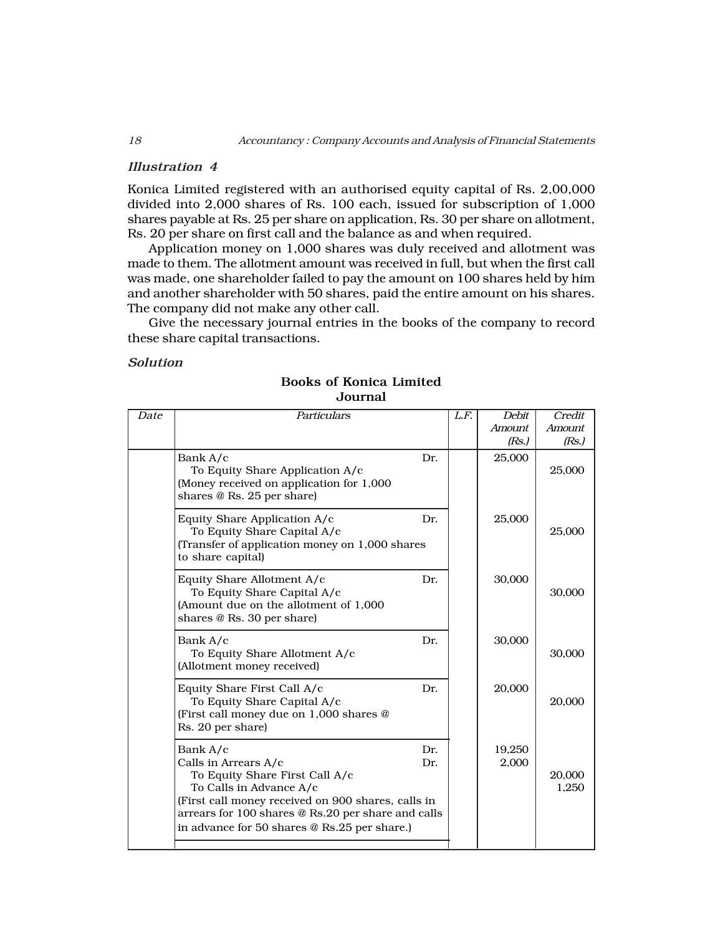### *Illustration 4*

Konica Limited registered with an authorised equity capital of Rs. 2,00,000 divided into 2,000 shares of Rs. 100 each, issued for subscription of 1,000 shares payable at Rs. 25 per share on application, Rs. 30 per share on allotment, Rs. 20 per share on first call and the balance as and when required.

Application money on 1,000 shares was duly received and allotment was made to them. The allotment amount was received in full, but when the first call was made, one shareholder failed to pay the amount on 100 shares held by him and another shareholder with 50 shares, paid the entire amount on his shares. The company did not make any other call.

Give the necessary journal entries in the books of the company to record these share capital transactions.

# *Solution*

# **Books of Konica Limited Journal**

| Date | Particulars                                                                                                                                                                                                                                                             | L.F. | Debit<br>Amount | Credit<br>Amount |
|------|-------------------------------------------------------------------------------------------------------------------------------------------------------------------------------------------------------------------------------------------------------------------------|------|-----------------|------------------|
|      |                                                                                                                                                                                                                                                                         |      | (Rs.)           | (Rs.)            |
|      | Bank A/c<br>Dr.<br>To Equity Share Application A/c<br>(Money received on application for 1,000<br>shares @ Rs. 25 per share)                                                                                                                                            |      | 25,000          | 25,000           |
|      | Dr.<br>Equity Share Application A/c<br>To Equity Share Capital A/c<br>(Transfer of application money on 1,000 shares<br>to share capital)                                                                                                                               |      | 25,000          | 25,000           |
|      | Dr.<br>Equity Share Allotment A/c<br>To Equity Share Capital A/c<br>(Amount due on the allotment of 1,000<br>shares @ Rs. 30 per share)                                                                                                                                 |      | 30,000          | 30,000           |
|      | Bank A/c<br>Dr.<br>To Equity Share Allotment A/c<br>(Allotment money received)                                                                                                                                                                                          |      | 30,000          | 30,000           |
|      | Equity Share First Call A/c<br>Dr.<br>To Equity Share Capital A/c<br>(First call money due on 1,000 shares @<br>Rs. 20 per share)                                                                                                                                       |      | 20,000          | 20,000           |
|      | Bank A/c<br>Dr.<br>Calls in Arrears A/c<br>Dr.<br>To Equity Share First Call A/c<br>To Calls in Advance A/c<br>(First call money received on 900 shares, calls in<br>arrears for 100 shares @ Rs.20 per share and calls<br>in advance for 50 shares @ Rs.25 per share.) |      | 19,250<br>2,000 | 20,000<br>1,250  |
|      |                                                                                                                                                                                                                                                                         |      |                 |                  |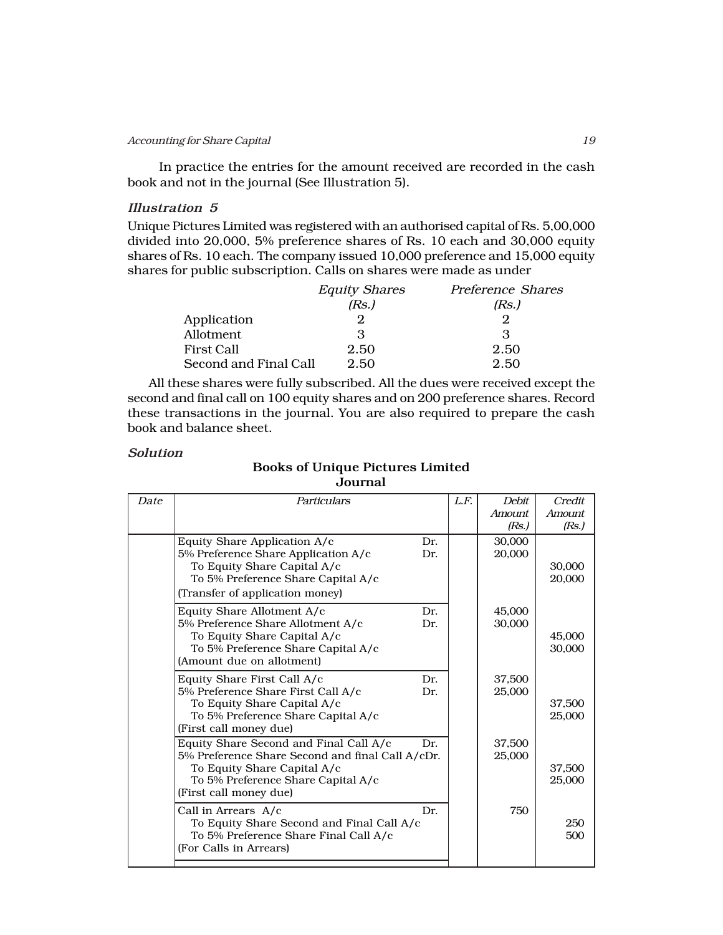In practice the entries for the amount received are recorded in the cash book and not in the journal (See Illustration 5).

# *Illustration 5*

Unique Pictures Limited was registered with an authorised capital of Rs. 5,00,000 divided into 20,000, 5% preference shares of Rs. 10 each and 30,000 equity shares of Rs. 10 each. The company issued 10,000 preference and 15,000 equity shares for public subscription. Calls on shares were made as under

|                       | <b>Equity Shares</b> | Preference Shares |
|-----------------------|----------------------|-------------------|
|                       | (Rs.)                | (Rs.)             |
| Application           |                      |                   |
| Allotment             | 3                    | 3                 |
| <b>First Call</b>     | 2.50                 | 2.50              |
| Second and Final Call | 2.50                 | 2.50              |

All these shares were fully subscribed. All the dues were received except the second and final call on 100 equity shares and on 200 preference shares. Record these transactions in the journal. You are also required to prepare the cash book and balance sheet.

### *Solution*

# **Books of Unique Pictures Limited Journal**

| Date | Particulars                                                                                                                                                                               |            | L.F. | <b>Debit</b><br><i>Amount</i> | Credit<br><i>Amount</i> |
|------|-------------------------------------------------------------------------------------------------------------------------------------------------------------------------------------------|------------|------|-------------------------------|-------------------------|
|      |                                                                                                                                                                                           |            |      | (Rs.)                         | (Rs.)                   |
|      | Equity Share Application A/c<br>5% Preference Share Application A/c<br>To Equity Share Capital A/c<br>To 5% Preference Share Capital A/c<br>(Transfer of application money)               | Dr.<br>Dr. |      | 30,000<br>20,000              | 30,000<br>20,000        |
|      | Equity Share Allotment A/c<br>5% Preference Share Allotment A/c<br>To Equity Share Capital A/c<br>To 5% Preference Share Capital A/c<br>(Amount due on allotment)                         | Dr.<br>Dr. |      | 45,000<br>30,000              | 45,000<br>30,000        |
|      | Equity Share First Call A/c<br>5% Preference Share First Call A/c<br>To Equity Share Capital A/c<br>To 5% Preference Share Capital A/c<br>(First call money due)                          | Dr.<br>Dr. |      | 37,500<br>25,000              | 37,500<br>25,000        |
|      | Equity Share Second and Final Call A/c<br>5% Preference Share Second and final Call A/cDr.<br>To Equity Share Capital A/c<br>To 5% Preference Share Capital A/c<br>(First call money due) | Dr.        |      | 37,500<br>25.000              | 37.500<br>25,000        |
|      | Call in Arrears A/c<br>To Equity Share Second and Final Call A/c<br>To 5% Preference Share Final Call A/c<br>(For Calls in Arrears)                                                       | Dr.        |      | 750                           | 250<br>500              |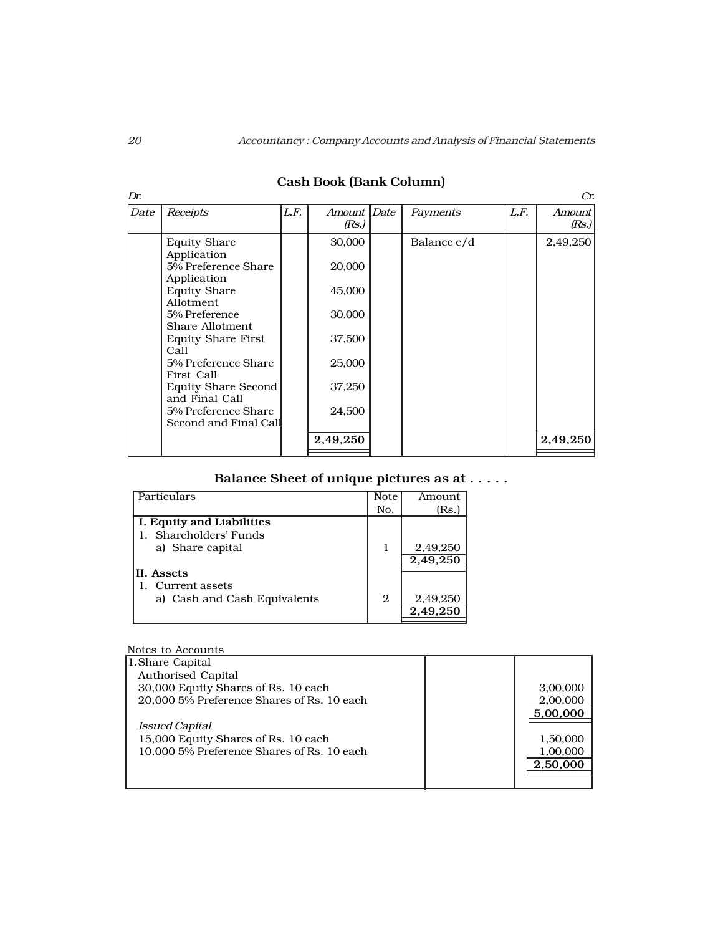| Dr.  |                                              |      |                      |             |      | Cr.             |
|------|----------------------------------------------|------|----------------------|-------------|------|-----------------|
| Date | Receipts                                     | L.F. | Amount Date<br>(Rs.) | Payments    | L.F. | Amount<br>(Rs.) |
|      | <b>Equity Share</b><br>Application           |      | 30,000               | Balance c/d |      | 2,49,250        |
|      | 5% Preference Share<br>Application           |      | 20,000               |             |      |                 |
|      | <b>Equity Share</b><br>Allotment             |      | 45,000               |             |      |                 |
|      | 5% Preference<br>Share Allotment             |      | 30,000               |             |      |                 |
|      | <b>Equity Share First</b><br>Call            |      | 37,500               |             |      |                 |
|      | 5% Preference Share<br>First Call            |      | 25,000               |             |      |                 |
|      | <b>Equity Share Second</b><br>and Final Call |      | 37,250               |             |      |                 |
|      | 5% Preference Share<br>Second and Final Call |      | 24,500               |             |      |                 |
|      |                                              |      | 2,49,250             |             |      | 2,49,250        |

# **Cash Book (Bank Column)**

# **Balance Sheet of unique pictures as at . . . . .**

| l Particulars                | Note | Amount   |
|------------------------------|------|----------|
|                              | No.  | (Rs.)    |
| I. Equity and Liabilities    |      |          |
| 1. Shareholders' Funds       |      |          |
| a) Share capital             |      | 2,49,250 |
|                              |      | 2,49,250 |
| III. Assets                  |      |          |
| Current assets               |      |          |
| a) Cash and Cash Equivalents | 2    | 2,49,250 |
|                              |      | 2,49,250 |

# Notes to Accounts

| 1. Share Capital                           |          |
|--------------------------------------------|----------|
| Authorised Capital                         |          |
| 30,000 Equity Shares of Rs. 10 each        | 3,00,000 |
| 20,000 5% Preference Shares of Rs. 10 each | 2,00,000 |
|                                            | 5,00,000 |
| <i><b>Issued Capital</b></i>               |          |
| 15,000 Equity Shares of Rs. 10 each        | 1,50,000 |
| 10,000 5% Preference Shares of Rs. 10 each | 1,00,000 |
|                                            | 2,50,000 |
|                                            |          |
|                                            |          |
|                                            |          |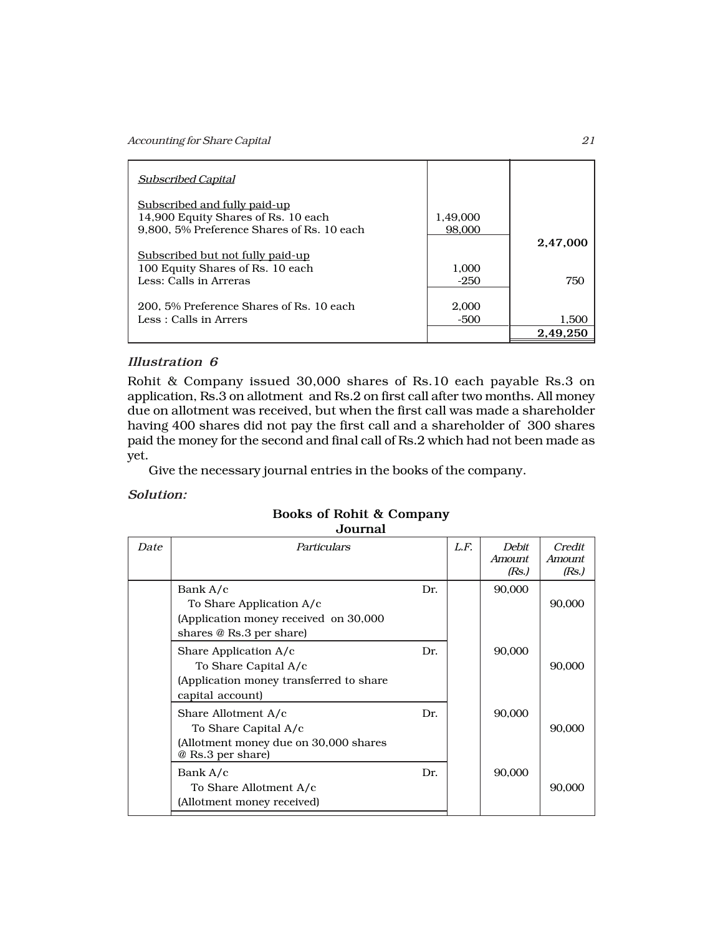| <b>Subscribed Capital</b>                  |          |          |
|--------------------------------------------|----------|----------|
| Subscribed and fully paid-up               |          |          |
| 14,900 Equity Shares of Rs. 10 each        | 1,49,000 |          |
| 9,800, 5% Preference Shares of Rs. 10 each | 98,000   |          |
|                                            |          | 2,47,000 |
| Subscribed but not fully paid-up           |          |          |
| 100 Equity Shares of Rs. 10 each           | 1.000    |          |
| Less: Calls in Arreras                     | $-250$   | 750      |
|                                            |          |          |
| 200, 5% Preference Shares of Rs. 10 each   | 2.000    |          |
| Less : Calls in Arrers                     | $-500$   | 1.500    |
|                                            |          | 2.49.250 |

# *Illustration 6*

Rohit & Company issued 30,000 shares of Rs.10 each payable Rs.3 on application, Rs.3 on allotment and Rs.2 on first call after two months. All money due on allotment was received, but when the first call was made a shareholder having 400 shares did not pay the first call and a shareholder of 300 shares paid the money for the second and final call of Rs.2 which had not been made as yet.

Give the necessary journal entries in the books of the company.

# *Solution:*

# **Books of Rohit & Company Journal**

| Date | Particulars                                                                                                  |     | L.F. | Debit<br><i>Amount</i><br>(Rs.) | Credit<br><i>Amount</i><br>(Rs.) |
|------|--------------------------------------------------------------------------------------------------------------|-----|------|---------------------------------|----------------------------------|
|      | Bank A/c<br>To Share Application A/c<br>(Application money received on 30,000)<br>shares @ Rs.3 per share)   | Dr. |      | 90,000                          | 90,000                           |
|      | Share Application A/c<br>To Share Capital A/c<br>(Application money transferred to share<br>capital account) | Dr. |      | 90,000                          | 90,000                           |
|      | Share Allotment A/c<br>To Share Capital A/c<br>(Allotment money due on 30,000 shares)<br>@ Rs.3 per share)   | Dr. |      | 90,000                          | 90,000                           |
|      | Bank A/c<br>To Share Allotment A/c<br>(Allotment money received)                                             | Dr. |      | 90,000                          | 90,000                           |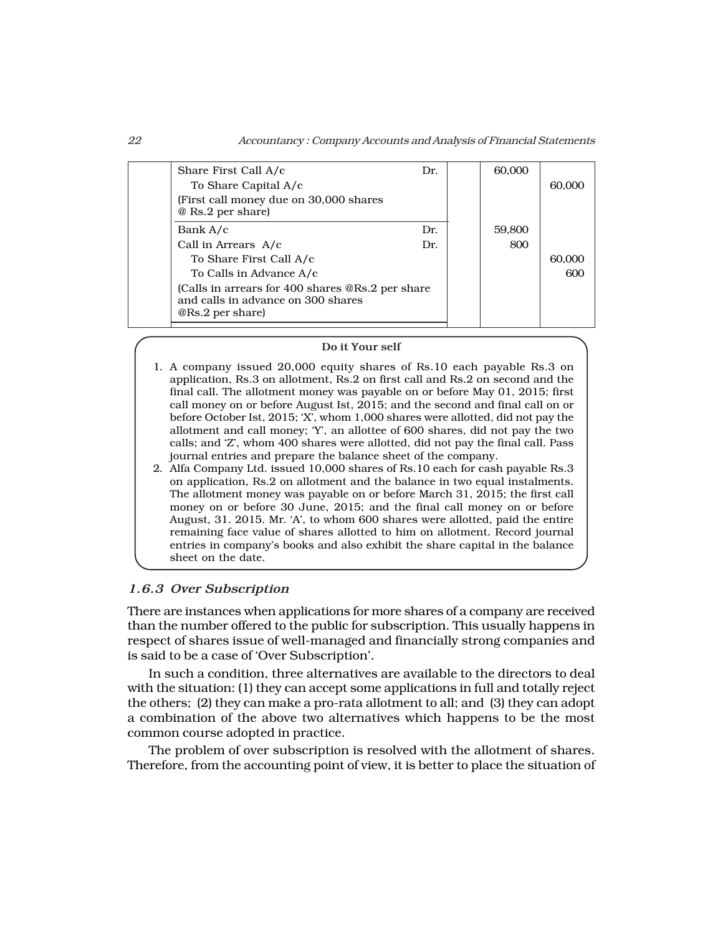| Share First Call A/c                                                                                        | Dr. | 60,000 |        |
|-------------------------------------------------------------------------------------------------------------|-----|--------|--------|
| To Share Capital A/c                                                                                        |     |        | 60.000 |
| (First call money due on 30,000 shares<br>@ Rs.2 per share)                                                 |     |        |        |
| Bank A/c                                                                                                    | Dr. | 59,800 |        |
| Call in Arrears A/c                                                                                         | Dr. | 800    |        |
| To Share First Call A/c                                                                                     |     |        | 60,000 |
| To Calls in Advance A/c                                                                                     |     |        | 600    |
| (Calls in arrears for 400 shares @Rs.2 per share)<br>and calls in advance on 300 shares<br>@Rs.2 per share) |     |        |        |

#### **Do it Your self**

- 1. A company issued 20,000 equity shares of Rs.10 each payable Rs.3 on application, Rs.3 on allotment, Rs.2 on first call and Rs.2 on second and the final call. The allotment money was payable on or before May 01, 2015; first call money on or before August Ist, 2015; and the second and final call on or before October Ist, 2015; 'X', whom 1,000 shares were allotted, did not pay the allotment and call money; 'Y', an allottee of 600 shares, did not pay the two calls; and 'Z', whom 400 shares were allotted, did not pay the final call. Pass journal entries and prepare the balance sheet of the company.
- 2. Alfa Company Ltd. issued 10,000 shares of Rs.10 each for cash payable Rs.3 on application, Rs.2 on allotment and the balance in two equal instalments. The allotment money was payable on or before March 31, 2015; the first call money on or before 30 June, 2015; and the final call money on or before August, 31. 2015. Mr. 'A', to whom 600 shares were allotted, paid the entire remaining face value of shares allotted to him on allotment. Record journal entries in company's books and also exhibit the share capital in the balance sheet on the date.

# *1.6.3 Over Subscription*

There are instances when applications for more shares of a company are received than the number offered to the public for subscription. This usually happens in respect of shares issue of well-managed and financially strong companies and is said to be a case of 'Over Subscription'.

In such a condition, three alternatives are available to the directors to deal with the situation: (1) they can accept some applications in full and totally reject the others; (2) they can make a pro-rata allotment to all; and (3) they can adopt a combination of the above two alternatives which happens to be the most common course adopted in practice.

The problem of over subscription is resolved with the allotment of shares. Therefore, from the accounting point of view, it is better to place the situation of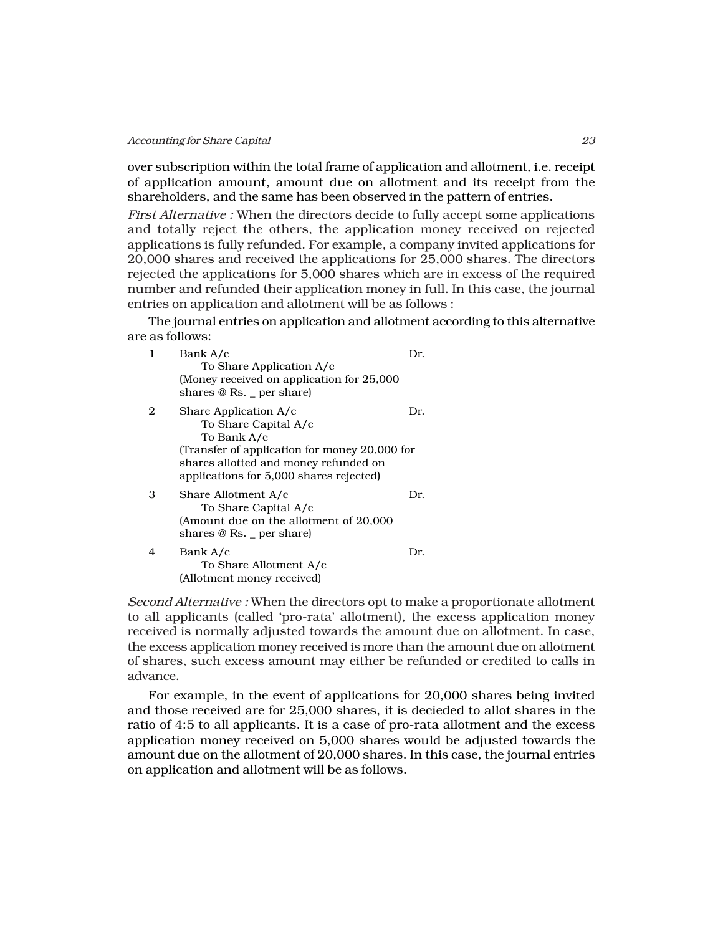over subscription within the total frame of application and allotment, i.e. receipt of application amount, amount due on allotment and its receipt from the shareholders, and the same has been observed in the pattern of entries.

*First Alternative :* When the directors decide to fully accept some applications and totally reject the others, the application money received on rejected applications is fully refunded. For example, a company invited applications for 20,000 shares and received the applications for 25,000 shares. The directors rejected the applications for 5,000 shares which are in excess of the required number and refunded their application money in full. In this case, the journal entries on application and allotment will be as follows :

The journal entries on application and allotment according to this alternative are as follows:

| 1 | Bank A/c                                                                                                                          | Dr. |
|---|-----------------------------------------------------------------------------------------------------------------------------------|-----|
|   | To Share Application A/c<br>(Money received on application for 25,000)<br>shares $@$ Rs. per share)                               |     |
| 2 | Share Application A/c<br>To Share Capital A/c<br>To Bank A/c                                                                      | Dr. |
|   | (Transfer of application for money 20,000 for<br>shares allotted and money refunded on<br>applications for 5,000 shares rejected) |     |
| 3 | Share Allotment A/c<br>To Share Capital A/c<br>(Amount due on the allotment of 20,000)<br>shares @ Rs. per share)                 | Dr. |
| 4 | Bank A/c<br>To Share Allotment A/c<br>(Allotment money received)                                                                  | Dr. |

*Second Alternative :* When the directors opt to make a proportionate allotment to all applicants (called 'pro-rata' allotment), the excess application money received is normally adjusted towards the amount due on allotment. In case, the excess application money received is more than the amount due on allotment of shares, such excess amount may either be refunded or credited to calls in advance.

For example, in the event of applications for 20,000 shares being invited and those received are for 25,000 shares, it is decieded to allot shares in the ratio of 4:5 to all applicants. It is a case of pro-rata allotment and the excess application money received on 5,000 shares would be adjusted towards the amount due on the allotment of 20,000 shares. In this case, the journal entries on application and allotment will be as follows.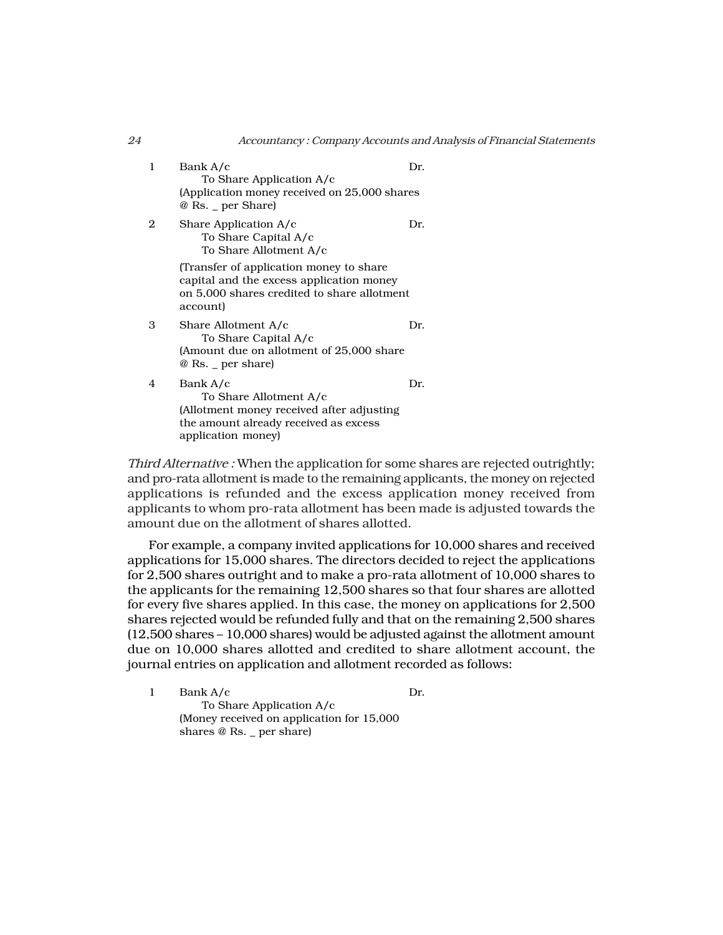1 Bank A/c Dr. To Share Application A/c (Application money received on 25,000 shares @ Rs. \_ per Share) 2 Share Application A/c Dr. To Share Capital A/c To Share Allotment A/c (Transfer of application money to share capital and the excess application money on 5,000 shares credited to share allotment account) 3 Share Allotment A/c Dr. To Share Capital A/c (Amount due on allotment of 25,000 share @ Rs. \_ per share) 4 Bank A/c Dr. To Share Allotment A/c (Allotment money received after adjusting the amount already received as excess application money)

*Third Alternative :* When the application for some shares are rejected outrightly; and pro-rata allotment is made to the remaining applicants, the money on rejected applications is refunded and the excess application money received from applicants to whom pro-rata allotment has been made is adjusted towards the amount due on the allotment of shares allotted.

For example, a company invited applications for 10,000 shares and received applications for 15,000 shares. The directors decided to reject the applications for 2,500 shares outright and to make a pro-rata allotment of 10,000 shares to the applicants for the remaining 12,500 shares so that four shares are allotted for every five shares applied. In this case, the money on applications for 2,500 shares rejected would be refunded fully and that on the remaining 2,500 shares (12,500 shares – 10,000 shares) would be adjusted against the allotment amount due on 10,000 shares allotted and credited to share allotment account, the journal entries on application and allotment recorded as follows:

1 Bank A/c Dr. To Share Application A/c (Money received on application for 15,000 shares @ Rs. \_ per share)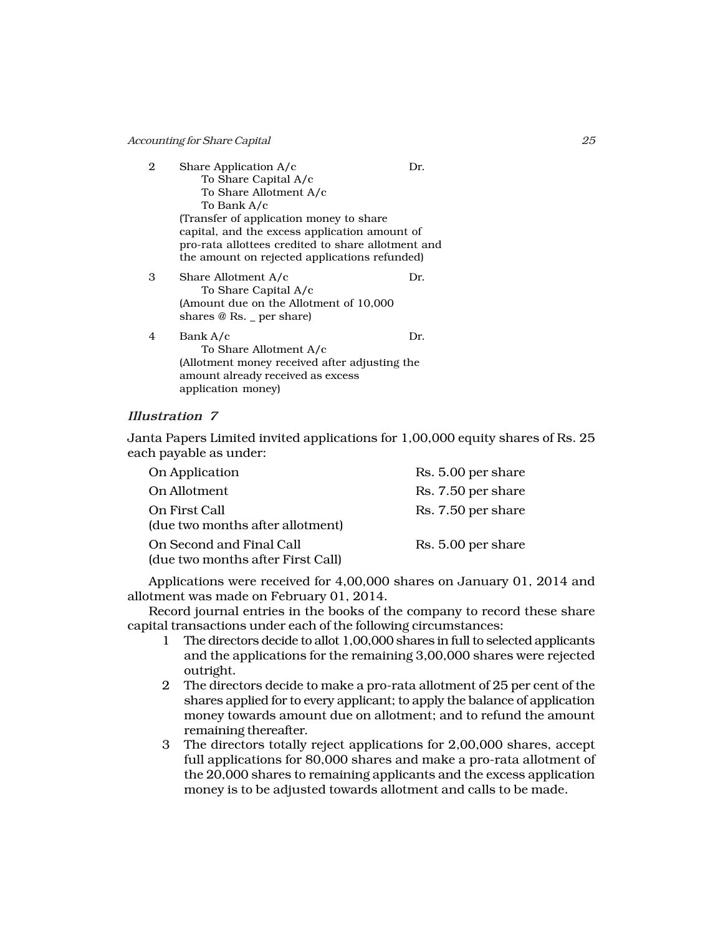- 2 Share Application A/c Dr. To Share Capital A/c To Share Allotment A/c To Bank A/c (Transfer of application money to share capital, and the excess application amount of pro-rata allottees credited to share allotment and the amount on rejected applications refunded)
- 3 Share Allotment A/c Dr. To Share Capital A/c (Amount due on the Allotment of 10,000 shares @ Rs. \_ per share)
- 4 Bank A/c Dr. To Share Allotment A/c (Allotment money received after adjusting the amount already received as excess application money)

# *Illustration 7*

Janta Papers Limited invited applications for 1,00,000 equity shares of Rs. 25 each payable as under:

| On Application                                                | Rs. 5.00 per share |
|---------------------------------------------------------------|--------------------|
| On Allotment                                                  | Rs. 7.50 per share |
| On First Call<br>(due two months after allotment)             | Rs. 7.50 per share |
| On Second and Final Call<br>(due two months after First Call) | Rs. 5.00 per share |

Applications were received for 4,00,000 shares on January 01, 2014 and allotment was made on February 01, 2014.

Record journal entries in the books of the company to record these share capital transactions under each of the following circumstances:

- 1 The directors decide to allot 1,00,000 shares in full to selected applicants and the applications for the remaining 3,00,000 shares were rejected outright.
- 2 The directors decide to make a pro-rata allotment of 25 per cent of the shares applied for to every applicant; to apply the balance of application money towards amount due on allotment; and to refund the amount remaining thereafter.
- 3 The directors totally reject applications for 2,00,000 shares, accept full applications for 80,000 shares and make a pro-rata allotment of the 20,000 shares to remaining applicants and the excess application money is to be adjusted towards allotment and calls to be made.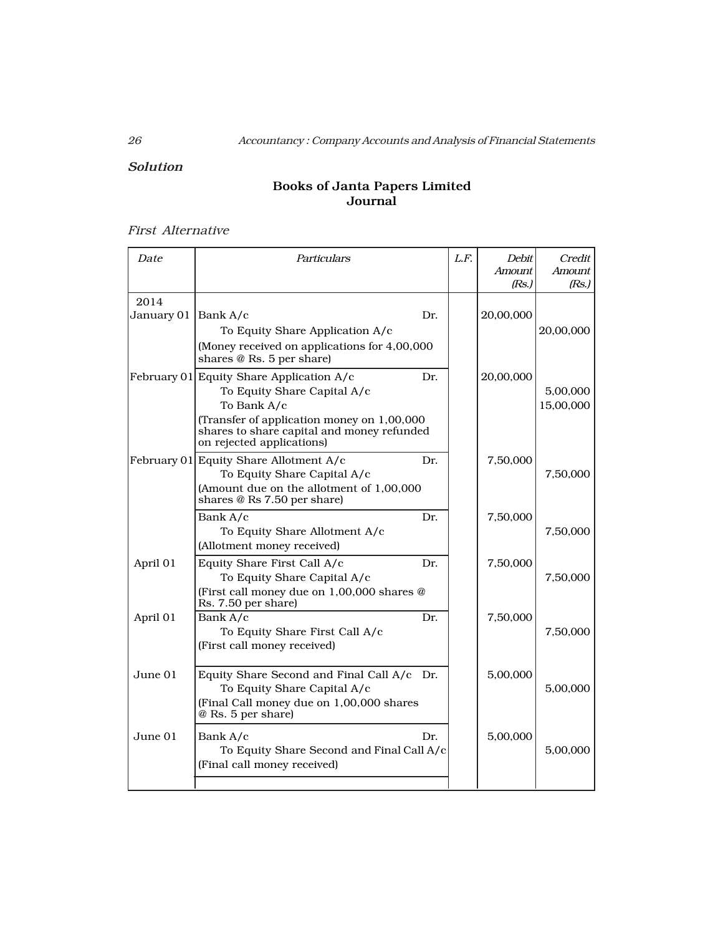# *Solution*

# **Books of Janta Papers Limited Journal**

# *First Alternative*

| Date               | Particulars                                                                                                                                                                                                            | L.F. | Debit<br>Amount<br>(Rs.) | Credit<br>Amount<br>(Rs) |
|--------------------|------------------------------------------------------------------------------------------------------------------------------------------------------------------------------------------------------------------------|------|--------------------------|--------------------------|
| 2014<br>January 01 | Bank A/c<br>Dr.<br>To Equity Share Application A/c<br>(Money received on applications for 4,00,000<br>shares @ Rs. 5 per share)                                                                                        |      | 20,00,000                | 20,00,000                |
|                    | Dr.<br>February 01 Equity Share Application A/c<br>To Equity Share Capital A/c<br>To Bank A/c<br>(Transfer of application money on 1,00,000<br>shares to share capital and money refunded<br>on rejected applications) |      | 20,00,000                | 5,00,000<br>15,00,000    |
|                    | February 01 Equity Share Allotment A/c<br>Dr.<br>To Equity Share Capital A/c<br>(Amount due on the allotment of 1,00,000<br>shares @ Rs 7.50 per share)                                                                |      | 7,50,000                 | 7,50,000                 |
|                    | Bank A/c<br>Dr.<br>To Equity Share Allotment A/c<br>(Allotment money received)                                                                                                                                         |      | 7,50,000                 | 7,50,000                 |
| April 01           | Equity Share First Call A/c<br>Dr.<br>To Equity Share Capital A/c<br>(First call money due on 1,00,000 shares @<br>Rs. 7.50 per share)                                                                                 |      | 7,50,000                 | 7,50,000                 |
| April 01           | Dr.<br>Bank A/c<br>To Equity Share First Call A/c<br>(First call money received)                                                                                                                                       |      | 7,50,000                 | 7,50,000                 |
| June 01            | Equity Share Second and Final Call A/c Dr.<br>To Equity Share Capital A/c<br>(Final Call money due on 1,00,000 shares<br>@ Rs. 5 per share)                                                                            |      | 5,00,000                 | 5,00,000                 |
| June 01            | Bank A/c<br>Dr.<br>To Equity Share Second and Final Call A/c<br>(Final call money received)                                                                                                                            |      | 5,00,000                 | 5,00,000                 |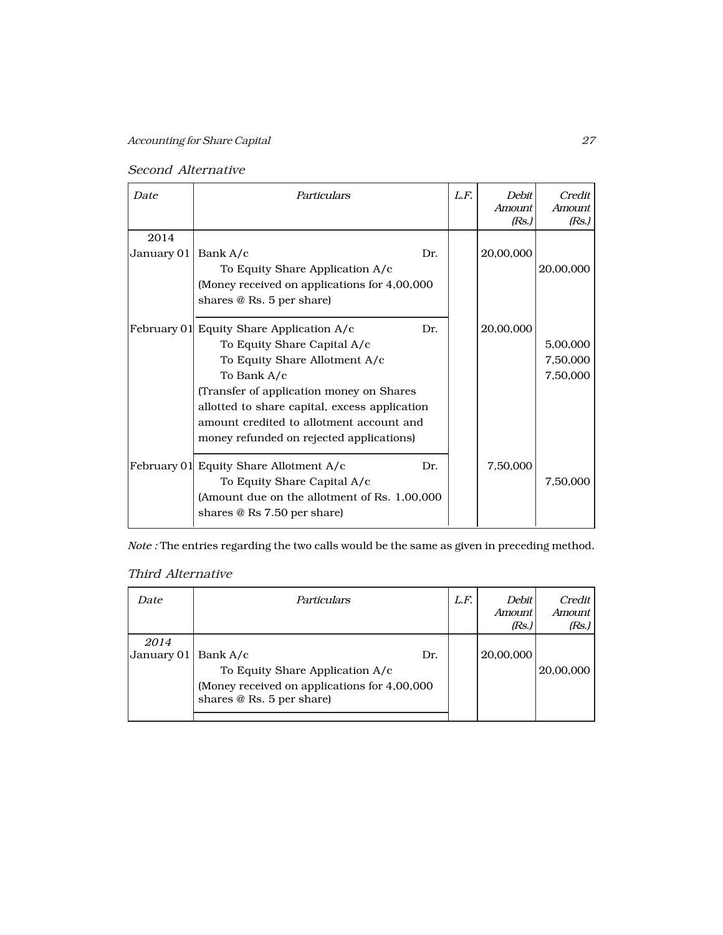# *Accounting for Share Capital 27*

# *Second Alternative*

| Date               | Particulars                                                                                                                                                                                                                                                                                                         | L.F. | Debit.<br><i>Amount</i><br>(Rs.) | Credit<br>Amount<br>(Rs.)        |
|--------------------|---------------------------------------------------------------------------------------------------------------------------------------------------------------------------------------------------------------------------------------------------------------------------------------------------------------------|------|----------------------------------|----------------------------------|
| 2014<br>January 01 | Dr.<br>Bank A/c<br>To Equity Share Application A/c<br>(Money received on applications for 4,00,000<br>shares @ Rs. 5 per share)                                                                                                                                                                                     |      | 20,00,000                        | 20,00,000                        |
|                    | February 01 Equity Share Application A/c<br>Dr.<br>To Equity Share Capital A/c<br>To Equity Share Allotment A/c<br>To Bank A/c<br>(Transfer of application money on Shares<br>allotted to share capital, excess application<br>amount credited to allotment account and<br>money refunded on rejected applications) |      | 20,00,000                        | 5,00,000<br>7,50,000<br>7,50,000 |
|                    | February 01 Equity Share Allotment A/c<br>Dr.<br>To Equity Share Capital A/c<br>(Amount due on the allotment of Rs. 1,00,000)<br>shares $@$ Rs 7.50 per share)                                                                                                                                                      |      | 7,50,000                         | 7,50,000                         |

*Note :* The entries regarding the two calls would be the same as given in preceding method.

| Date       | Particulars                                                               |     | L.F. | <b>Debit</b> | Credit    |
|------------|---------------------------------------------------------------------------|-----|------|--------------|-----------|
|            |                                                                           |     |      | Amount       | Amount    |
|            |                                                                           |     |      | (Rs.)        | (Rs.)     |
| 2014       |                                                                           |     |      |              |           |
| January 01 | Bank A/c                                                                  | Dr. |      | 20,00,000    |           |
|            | To Equity Share Application A/c                                           |     |      |              | 20,00,000 |
|            | (Money received on applications for 4,00,000<br>shares @ Rs. 5 per share) |     |      |              |           |
|            |                                                                           |     |      |              |           |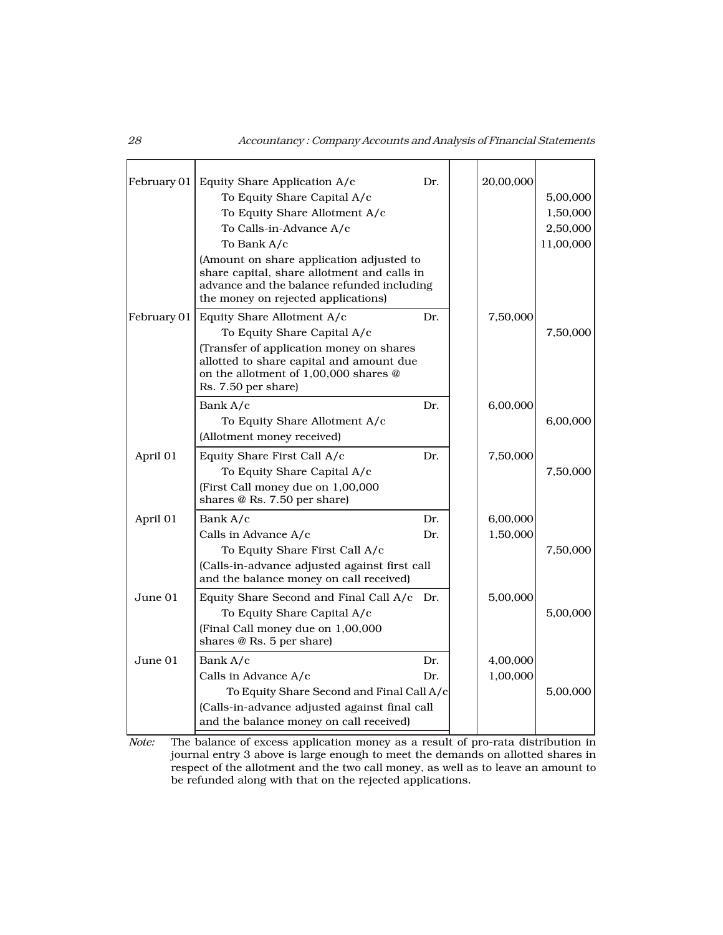$\overline{\phantom{0}}$ 

 $\overline{\phantom{0}}$ 

٦

| February $01$ | Equity Share Application A/c<br>To Equity Share Capital A/c<br>To Equity Share Allotment A/c<br>To Calls-in-Advance A/c<br>To Bank A/c                                                                            | Dr.        | 20,00,000            | 5,00,000<br>1,50,000<br>2,50,000<br>11,00,000 |
|---------------|-------------------------------------------------------------------------------------------------------------------------------------------------------------------------------------------------------------------|------------|----------------------|-----------------------------------------------|
|               | (Amount on share application adjusted to<br>share capital, share allotment and calls in<br>advance and the balance refunded including<br>the money on rejected applications)                                      |            |                      |                                               |
| February 01   | Equity Share Allotment A/c<br>To Equity Share Capital A/c<br>(Transfer of application money on shares<br>allotted to share capital and amount due<br>on the allotment of 1,00,000 shares @<br>Rs. 7.50 per share) | Dr.        | 7,50,000             | 7,50,000                                      |
|               | Bank A/c<br>To Equity Share Allotment A/c<br>(Allotment money received)                                                                                                                                           | Dr.        | 6,00,000             | 6,00,000                                      |
| April 01      | Equity Share First Call A/c<br>To Equity Share Capital A/c<br>(First Call money due on 1,00,000<br>shares @ Rs. 7.50 per share)                                                                                   | Dr.        | 7,50,000             | 7,50,000                                      |
| April 01      | Bank A/c<br>Calls in Advance A/c<br>To Equity Share First Call A/c<br>(Calls-in-advance adjusted against first call<br>and the balance money on call received)                                                    | Dr.<br>Dr. | 6,00,000<br>1,50,000 | 7,50,000                                      |
| June 01       | Equity Share Second and Final Call A/c<br>To Equity Share Capital A/c<br>(Final Call money due on 1,00,000<br>shares @ Rs. 5 per share)                                                                           | Dr.        | 5,00,000             | 5,00,000                                      |
| June 01       | Bank A/c<br>Calls in Advance A/c<br>To Equity Share Second and Final Call A/c<br>(Calls-in-advance adjusted against final call<br>and the balance money on call received)                                         | Dr.<br>Dr. | 4,00,000<br>1,00,000 | 5,00,000                                      |

*Note:* The balance of excess application money as a result of pro-rata distribution in journal entry 3 above is large enough to meet the demands on allotted shares in respect of the allotment and the two call money, as well as to leave an amount to be refunded along with that on the rejected applications.

г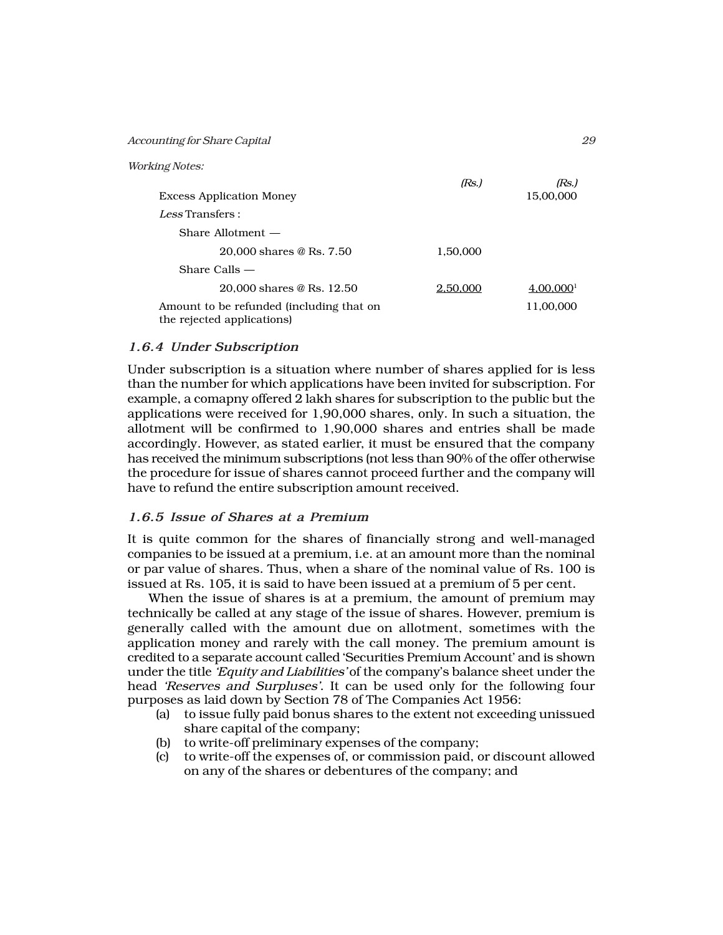*Accounting for Share Capital 29*

### *Working Notes:*

|                                                                        | (Rs.)    | (Rs.)     |
|------------------------------------------------------------------------|----------|-----------|
| <b>Excess Application Money</b>                                        |          | 15,00,000 |
| Less Transfers :                                                       |          |           |
| Share Allotment $-$                                                    |          |           |
| 20,000 shares @ Rs. 7.50                                               | 1,50,000 |           |
| Share Calls $-$                                                        |          |           |
| 20,000 shares @ Rs. 12.50                                              | 2.50.000 | 4.00.0001 |
| Amount to be refunded (including that on<br>the rejected applications) |          | 11,00,000 |

# *1.6.4 Under Subscription*

Under subscription is a situation where number of shares applied for is less than the number for which applications have been invited for subscription. For example, a comapny offered 2 lakh shares for subscription to the public but the applications were received for 1,90,000 shares, only. In such a situation, the allotment will be confirmed to 1,90,000 shares and entries shall be made accordingly. However, as stated earlier, it must be ensured that the company has received the minimum subscriptions (not less than 90% of the offer otherwise the procedure for issue of shares cannot proceed further and the company will have to refund the entire subscription amount received.

### *1.6.5 Issue of Shares at a Premium*

It is quite common for the shares of financially strong and well-managed companies to be issued at a premium, i.e. at an amount more than the nominal or par value of shares. Thus, when a share of the nominal value of Rs. 100 is issued at Rs. 105, it is said to have been issued at a premium of 5 per cent.

When the issue of shares is at a premium, the amount of premium may technically be called at any stage of the issue of shares. However, premium is generally called with the amount due on allotment, sometimes with the application money and rarely with the call money. The premium amount is credited to a separate account called 'Securities Premium Account' and is shown under the title *'Equity and Liabilities'* of the company's balance sheet under the head *'Reserves and Surpluses'*. It can be used only for the following four purposes as laid down by Section 78 of The Companies Act 1956:

- (a) to issue fully paid bonus shares to the extent not exceeding unissued share capital of the company;
- (b) to write-off preliminary expenses of the company;
- (c) to write-off the expenses of, or commission paid, or discount allowed on any of the shares or debentures of the company; and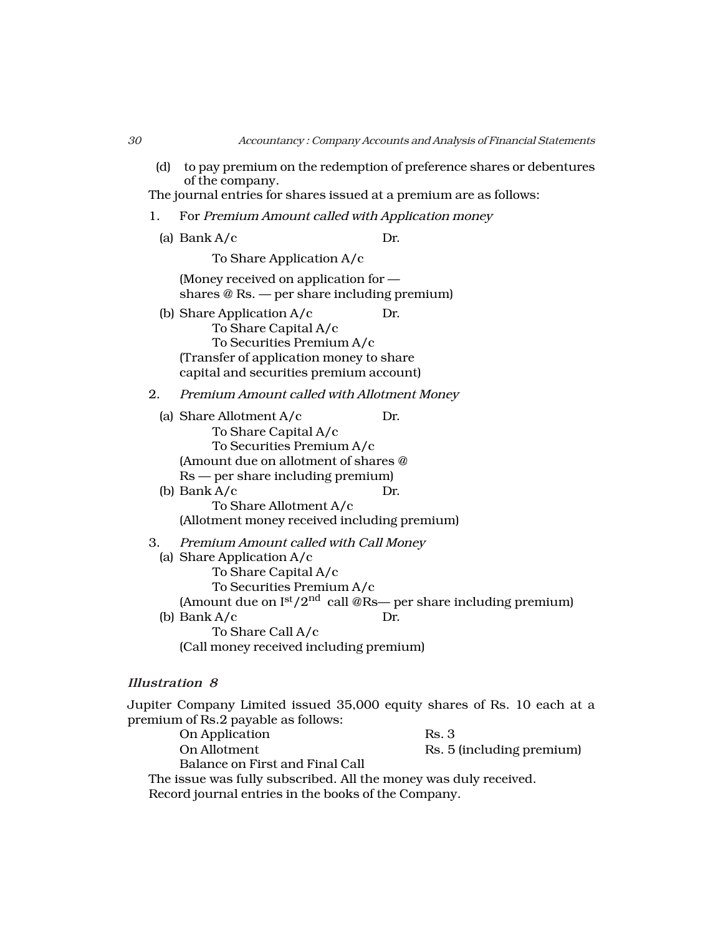(d) to pay premium on the redemption of preference shares or debentures of the company.

The journal entries for shares issued at a premium are as follows:

1. For *Premium Amount called with Application money*

| (a) Bank $A/c$ | Dr. |
|----------------|-----|
|----------------|-----|

To Share Application A/c

(Money received on application for shares @ Rs. — per share including premium)

(b) Share Application A/c Dr. To Share Capital A/c To Securities Premium A/c (Transfer of application money to share capital and securities premium account)

# 2. *Premium Amount called with Allotment Money*

- (a) Share Allotment A/c Dr. To Share Capital A/c To Securities Premium A/c (Amount due on allotment of shares @ Rs — per share including premium) (b) Bank  $A/c$  Dr. To Share Allotment A/c
	- (Allotment money received including premium)
- 3. *Premium Amount called with Call Money* (a) Share Application A/c To Share Capital A/c To Securities Premium A/c (Amount due on I<sup>st</sup>/2<sup>nd</sup> call @Rs— per share including premium)<br>Bank A/c **Dr.** (b) Bank  $A/c$ To Share Call A/c (Call money received including premium)

# *Illustration 8*

Jupiter Company Limited issued 35,000 equity shares of Rs. 10 each at a premium of Rs.2 payable as follows:

> On Application Rs. 3 On Allotment Rs. 5 (including premium)

Balance on First and Final Call

The issue was fully subscribed. All the money was duly received. Record journal entries in the books of the Company.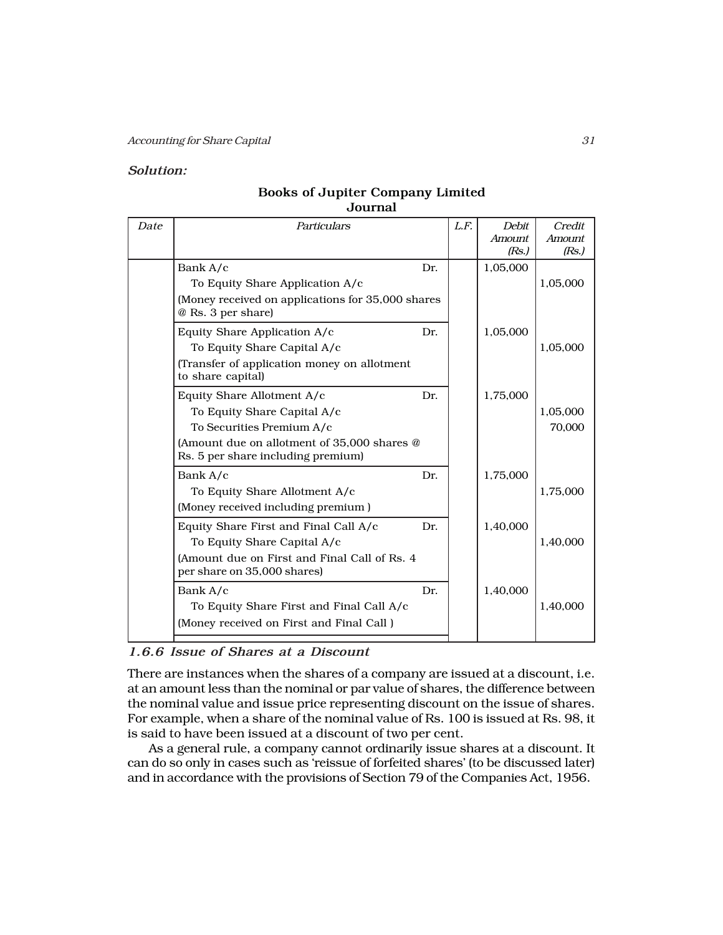# *Solution:*

# **Books of Jupiter Company Limited Journal**

| Date | Particulars                                                                                                                                                                 |     | L.F. | <b>Debit</b><br>Amount<br>(Rs.) | Credit<br><i>Amount</i><br>(Rs.) |
|------|-----------------------------------------------------------------------------------------------------------------------------------------------------------------------------|-----|------|---------------------------------|----------------------------------|
|      | Bank A/c<br>To Equity Share Application A/c<br>(Money received on applications for 35,000 shares<br>@ Rs. 3 per share)                                                      | Dr. |      | 1,05,000                        | 1,05,000                         |
|      | Equity Share Application A/c<br>To Equity Share Capital A/c<br>(Transfer of application money on allotment<br>to share capital)                                             | Dr. |      | 1,05,000                        | 1,05,000                         |
|      | Equity Share Allotment A/c<br>To Equity Share Capital A/c<br>To Securities Premium A/c<br>(Amount due on allotment of 35,000 shares @<br>Rs. 5 per share including premium) | Dr. |      | 1,75,000                        | 1,05,000<br>70,000               |
|      | Bank A/c<br>To Equity Share Allotment A/c<br>(Money received including premium)                                                                                             | Dr. |      | 1,75,000                        | 1,75,000                         |
|      | Equity Share First and Final Call A/c<br>To Equity Share Capital A/c<br>(Amount due on First and Final Call of Rs. 4)<br>per share on 35,000 shares)                        | Dr. |      | 1,40,000                        | 1,40,000                         |
|      | Bank A/c<br>To Equity Share First and Final Call A/c<br>(Money received on First and Final Call)                                                                            | Dr. |      | 1,40,000                        | 1,40,000                         |

# *1.6.6 Issue of Shares at a Discount*

There are instances when the shares of a company are issued at a discount, i.e. at an amount less than the nominal or par value of shares, the difference between the nominal value and issue price representing discount on the issue of shares. For example, when a share of the nominal value of Rs. 100 is issued at Rs. 98, it is said to have been issued at a discount of two per cent.

As a general rule, a company cannot ordinarily issue shares at a discount. It can do so only in cases such as 'reissue of forfeited shares' (to be discussed later) and in accordance with the provisions of Section 79 of the Companies Act, 1956.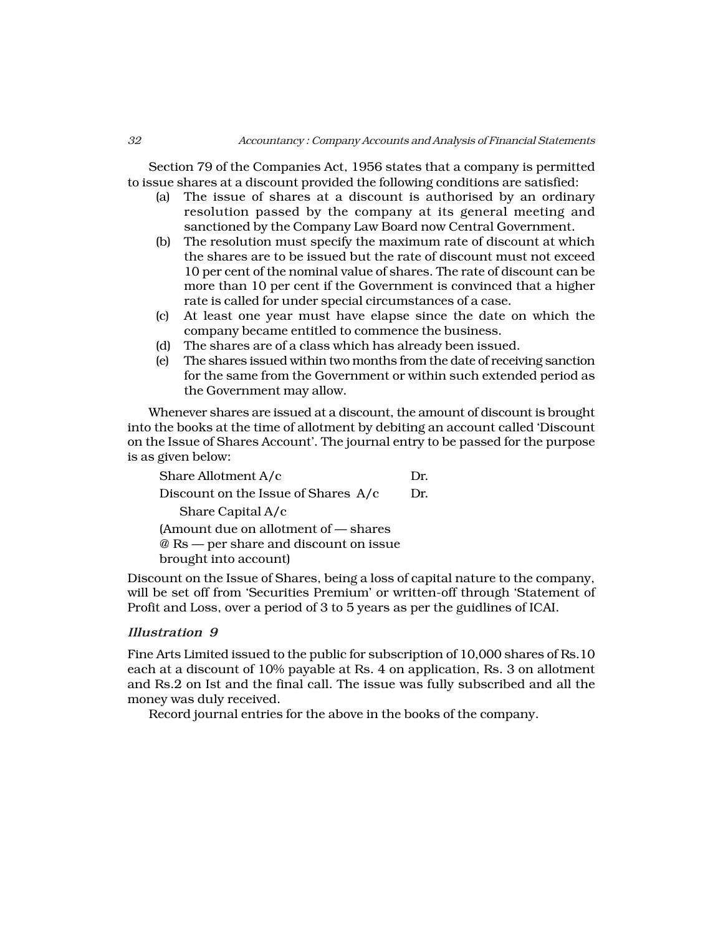Section 79 of the Companies Act, 1956 states that a company is permitted to issue shares at a discount provided the following conditions are satisfied:

- (a) The issue of shares at a discount is authorised by an ordinary resolution passed by the company at its general meeting and sanctioned by the Company Law Board now Central Government.
- (b) The resolution must specify the maximum rate of discount at which the shares are to be issued but the rate of discount must not exceed 10 per cent of the nominal value of shares. The rate of discount can be more than 10 per cent if the Government is convinced that a higher rate is called for under special circumstances of a case.
- (c) At least one year must have elapse since the date on which the company became entitled to commence the business.
- (d) The shares are of a class which has already been issued.
- (e) The shares issued within two months from the date of receiving sanction for the same from the Government or within such extended period as the Government may allow.

Whenever shares are issued at a discount, the amount of discount is brought into the books at the time of allotment by debiting an account called 'Discount on the Issue of Shares Account'. The journal entry to be passed for the purpose is as given below:

| Share Allotment A/c                    | Dr. |
|----------------------------------------|-----|
| Discount on the Issue of Shares A/c    | Dr. |
| Share Capital A/c                      |     |
| (Amount due on allotment of – shares   |     |
| @ Rs — per share and discount on issue |     |
| brought into account)                  |     |

Discount on the Issue of Shares, being a loss of capital nature to the company, will be set off from 'Securities Premium' or written-off through 'Statement of Profit and Loss, over a period of 3 to 5 years as per the guidlines of ICAI.

# *Illustration 9*

Fine Arts Limited issued to the public for subscription of 10,000 shares of Rs.10 each at a discount of 10% payable at Rs. 4 on application, Rs. 3 on allotment and Rs.2 on Ist and the final call. The issue was fully subscribed and all the money was duly received.

Record journal entries for the above in the books of the company.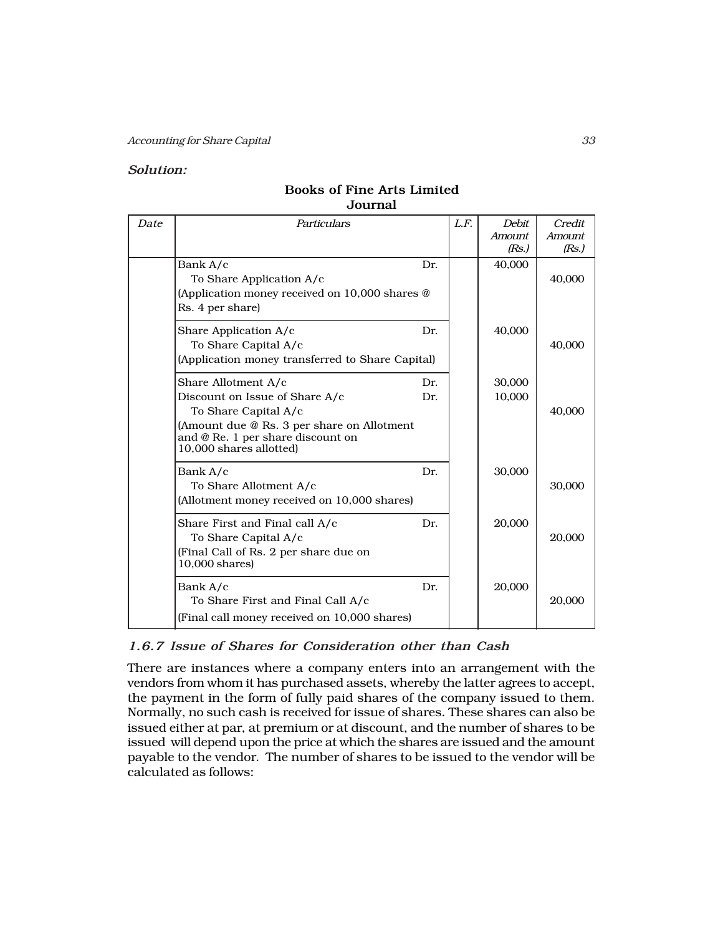# *Solution:*

# **Books of Fine Arts Limited Journal**

| Date | Particulars                                                                                                                                                                                 |            | L.F. | <b>Debit</b><br>Amount | Credit<br>Amount |
|------|---------------------------------------------------------------------------------------------------------------------------------------------------------------------------------------------|------------|------|------------------------|------------------|
|      |                                                                                                                                                                                             |            |      | (Rs.)                  | (Rs.)            |
|      | Bank A/c<br>To Share Application A/c<br>(Application money received on 10,000 shares @<br>Rs. 4 per share)                                                                                  | Dr.        |      | 40,000                 | 40,000           |
|      | Share Application A/c<br>To Share Capital A/c<br>(Application money transferred to Share Capital)                                                                                           | Dr.        |      | 40,000                 | 40,000           |
|      | Share Allotment A/c<br>Discount on Issue of Share A/c<br>To Share Capital A/c<br>(Amount due @ Rs. 3 per share on Allotment<br>and @ Re. 1 per share discount on<br>10,000 shares allotted) | Dr.<br>Dr. |      | 30,000<br>10,000       | 40,000           |
|      | Bank A/c<br>To Share Allotment A/c<br>(Allotment money received on 10,000 shares)                                                                                                           | Dr.        |      | 30,000                 | 30,000           |
|      | Share First and Final call A/c<br>To Share Capital A/c<br>(Final Call of Rs. 2 per share due on<br>10,000 shares)                                                                           | Dr.        |      | 20,000                 | 20,000           |
|      | Bank A/c<br>To Share First and Final Call A/c<br>(Final call money received on 10,000 shares)                                                                                               | Dr.        |      | 20,000                 | 20,000           |

# *1.6.7 Issue of Shares for Consideration other than Cash*

There are instances where a company enters into an arrangement with the vendors from whom it has purchased assets, whereby the latter agrees to accept, the payment in the form of fully paid shares of the company issued to them. Normally, no such cash is received for issue of shares. These shares can also be issued either at par, at premium or at discount, and the number of shares to be issued will depend upon the price at which the shares are issued and the amount payable to the vendor. The number of shares to be issued to the vendor will be calculated as follows: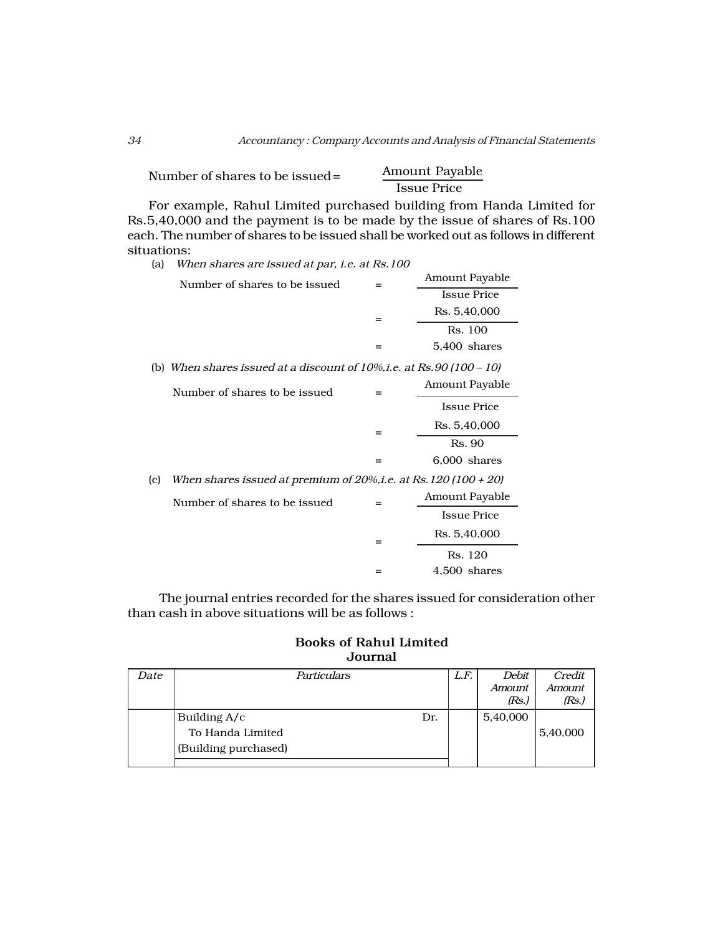Number of shares to be issued  $=$  Amount Payable

Issue Price

For example, Rahul Limited purchased building from Handa Limited for Rs.5,40,000 and the payment is to be made by the issue of shares of Rs.100 each. The number of shares to be issued shall be worked out as follows in different situations:

| (a) | When shares are issued at par, i.e. at Rs.100                     |                    |                       |
|-----|-------------------------------------------------------------------|--------------------|-----------------------|
|     | Number of shares to be issued                                     | $\equiv$           | <b>Amount Payable</b> |
|     |                                                                   |                    | <b>Issue Price</b>    |
|     |                                                                   | =                  | Rs. 5,40,000          |
|     |                                                                   |                    | Rs. 100               |
|     |                                                                   | =                  | $5,400$ shares        |
| (b) | When shares issued at a discount of 10%, i.e. at Rs.90 (100 – 10) |                    |                       |
|     | Number of shares to be issued                                     |                    | <b>Amount Payable</b> |
|     |                                                                   | <b>Issue Price</b> |                       |
|     |                                                                   | =                  | Rs. 5,40,000          |
|     |                                                                   |                    | Rs. 90                |
|     |                                                                   | =                  | 6,000 shares          |
| (c) | When shares issued at premium of 20%, i.e. at Rs. 120 (100 + 20)  |                    |                       |
|     | Number of shares to be issued                                     |                    | <b>Amount Payable</b> |
|     |                                                                   |                    | <b>Issue Price</b>    |
|     |                                                                   | Ξ                  | Rs. 5,40,000          |
|     |                                                                   |                    | Rs. 120               |

= 4,500shares

The journal entries recorded for the shares issued for consideration other than cash in above situations will be as follows :

# **Books of Rahul Limited Journal**

| Date |                      | Particulars | L.F. | Debit           | Credit   |
|------|----------------------|-------------|------|-----------------|----------|
|      |                      |             |      | Amount<br>(Rs.) | Amount   |
|      |                      |             |      |                 | (Rs.)    |
|      | Building A/c         | Dr.         |      | 5,40,000        |          |
|      | To Handa Limited     |             |      |                 | 5,40,000 |
|      | (Building purchased) |             |      |                 |          |
|      |                      |             |      |                 |          |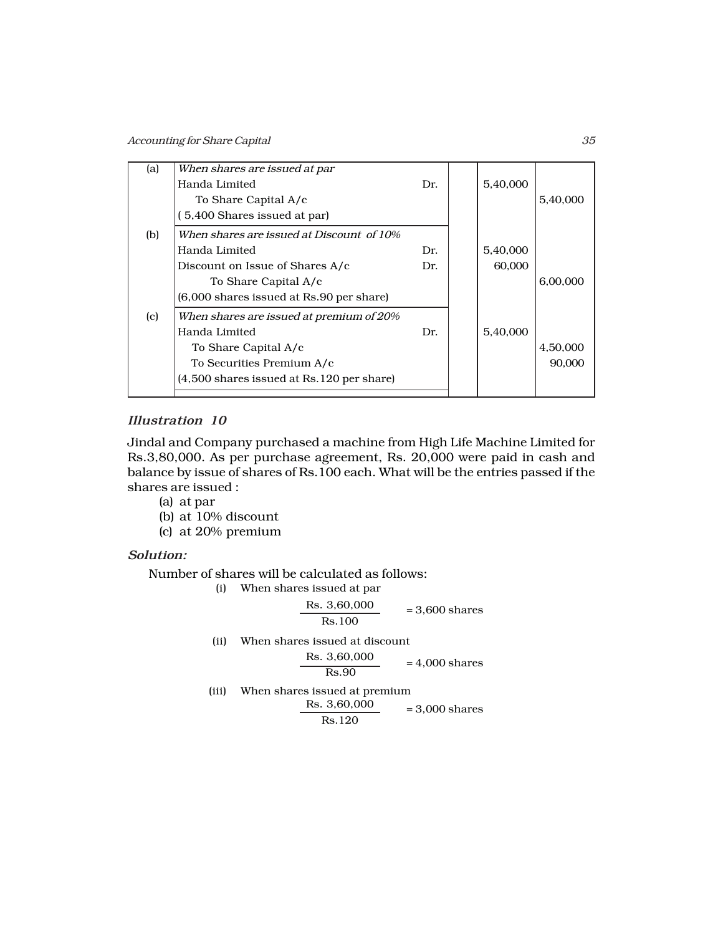| (a) | When shares are issued at par             |     |          |          |
|-----|-------------------------------------------|-----|----------|----------|
|     | Handa Limited                             | Dr. | 5,40,000 |          |
|     | To Share Capital A/c                      |     |          | 5,40,000 |
|     | (5,400 Shares issued at par)              |     |          |          |
| (b) | When shares are issued at Discount of 10% |     |          |          |
|     | Handa Limited                             | Dr. | 5,40,000 |          |
|     | Discount on Issue of Shares A/c           | Dr. | 60,000   |          |
|     | To Share Capital A/c                      |     |          | 6,00,000 |
|     | (6,000 shares issued at Rs.90 per share)  |     |          |          |
| (c) | When shares are issued at premium of 20%  |     |          |          |
|     | Handa Limited                             | Dr. | 5,40,000 |          |
|     | To Share Capital A/c                      |     |          | 4,50,000 |
|     | To Securities Premium A/c                 |     |          | 90,000   |
|     | (4,500 shares issued at Rs.120 per share) |     |          |          |
|     |                                           |     |          |          |

# *Illustration 10*

Jindal and Company purchased a machine from High Life Machine Limited for Rs.3,80,000. As per purchase agreement, Rs. 20,000 were paid in cash and balance by issue of shares of Rs.100 each. What will be the entries passed if the shares are issued :

(a) at par

- (b) at 10% discount
- (c) at 20% premium

# *Solution:*

Number of shares will be calculated as follows:

(i) When shares issued at par

$$
\frac{\text{Rs. }3,60,000}{\text{Rs. }100} = 3,600 \text{ shares}
$$

# (ii) When shares issued at discount Rs. 3,60,000 = 4,000 shares

$$
Rs.90
$$
\n(iii) When shares issued at premium\n
$$
\frac{Rs. 3,60,000}{Rs. 120} = 3,000 \text{ shares}
$$

$$
\rm Rs.120
$$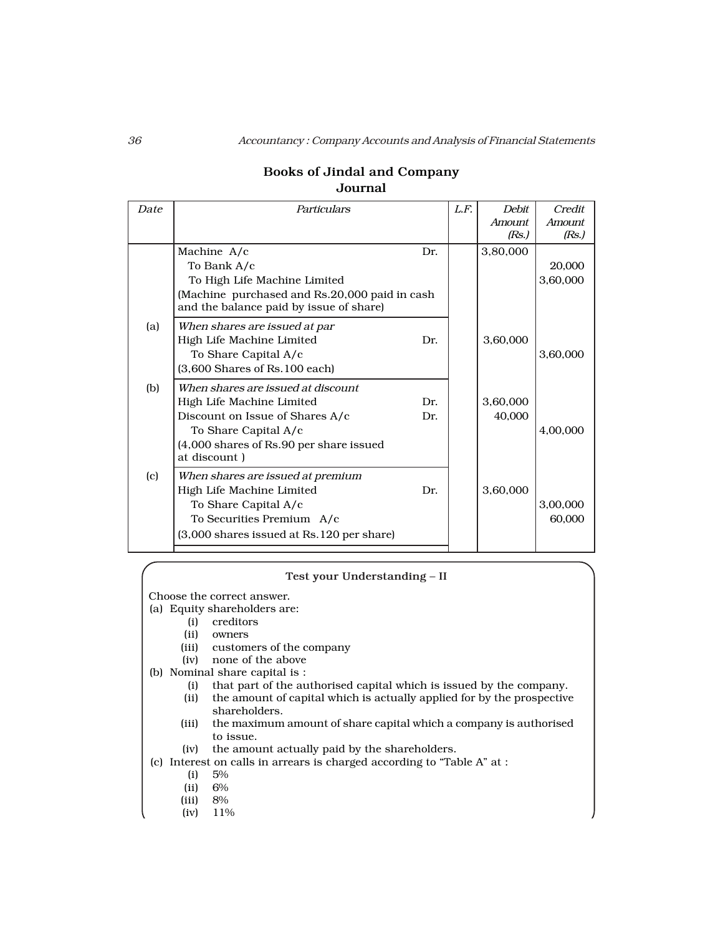| Date | Particulars                                                                                        |            | L.F. | <b>Debit</b>       | Credit             |
|------|----------------------------------------------------------------------------------------------------|------------|------|--------------------|--------------------|
|      |                                                                                                    |            |      | <i>Amount</i>      | <i>Amount</i>      |
|      |                                                                                                    |            |      | (Rs.)              | (Rs.)              |
|      | Machine $A/c$<br>To Bank A/c                                                                       | Dr.        |      | 3,80,000           | 20,000             |
|      | To High Life Machine Limited                                                                       |            |      |                    | 3,60,000           |
|      | (Machine purchased and Rs.20,000 paid in cash)<br>and the balance paid by issue of share)          |            |      |                    |                    |
| (a)  | When shares are issued at par<br>High Life Machine Limited                                         | Dr.        |      | 3,60,000           |                    |
|      | To Share Capital A/c<br>$(3,600$ Shares of Rs. 100 each)                                           |            |      |                    | 3,60,000           |
| (b)  | When shares are issued at discount<br>High Life Machine Limited<br>Discount on Issue of Shares A/c | Dr.<br>Dr. |      | 3,60,000<br>40,000 |                    |
|      | To Share Capital A/c<br>(4,000 shares of Rs.90 per share issued<br>at discount)                    |            |      |                    | 4,00,000           |
| (c)  | When shares are issued at premium<br>High Life Machine Limited                                     | Dr.        |      | 3,60,000           |                    |
|      | To Share Capital A/c<br>To Securities Premium A/c<br>(3,000 shares issued at Rs.120 per share)     |            |      |                    | 3,00,000<br>60,000 |

# **Books of Jindal and Company Journal**

### **Test your Understanding – II**

Choose the correct answer.

- (a) Equity shareholders are:
	- (i) creditors
	- (ii) owners
	- (iii) customers of the company
	- (iv) none of the above
- (b) Nominal share capital is :
	- (i) that part of the authorised capital which is issued by the company.
	- (ii) the amount of capital which is actually applied for by the prospective shareholders.
	- (iii) the maximum amount of share capital which a company is authorised to issue.
	- (iv) the amount actually paid by the shareholders.

(c) Interest on calls in arrears is charged according to "Table A" at :

- (i)  $5\%$ <br>(ii)  $6\%$
- $(ii)$
- (iii) 8%
- (iv) 11%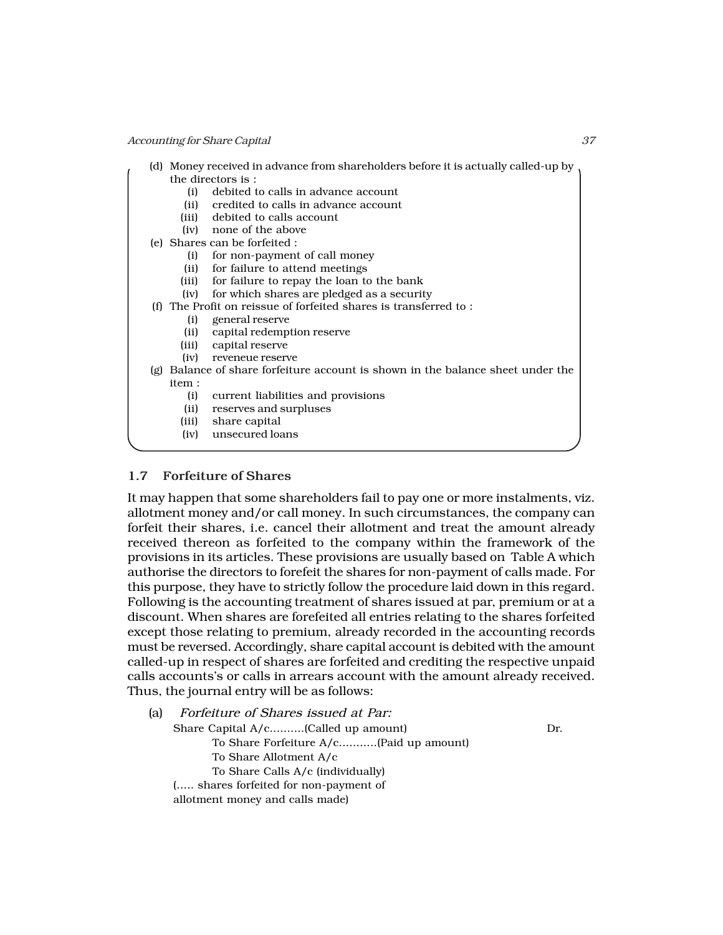- (d) Money received in advance from shareholders before it is actually called-up by the directors is :
	- (i) debited to calls in advance account
	- (ii) credited to calls in advance account
	- (iii) debited to calls account
	- (iv) none of the above
- (e) Shares can be forfeited :
	- (i) for non-payment of call money
	- (ii) for failure to attend meetings
	- (iii) for failure to repay the loan to the bank
	- (iv) for which shares are pledged as a security
- (f) The Profit on reissue of forfeited shares is transferred to :
	- (i) general reserve
	- (ii) capital redemption reserve
	- (iii) capital reserve
	- (iv) reveneue reserve
- (g) Balance of share forfeiture account is shown in the balance sheet under the item :
	- (i) current liabilities and provisions
	- (ii) reserves and surpluses
	- (iii) share capital<br>(iv) unsecured loa
	- unsecured loans

#### **1.7 Forfeiture of Shares**

It may happen that some shareholders fail to pay one or more instalments, viz. allotment money and/or call money. In such circumstances, the company can forfeit their shares, i.e. cancel their allotment and treat the amount already received thereon as forfeited to the company within the framework of the provisions in its articles. These provisions are usually based on Table A which authorise the directors to forefeit the shares for non-payment of calls made. For this purpose, they have to strictly follow the procedure laid down in this regard. Following is the accounting treatment of shares issued at par, premium or at a discount. When shares are forefeited all entries relating to the shares forfeited except those relating to premium, already recorded in the accounting records must be reversed. Accordingly, share capital account is debited with the amount called-up in respect of shares are forfeited and crediting the respective unpaid calls accounts's or calls in arrears account with the amount already received. Thus, the journal entry will be as follows:

(a) *Forfeiture of Shares issued at Par:* Share Capital A/c..........(Called up amount) Dr. To Share Forfeiture A/c...........(Paid up amount) To Share Allotment A/c To Share Calls A/c (individually) (..... shares forfeited for non-payment of allotment money and calls made)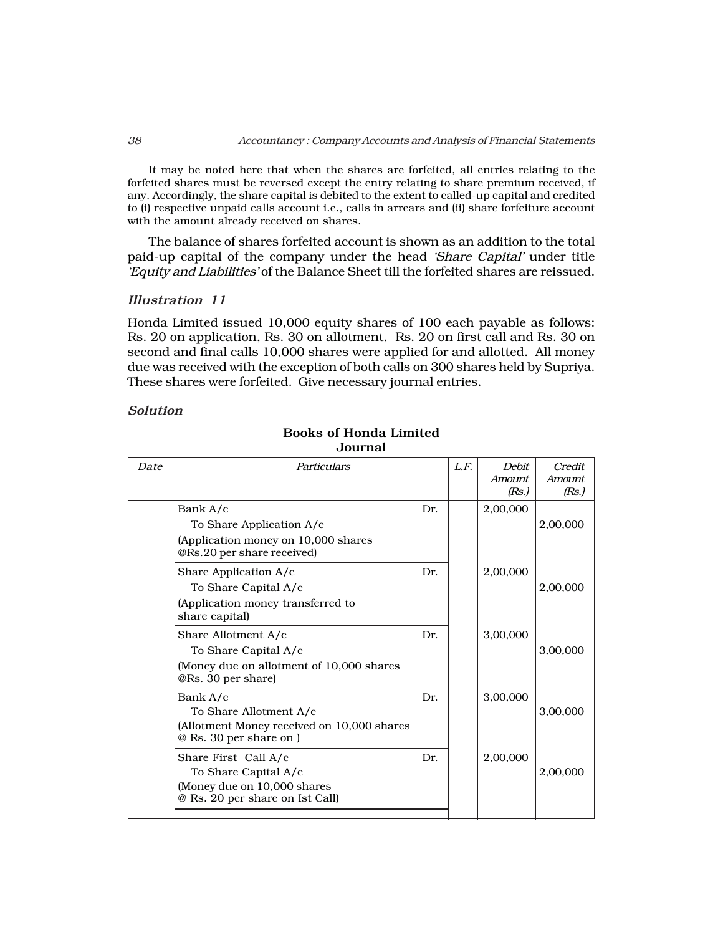It may be noted here that when the shares are forfeited, all entries relating to the forfeited shares must be reversed except the entry relating to share premium received, if any. Accordingly, the share capital is debited to the extent to called-up capital and credited to (i) respective unpaid calls account i.e., calls in arrears and (ii) share forfeiture account with the amount already received on shares.

The balance of shares forfeited account is shown as an addition to the total paid-up capital of the company under the head *'Share Capital'* under title *'Equity and Liabilities'* of the Balance Sheet till the forfeited shares are reissued.

# *Illustration 11*

Honda Limited issued 10,000 equity shares of 100 each payable as follows: Rs. 20 on application, Rs. 30 on allotment, Rs. 20 on first call and Rs. 30 on second and final calls 10,000 shares were applied for and allotted. All money due was received with the exception of both calls on 300 shares held by Supriya. These shares were forfeited. Give necessary journal entries.

## *Solution*

| Date | Particulars                                                                                                    |     | L.F. | <b>Debit</b><br>Amount<br>(Rs.) | Credit<br><i>Amount</i><br>(Rs.) |
|------|----------------------------------------------------------------------------------------------------------------|-----|------|---------------------------------|----------------------------------|
|      | Bank A/c<br>To Share Application A/c<br>(Application money on 10,000 shares<br>@Rs.20 per share received)      | Dr. |      | 2,00,000                        | 2,00,000                         |
|      | Share Application A/c<br>To Share Capital A/c<br>(Application money transferred to<br>share capital)           | Dr. |      | 2,00,000                        | 2,00,000                         |
|      | Share Allotment A/c<br>To Share Capital A/c<br>(Money due on allotment of 10,000 shares<br>@Rs. 30 per share)  | Dr. |      | 3,00,000                        | 3,00,000                         |
|      | Bank A/c<br>To Share Allotment A/c<br>(Allotment Money received on 10,000 shares)<br>@ Rs. 30 per share on )   | Dr. |      | 3,00,000                        | 3.00.000                         |
|      | Share First Call A/c<br>To Share Capital A/c<br>(Money due on 10,000 shares<br>@ Rs. 20 per share on Ist Call) | Dr. |      | 2,00,000                        | 2,00,000                         |
|      |                                                                                                                |     |      |                                 |                                  |

# **Books of Honda Limited Journal**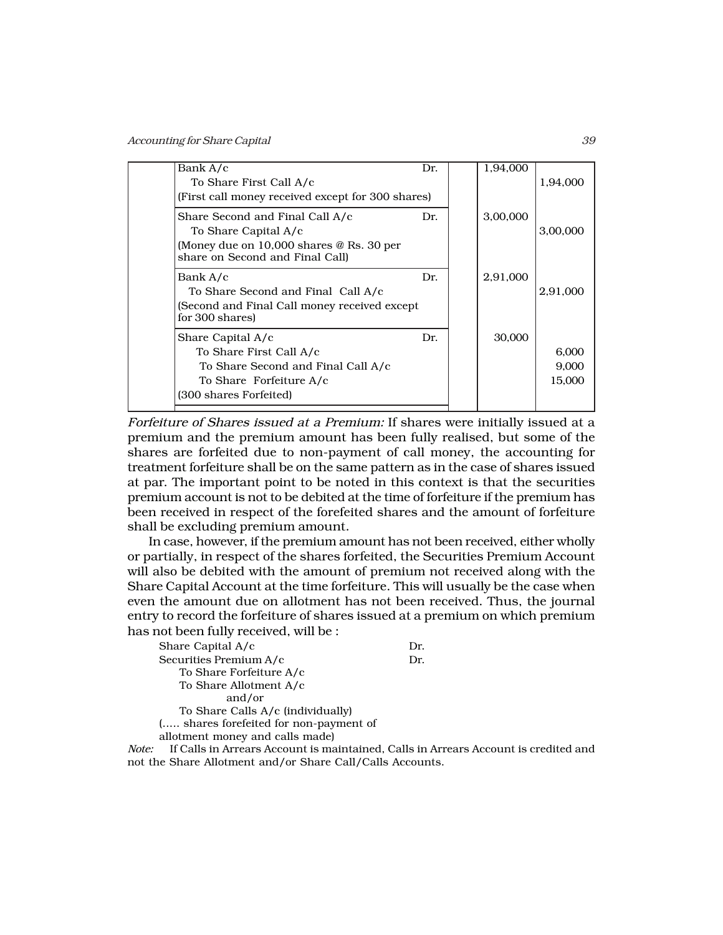| Bank A/c<br>To Share First Call A/c                                                                                                                                                         | Dr. | 1,94,000 | 1,94,000                 |
|---------------------------------------------------------------------------------------------------------------------------------------------------------------------------------------------|-----|----------|--------------------------|
| (First call money received except for 300 shares)<br>Share Second and Final Call A/c<br>To Share Capital A/c<br>(Money due on 10,000 shares @ Rs. 30 per<br>share on Second and Final Call) | Dr. | 3,00,000 | 3,00,000                 |
| Bank A/c<br>To Share Second and Final Call A/c<br>(Second and Final Call money received except)<br>for 300 shares)                                                                          | Dr. | 2,91,000 | 2,91,000                 |
| Share Capital A/c<br>To Share First Call A/c<br>To Share Second and Final Call A/c<br>To Share Forfeiture A/c<br>(300 shares Forfeited)                                                     | Dr. | 30,000   | 6,000<br>9,000<br>15,000 |
|                                                                                                                                                                                             |     |          |                          |

*Forfeiture of Shares issued at a Premium:* If shares were initially issued at a premium and the premium amount has been fully realised, but some of the shares are forfeited due to non-payment of call money, the accounting for treatment forfeiture shall be on the same pattern as in the case of shares issued at par. The important point to be noted in this context is that the securities premium account is not to be debited at the time of forfeiture if the premium has been received in respect of the forefeited shares and the amount of forfeiture shall be excluding premium amount.

In case, however, if the premium amount has not been received, either wholly or partially, in respect of the shares forfeited, the Securities Premium Account will also be debited with the amount of premium not received along with the Share Capital Account at the time forfeiture. This will usually be the case when even the amount due on allotment has not been received. Thus, the journal entry to record the forfeiture of shares issued at a premium on which premium has not been fully received, will be :

| Share Capital A/c                      | Dr. |
|----------------------------------------|-----|
| Securities Premium A/c                 | Dr. |
| To Share Forfeiture A/c                |     |
| To Share Allotment A/c                 |     |
| and/or                                 |     |
| To Share Calls A/c (individually)      |     |
| ( shares forefeited for non-payment of |     |
| allotment money and calls made)        |     |

*Note:* If Calls in Arrears Account is maintained, Calls in Arrears Account is credited and not the Share Allotment and/or Share Call/Calls Accounts.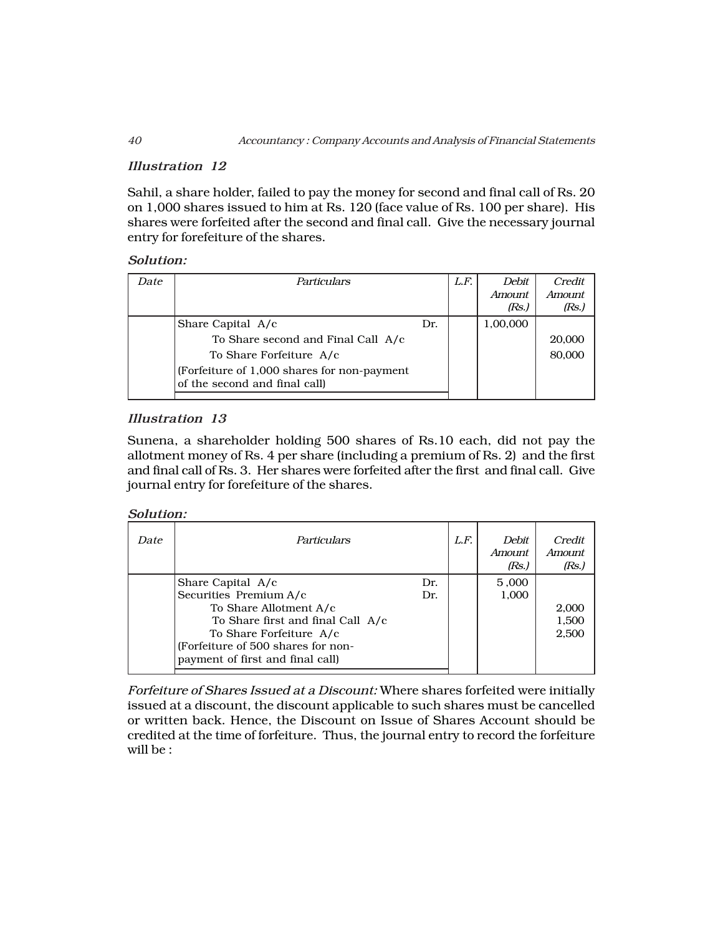# *Illustration 12*

Sahil, a share holder, failed to pay the money for second and final call of Rs. 20 on 1,000 shares issued to him at Rs. 120 (face value of Rs. 100 per share). His shares were forfeited after the second and final call. Give the necessary journal entry for forefeiture of the shares.

# *Solution:*

| Date | Particulars                                  |     | L.F. | <i>Debit</i>  | Credit |
|------|----------------------------------------------|-----|------|---------------|--------|
|      |                                              |     |      | <i>Amount</i> | Amount |
|      |                                              |     |      | (Rs.)         | (Rs.)  |
|      | Share Capital A/c                            | Dr. |      | 1,00,000      |        |
|      | To Share second and Final Call A/c           |     |      |               | 20,000 |
|      | To Share Forfeiture A/c                      |     |      |               | 80,000 |
|      | (Forfeiture of 1,000 shares for non-payment) |     |      |               |        |
|      | of the second and final call)                |     |      |               |        |
|      |                                              |     |      |               |        |

# *Illustration 13*

Sunena, a shareholder holding 500 shares of Rs.10 each, did not pay the allotment money of Rs. 4 per share (including a premium of Rs. 2) and the first and final call of Rs. 3. Her shares were forfeited after the first and final call. Give journal entry for forefeiture of the shares.

## *Solution:*

| Date | Particulars                                                                                                                                                                                                     |            | L.F. | <i>Debit</i><br>Amount<br>(Rs.) | Credit<br><i>Amount</i><br>(Rs.) |
|------|-----------------------------------------------------------------------------------------------------------------------------------------------------------------------------------------------------------------|------------|------|---------------------------------|----------------------------------|
|      | Share Capital A/c<br>Securities Premium A/c<br>To Share Allotment A/c<br>To Share first and final Call A/c<br>To Share Forfeiture A/c<br>(Forfeiture of 500 shares for non-<br>payment of first and final call) | Dr.<br>Dr. |      | 5,000<br>1,000                  | 2,000<br>1,500<br>2,500          |

*Forfeiture of Shares Issued at a Discount:* Where shares forfeited were initially issued at a discount, the discount applicable to such shares must be cancelled or written back. Hence, the Discount on Issue of Shares Account should be credited at the time of forfeiture. Thus, the journal entry to record the forfeiture will be :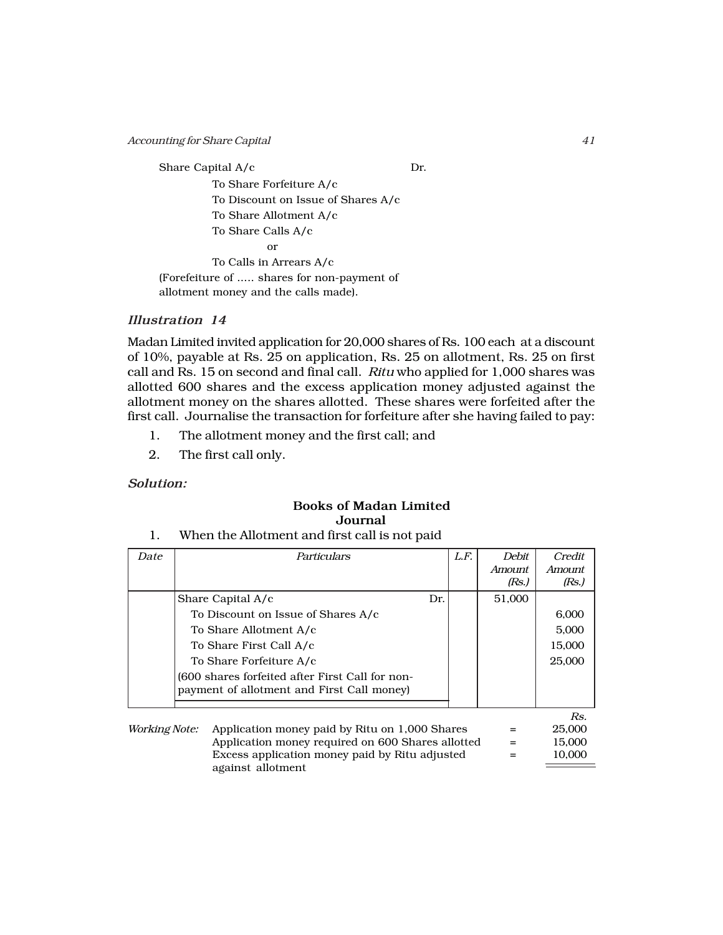Share Capital A/c Dr. To Share Forfeiture A/c To Discount on Issue of Shares A/c To Share Allotment A/c To Share Calls A/c or To Calls in Arrears A/c (Forefeiture of ..... shares for non-payment of allotment money and the calls made).

# *Illustration 14*

Madan Limited invited application for 20,000 shares of Rs. 100 each at a discount of 10%, payable at Rs. 25 on application, Rs. 25 on allotment, Rs. 25 on first call and Rs. 15 on second and final call. *Ritu* who applied for 1,000 shares was allotted 600 shares and the excess application money adjusted against the allotment money on the shares allotted. These shares were forfeited after the first call. Journalise the transaction for forfeiture after she having failed to pay:

- 1. The allotment money and the first call; and
- 2. The first call only.

### *Solution:*

#### **Books of Madan Limited Journal**

1. When the Allotment and first call is not paid

| Date                                                                   | Particulars                                     |     | L.F.   | Debit         | Credit        |
|------------------------------------------------------------------------|-------------------------------------------------|-----|--------|---------------|---------------|
|                                                                        |                                                 |     |        | <i>Amount</i> | <i>Amount</i> |
|                                                                        |                                                 |     |        | (Rs.)         | (Rs.)         |
|                                                                        | Share Capital A/c                               | Dr. |        | 51,000        |               |
|                                                                        | To Discount on Issue of Shares A/c              |     |        |               | 6,000         |
|                                                                        | To Share Allotment A/c                          |     |        |               | 5,000         |
|                                                                        | To Share First Call A/c                         |     |        |               | 15,000        |
|                                                                        | To Share Forfeiture A/c                         |     |        |               | 25,000        |
|                                                                        | (600 shares forfeited after First Call for non- |     |        |               |               |
|                                                                        | payment of allotment and First Call money)      |     |        |               |               |
|                                                                        |                                                 |     |        |               |               |
|                                                                        |                                                 |     |        |               | Rs.           |
| Application money paid by Ritu on 1,000 Shares<br><i>Working Note:</i> |                                                 |     | 25,000 |               |               |

Application money required on  $600$  Shares allotted  $=$  15,000 Excess application money paid by Ritu adjusted  $=$  10,000 against allotment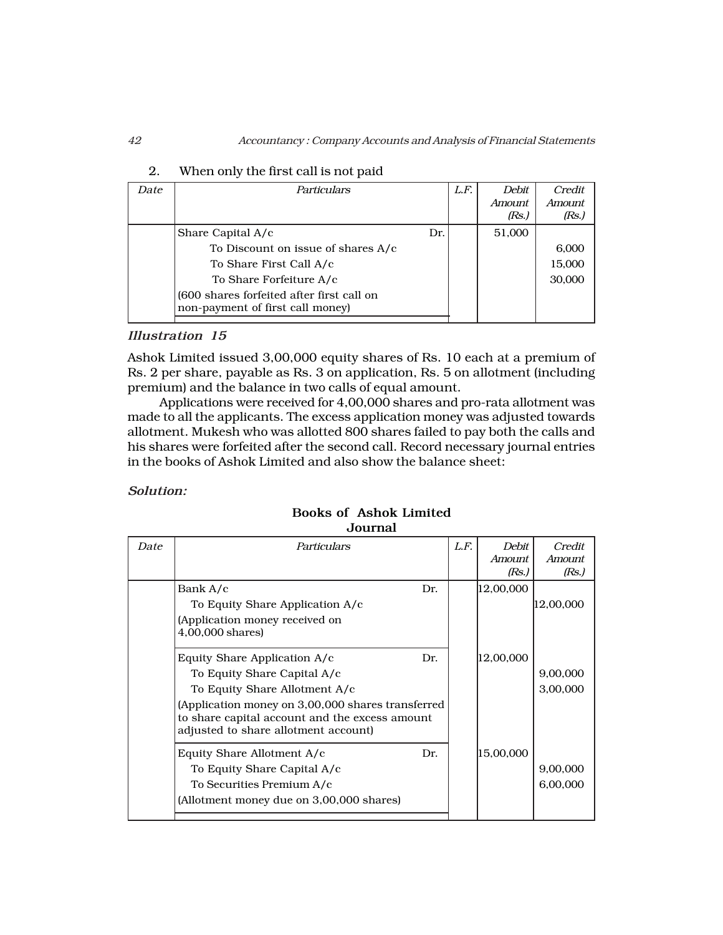| Share Capital A/c<br>Dr.<br>To Discount on issue of shares A/c                | <b>Debit</b> | Credit |
|-------------------------------------------------------------------------------|--------------|--------|
|                                                                               | Amount       | Amount |
|                                                                               | (Rs.)        | (Rs.)  |
|                                                                               | 51,000       |        |
|                                                                               |              | 6,000  |
| To Share First Call A/c                                                       |              | 15,000 |
| To Share Forfeiture A/c                                                       |              | 30,000 |
| (600 shares forfeited after first call on<br>non-payment of first call money) |              |        |

# 2. When only the first call is not paid

## *Illustration 15*

Ashok Limited issued 3,00,000 equity shares of Rs. 10 each at a premium of Rs. 2 per share, payable as Rs. 3 on application, Rs. 5 on allotment (including premium) and the balance in two calls of equal amount.

Applications were received for 4,00,000 shares and pro-rata allotment was made to all the applicants. The excess application money was adjusted towards allotment. Mukesh who was allotted 800 shares failed to pay both the calls and his shares were forfeited after the second call. Record necessary journal entries in the books of Ashok Limited and also show the balance sheet:

## *Solution:*

# **Books of Ashok Limited Journal**

| Date | Particulars                                                                                                                                 |     | L.F. | <b>Debit</b>  | Credit        |
|------|---------------------------------------------------------------------------------------------------------------------------------------------|-----|------|---------------|---------------|
|      |                                                                                                                                             |     |      | <i>Amount</i> | <i>Amount</i> |
|      |                                                                                                                                             |     |      | (Rs.)         | (Rs.)         |
|      | Bank A/c                                                                                                                                    | Dr. |      | 12,00,000     |               |
|      | To Equity Share Application A/c                                                                                                             |     |      |               | 12,00,000     |
|      | (Application money received on<br>4,00,000 shares)                                                                                          |     |      |               |               |
|      | Equity Share Application A/c                                                                                                                | Dr. |      | 12,00,000     |               |
|      | To Equity Share Capital A/c                                                                                                                 |     |      |               | 9,00,000      |
|      | To Equity Share Allotment A/c                                                                                                               |     |      |               | 3,00,000      |
|      | (Application money on 3,00,000 shares transferred<br>to share capital account and the excess amount<br>adjusted to share allotment account) |     |      |               |               |
|      | Equity Share Allotment A/c                                                                                                                  | Dr. |      | 15,00,000     |               |
|      | To Equity Share Capital A/c                                                                                                                 |     |      |               | 9,00,000      |
|      | To Securities Premium A/c                                                                                                                   |     |      |               | 6,00,000      |
|      | (Allotment money due on 3,00,000 shares)                                                                                                    |     |      |               |               |
|      |                                                                                                                                             |     |      |               |               |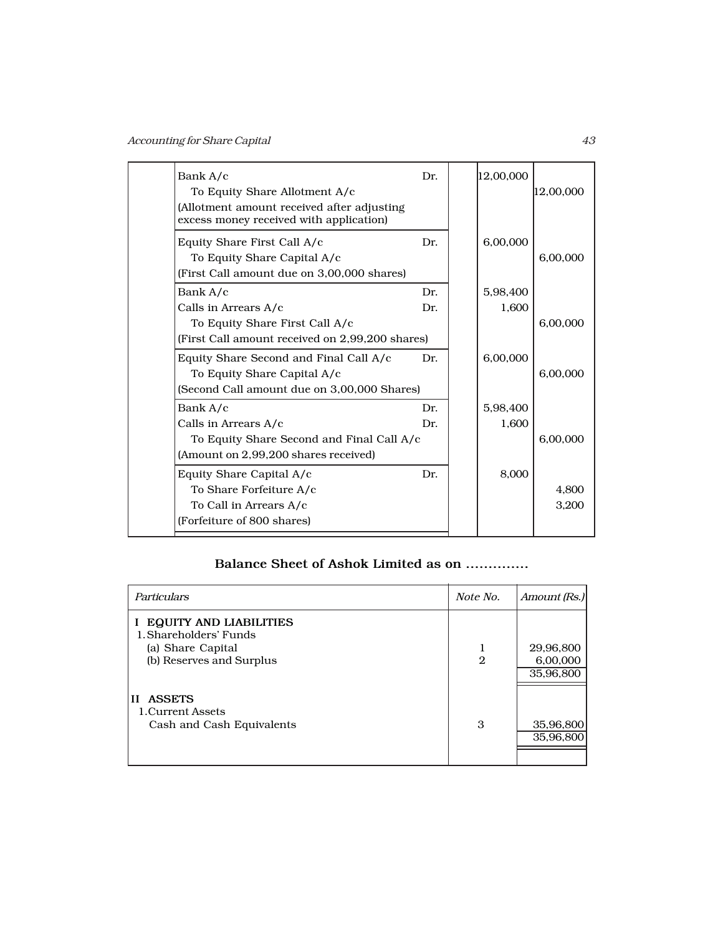| Bank A/c<br>To Equity Share Allotment A/c<br>(Allotment amount received after adjusting) | Dr. | 12,00,000 | 12,00,000 |
|------------------------------------------------------------------------------------------|-----|-----------|-----------|
| excess money received with application)                                                  |     |           |           |
| Equity Share First Call A/c                                                              | Dr. | 6,00,000  |           |
| To Equity Share Capital A/c                                                              |     |           | 6,00,000  |
| (First Call amount due on 3,00,000 shares)                                               |     |           |           |
| Bank A/c                                                                                 | Dr. | 5,98,400  |           |
| Calls in Arrears A/c                                                                     | Dr. | 1,600     |           |
| To Equity Share First Call A/c                                                           |     |           | 6,00,000  |
| (First Call amount received on 2,99,200 shares)                                          |     |           |           |
| Equity Share Second and Final Call A/c                                                   | Dr. | 6,00,000  |           |
| To Equity Share Capital A/c                                                              |     |           | 6,00,000  |
| (Second Call amount due on 3,00,000 Shares)                                              |     |           |           |
| Bank A/c                                                                                 | Dr. | 5,98,400  |           |
| Calls in Arrears A/c                                                                     | Dr. | 1,600     |           |
| To Equity Share Second and Final Call A/c                                                |     |           | 6,00,000  |
| (Amount on 2,99,200 shares received)                                                     |     |           |           |
| Equity Share Capital A/c                                                                 | Dr. | 8,000     |           |
| To Share Forfeiture A/c                                                                  |     |           | 4,800     |
| To Call in Arrears A/c                                                                   |     |           | 3,200     |
| (Forfeiture of 800 shares)                                                               |     |           |           |
|                                                                                          |     |           |           |

# **Balance Sheet of Ashok Limited as on ..............**

| Particulars                             | Note No.       | Amount (Rs.) |
|-----------------------------------------|----------------|--------------|
| <b>EQUITY AND LIABILITIES</b>           |                |              |
| 1. Shareholders' Funds                  |                |              |
| (a) Share Capital                       |                | 29,96,800    |
| (b) Reserves and Surplus                | $\mathfrak{D}$ | 6,00,000     |
|                                         |                | 35,96,800    |
| <b>ASSETS</b><br>Н<br>1. Current Assets |                |              |
| Cash and Cash Equivalents               | 3              | 35,96,800    |
|                                         |                | 35,96,800    |
|                                         |                |              |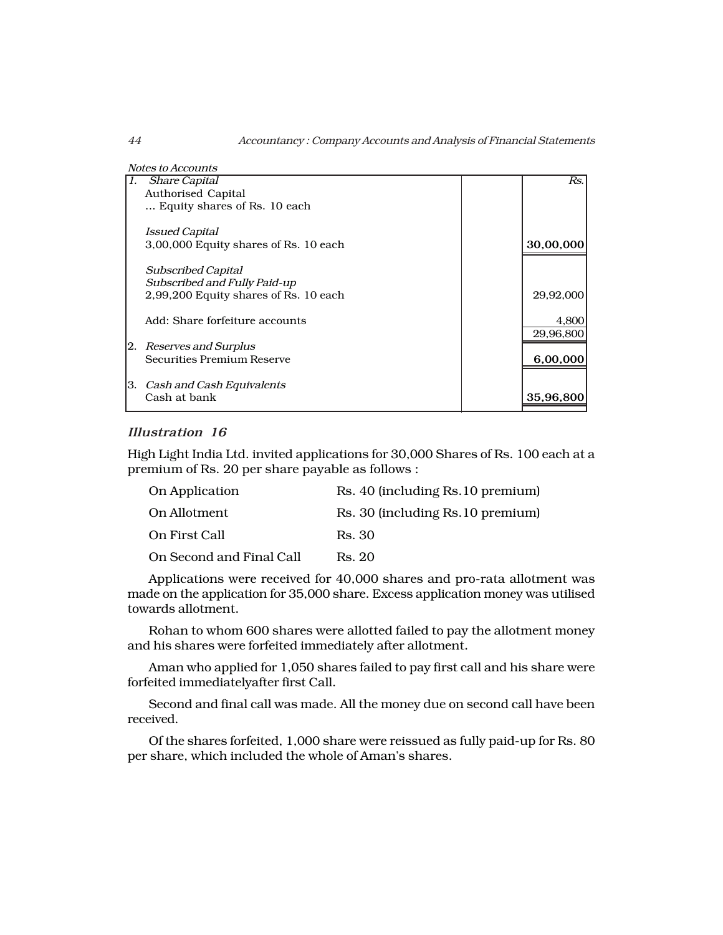|                 | <i>Notes to Accounts</i>              |           |
|-----------------|---------------------------------------|-----------|
| $\mathcal{I}$ . | <b>Share Capital</b>                  | Rs.       |
|                 | Authorised Capital                    |           |
|                 | Equity shares of Rs. 10 each          |           |
|                 |                                       |           |
|                 | <i>Issued Capital</i>                 |           |
|                 | 3,00,000 Equity shares of Rs. 10 each | 30,00,000 |
|                 |                                       |           |
|                 | Subscribed Capital                    |           |
|                 | Subscribed and Fully Paid-up          |           |
|                 | 2,99,200 Equity shares of Rs. 10 each | 29,92,000 |
|                 |                                       |           |
|                 | Add: Share forfeiture accounts        | 4,800     |
|                 |                                       | 29,96,800 |
|                 | 2. Reserves and Surplus               |           |
|                 | <b>Securities Premium Reserve</b>     | 6,00,000  |
|                 |                                       |           |
| 13.             | Cash and Cash Equivalents             |           |
|                 | Cash at bank                          | 35,96,800 |
|                 |                                       |           |

# *Illustration 16*

High Light India Ltd. invited applications for 30,000 Shares of Rs. 100 each at a premium of Rs. 20 per share payable as follows :

| On Application           | Rs. 40 (including Rs. 10 premium) |
|--------------------------|-----------------------------------|
| On Allotment             | Rs. 30 (including Rs. 10 premium) |
| On First Call            | Rs. 30                            |
| On Second and Final Call | Rs. 20                            |

Applications were received for 40,000 shares and pro-rata allotment was made on the application for 35,000 share. Excess application money was utilised towards allotment.

Rohan to whom 600 shares were allotted failed to pay the allotment money and his shares were forfeited immediately after allotment.

Aman who applied for 1,050 shares failed to pay first call and his share were forfeited immediatelyafter first Call.

Second and final call was made. All the money due on second call have been received.

Of the shares forfeited, 1,000 share were reissued as fully paid-up for Rs. 80 per share, which included the whole of Aman's shares.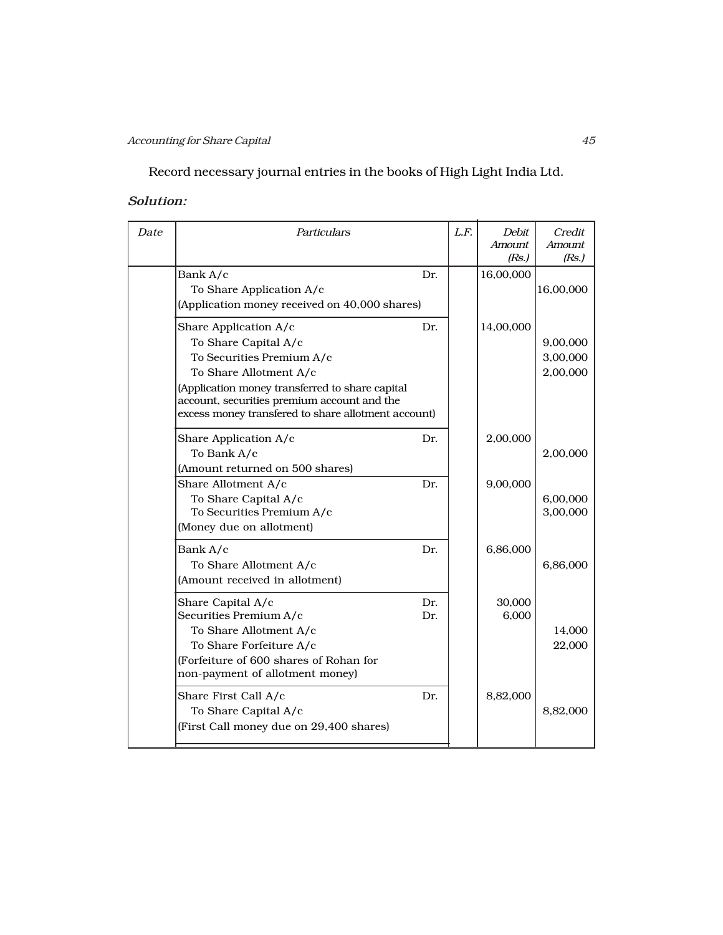Record necessary journal entries in the books of High Light India Ltd.

# *Solution:*

| Date | Particulars                                                                                                                                                                                                                                                   |            | L.F. | Debit<br>Amount<br>(Rs.) | Credit<br>Amount<br>(Rs.)        |
|------|---------------------------------------------------------------------------------------------------------------------------------------------------------------------------------------------------------------------------------------------------------------|------------|------|--------------------------|----------------------------------|
|      | Bank A/c<br>To Share Application A/c<br>(Application money received on 40,000 shares)                                                                                                                                                                         | Dr.        |      | 16,00,000                | 16,00,000                        |
|      | Share Application A/c<br>To Share Capital A/c<br>To Securities Premium A/c<br>To Share Allotment A/c<br>(Application money transferred to share capital<br>account, securities premium account and the<br>excess money transfered to share allotment account) | Dr.        |      | 14,00,000                | 9,00,000<br>3,00,000<br>2,00,000 |
|      | Share Application A/c<br>To Bank A/c<br>(Amount returned on 500 shares)                                                                                                                                                                                       | Dr.        |      | 2,00,000                 | 2,00,000                         |
|      | Share Allotment A/c<br>To Share Capital A/c<br>To Securities Premium A/c<br>(Money due on allotment)                                                                                                                                                          | Dr.        |      | 9,00,000                 | 6,00,000<br>3,00,000             |
|      | Bank A/c<br>To Share Allotment A/c<br>(Amount received in allotment)                                                                                                                                                                                          | Dr.        |      | 6,86,000                 | 6,86,000                         |
|      | Share Capital A/c<br>Securities Premium A/c<br>To Share Allotment A/c<br>To Share Forfeiture A/c<br>(Forfeiture of 600 shares of Rohan for<br>non-payment of allotment money)                                                                                 | Dr.<br>Dr. |      | 30,000<br>6,000          | 14,000<br>22,000                 |
|      | Share First Call A/c<br>To Share Capital A/c<br>(First Call money due on 29,400 shares)                                                                                                                                                                       | Dr.        |      | 8,82,000                 | 8,82,000                         |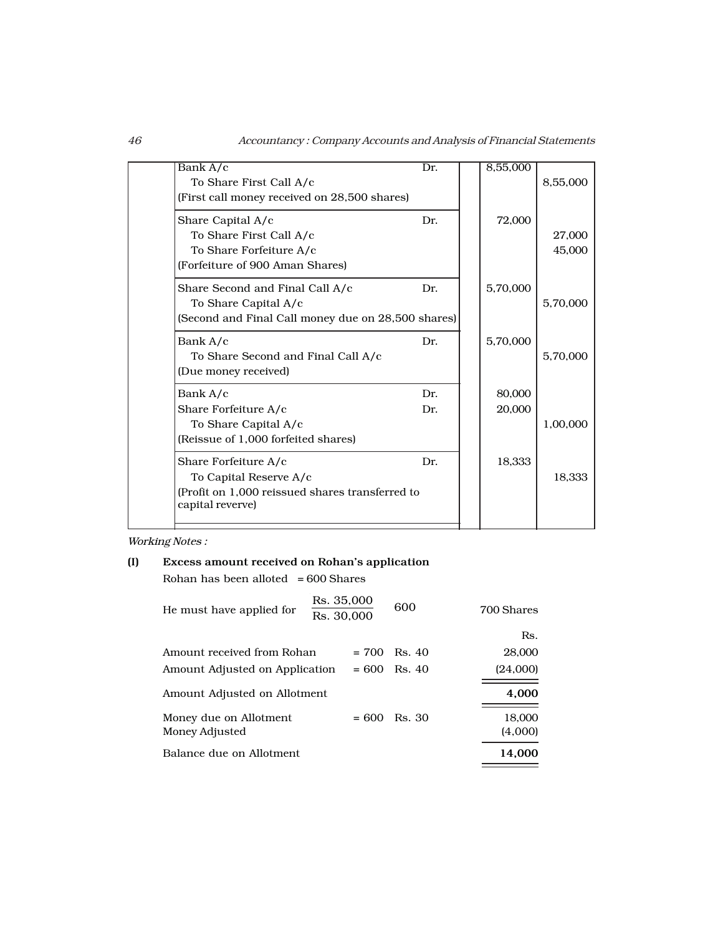| Bank A/c                                                                                                              | Dr.        | 8,55,000         |                  |
|-----------------------------------------------------------------------------------------------------------------------|------------|------------------|------------------|
| To Share First Call A/c<br>(First call money received on 28,500 shares)                                               |            |                  | 8,55,000         |
| Share Capital A/c<br>To Share First Call A/c<br>To Share Forfeiture A/c<br>(Forfeiture of 900 Aman Shares)            | Dr.        | 72,000           | 27,000<br>45,000 |
| Share Second and Final Call A/c<br>To Share Capital A/c<br>(Second and Final Call money due on 28,500 shares)         | Dr.        | 5,70,000         | 5,70,000         |
| Bank A/c<br>To Share Second and Final Call A/c<br>(Due money received)                                                | Dr.        | 5,70,000         | 5,70,000         |
| Bank A/c<br>Share Forfeiture A/c<br>To Share Capital A/c<br>(Reissue of 1,000 forfeited shares)                       | Dr.<br>Dr. | 80,000<br>20,000 | 1,00,000         |
| Share Forfeiture A/c<br>To Capital Reserve A/c<br>(Profit on 1,000 reissued shares transferred to<br>capital reverve) | Dr.        | 18,333           | 18,333           |
|                                                                                                                       |            |                  |                  |

*Working Notes :*

# **(I) Excess amount received on Rohan's application**

Rohan has been alloted  $= 600$  Shares

| He must have applied for                 | Rs. 35,000<br>Rs. 30,000 |                |                |                   | 600 | 700 Shares |
|------------------------------------------|--------------------------|----------------|----------------|-------------------|-----|------------|
|                                          |                          |                |                | Rs.               |     |            |
| Amount received from Rohan               |                          |                | $= 700$ Rs. 40 | 28,000            |     |            |
| Amount Adjusted on Application           |                          | $= 600$ Rs. 40 | (24,000)       |                   |     |            |
| Amount Adjusted on Allotment             |                          |                |                | 4,000             |     |            |
| Money due on Allotment<br>Money Adjusted |                          | $= 600$        | Rs. 30         | 18.000<br>(4,000) |     |            |
| Balance due on Allotment                 |                          |                | 14,000         |                   |     |            |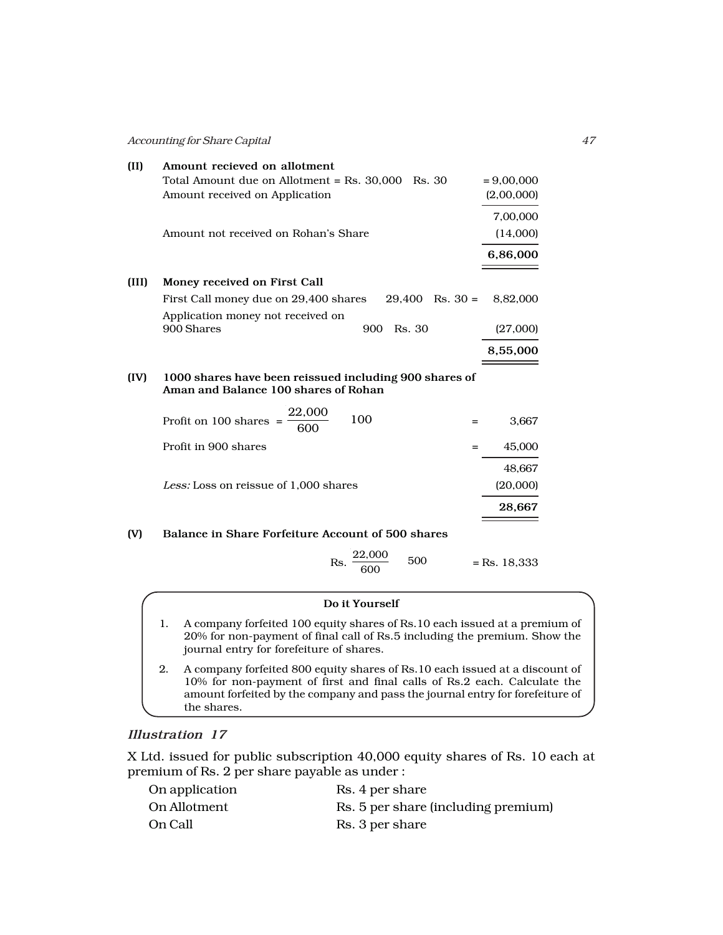| (II)  | Amount recieved on allotment                                 |              |
|-------|--------------------------------------------------------------|--------------|
|       | Rs. 30<br>Total Amount due on Allotment = Rs. 30,000         | $= 9.00,000$ |
|       | Amount received on Application                               | (2,00,000)   |
|       |                                                              | 7,00,000     |
|       | Amount not received on Rohan's Share                         | (14,000)     |
|       |                                                              | 6,86,000     |
| (III) | Money received on First Call                                 |              |
|       | First Call money due on 29,400 shares<br>$29.400$ Rs. $30 =$ | 8.82.000     |
|       | Application money not received on                            |              |
|       | 900 Shares<br>Rs. 30<br>900                                  | (27,000)     |
|       |                                                              | 8,55,000     |

#### **(IV) 1000 shares have been reissued including 900 shares of Aman and Balance 100 shares of Rohan**

| 22,000<br>100<br>Profit on $100$ shares $=$<br>600 | 3,667    |
|----------------------------------------------------|----------|
| Profit in 900 shares                               | 45,000   |
|                                                    | 48,667   |
| Less: Loss on reissue of 1,000 shares              | (20,000) |
|                                                    | 28,667   |

#### **(V) Balance in Share Forfeiture Account of 500 shares**

| 22,000<br>Rs.<br>600 | 500 | $=$ Rs. 18,333 |
|----------------------|-----|----------------|
|----------------------|-----|----------------|

#### **Do it Yourself**

- 1. A company forfeited 100 equity shares of Rs.10 each issued at a premium of 20% for non-payment of final call of Rs.5 including the premium. Show the journal entry for forefeiture of shares.
- 2. A company forfeited 800 equity shares of Rs.10 each issued at a discount of 10% for non-payment of first and final calls of Rs.2 each. Calculate the amount forfeited by the company and pass the journal entry for forefeiture of the shares.

# *Illustration 17*

X Ltd. issued for public subscription 40,000 equity shares of Rs. 10 each at premium of Rs. 2 per share payable as under :

| On application | Rs. 4 per share                     |
|----------------|-------------------------------------|
| On Allotment   | Rs. 5 per share (including premium) |
| On Call        | Rs. 3 per share                     |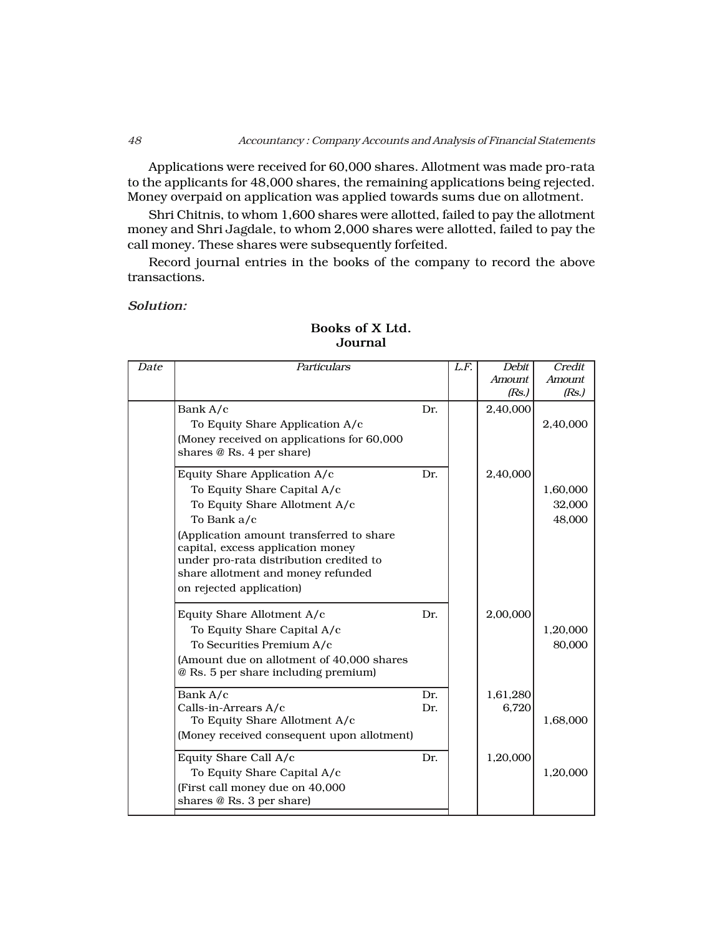Applications were received for 60,000 shares. Allotment was made pro-rata to the applicants for 48,000 shares, the remaining applications being rejected. Money overpaid on application was applied towards sums due on allotment.

Shri Chitnis, to whom 1,600 shares were allotted, failed to pay the allotment money and Shri Jagdale, to whom 2,000 shares were allotted, failed to pay the call money. These shares were subsequently forfeited.

Record journal entries in the books of the company to record the above transactions.

*Solution:*

| Date | Particulars                                                                  |     | L.F. | Debit    | Credit   |
|------|------------------------------------------------------------------------------|-----|------|----------|----------|
|      |                                                                              |     |      | Amount   | Amount   |
|      |                                                                              |     |      | (Rs.)    | (Rs.)    |
|      | Bank A/c                                                                     | Dr. |      | 2,40,000 |          |
|      | To Equity Share Application A/c                                              |     |      |          | 2,40,000 |
|      | (Money received on applications for 60,000                                   |     |      |          |          |
|      | shares @ Rs. 4 per share)                                                    |     |      |          |          |
|      | Equity Share Application A/c                                                 | Dr. |      | 2,40,000 |          |
|      |                                                                              |     |      |          |          |
|      | To Equity Share Capital A/c                                                  |     |      |          | 1,60,000 |
|      | To Equity Share Allotment A/c                                                |     |      |          | 32,000   |
|      | To Bank a/c                                                                  |     |      |          | 48,000   |
|      | (Application amount transferred to share                                     |     |      |          |          |
|      | capital, excess application money<br>under pro-rata distribution credited to |     |      |          |          |
|      | share allotment and money refunded                                           |     |      |          |          |
|      | on rejected application)                                                     |     |      |          |          |
|      |                                                                              |     |      |          |          |
|      | Equity Share Allotment A/c                                                   | Dr. |      | 2,00,000 |          |
|      | To Equity Share Capital A/c                                                  |     |      |          | 1,20,000 |
|      | To Securities Premium A/c                                                    |     |      |          | 80,000   |
|      | (Amount due on allotment of 40,000 shares                                    |     |      |          |          |
|      | @ Rs. 5 per share including premium)                                         |     |      |          |          |
|      | Bank A/c                                                                     | Dr. |      | 1,61,280 |          |
|      | Calls-in-Arrears A/c                                                         | Dr. |      | 6,720    |          |
|      | To Equity Share Allotment A/c                                                |     |      |          | 1,68,000 |
|      | (Money received consequent upon allotment)                                   |     |      |          |          |
|      | Equity Share Call A/c                                                        | Dr. |      | 1,20,000 |          |
|      | To Equity Share Capital A/c                                                  |     |      |          | 1,20,000 |
|      | (First call money due on 40,000                                              |     |      |          |          |
|      | shares @ Rs. 3 per share)                                                    |     |      |          |          |
|      |                                                                              |     |      |          |          |

# **Books of X Ltd. Journal**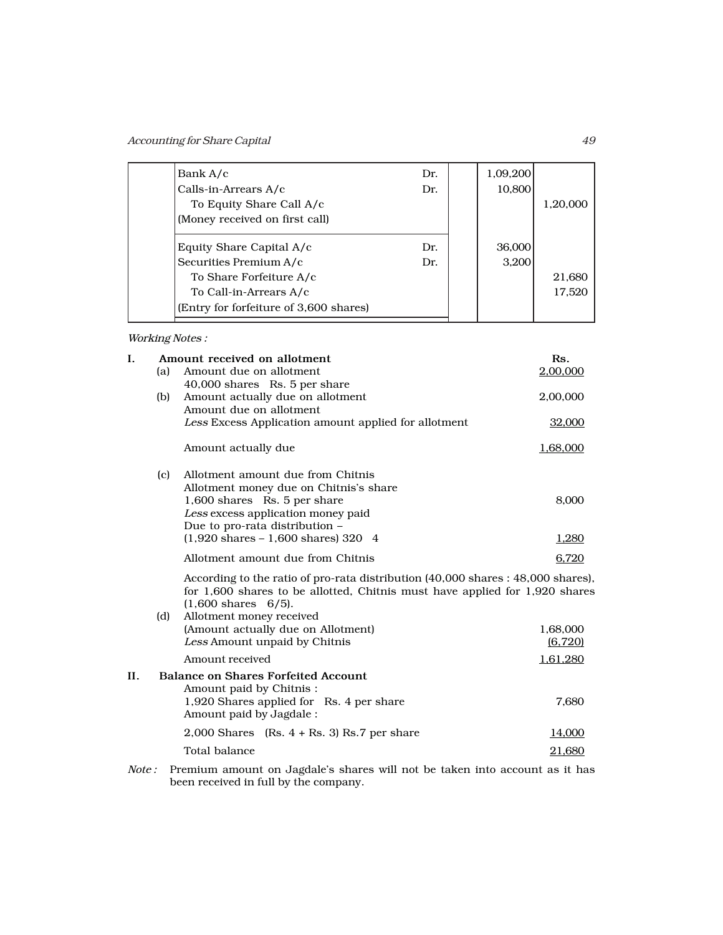| Bank A/c<br>Calls-in-Arrears A/c<br>To Equity Share Call A/c<br>(Money received on first call)                                                    | Dr.<br>Dr. | 1,09,200<br>10,800 | 1,20,000         |
|---------------------------------------------------------------------------------------------------------------------------------------------------|------------|--------------------|------------------|
| Equity Share Capital A/c<br>Securities Premium A/c<br>To Share Forfeiture A/c<br>To Call-in-Arrears A/c<br>(Entry for forfeiture of 3,600 shares) | Dr.<br>Dr. | 36,000<br>3,200    | 21,680<br>17,520 |

*Working Notes :*

| $\mathbf{I}$ . | (a) | Amount received on allotment<br>Amount due on allotment<br>40,000 shares Rs. 5 per share                                                                                                                                                                                                             | Rs.<br>2,00,000      |
|----------------|-----|------------------------------------------------------------------------------------------------------------------------------------------------------------------------------------------------------------------------------------------------------------------------------------------------------|----------------------|
|                | (b) | Amount actually due on allotment                                                                                                                                                                                                                                                                     | 2,00,000             |
|                |     | Amount due on allotment<br>Less Excess Application amount applied for allotment                                                                                                                                                                                                                      | 32,000               |
|                |     | Amount actually due                                                                                                                                                                                                                                                                                  | 1,68,000             |
|                | (c) | Allotment amount due from Chitnis<br>Allotment money due on Chitnis's share<br>1,600 shares Rs. 5 per share<br>Less excess application money paid<br>Due to pro-rata distribution -<br>$(1,920 \text{ shares} - 1,600 \text{ shares}) 320$ 4                                                         | 8,000<br>1,280       |
|                |     | Allotment amount due from Chitnis                                                                                                                                                                                                                                                                    | 6,720                |
|                | (d) | According to the ratio of pro-rata distribution (40,000 shares : 48,000 shares),<br>for 1,600 shares to be allotted, Chitnis must have applied for 1,920 shares<br>$(1,600 \text{ shares } 6/5).$<br>Allotment money received<br>(Amount actually due on Allotment)<br>Less Amount unpaid by Chitnis | 1,68,000<br>(6, 720) |
|                |     | Amount received                                                                                                                                                                                                                                                                                      | 1,61,280             |
| II.            |     | <b>Balance on Shares Forfeited Account</b><br>Amount paid by Chitnis:                                                                                                                                                                                                                                |                      |
|                |     | 1,920 Shares applied for Rs. 4 per share<br>Amount paid by Jagdale:                                                                                                                                                                                                                                  | 7,680                |
|                |     | 2,000 Shares $(Rs. 4 + Rs. 3) Rs. 7 per share$                                                                                                                                                                                                                                                       | 14,000               |
|                |     | Total balance                                                                                                                                                                                                                                                                                        | 21,680               |
|                |     | $\mathbf{r}$ . The state $\mathbf{r}$ is the state of $\mathbf{r}$                                                                                                                                                                                                                                   |                      |

*Note :* Premium amount on Jagdale's shares will not be taken into account as it has been received in full by the company.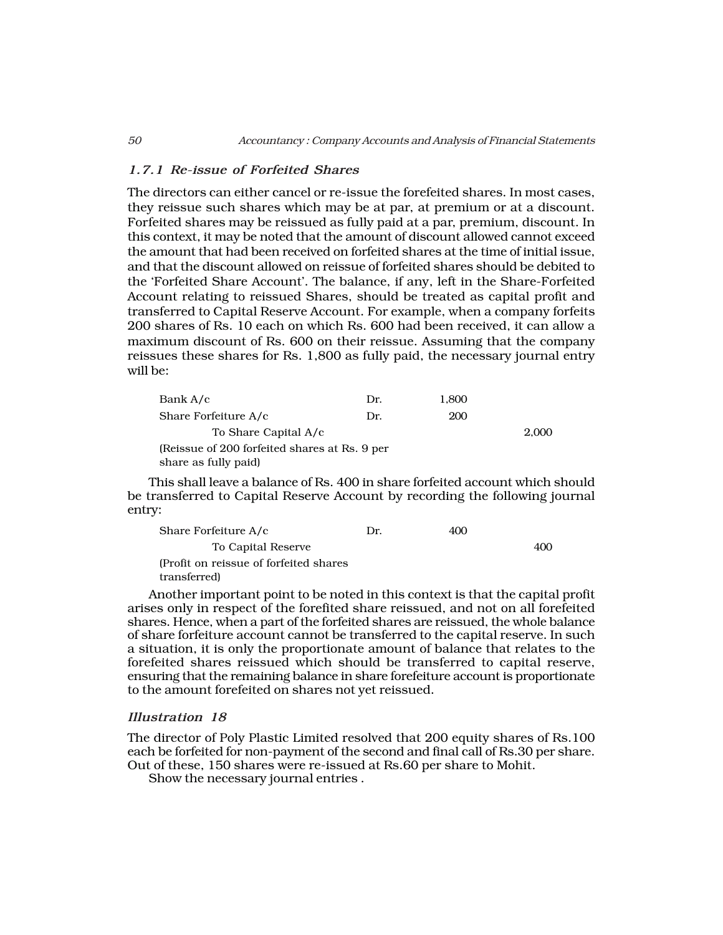#### *1.7.1 Re-issue of Forfeited Shares*

The directors can either cancel or re-issue the forefeited shares. In most cases, they reissue such shares which may be at par, at premium or at a discount. Forfeited shares may be reissued as fully paid at a par, premium, discount. In this context, it may be noted that the amount of discount allowed cannot exceed the amount that had been received on forfeited shares at the time of initial issue, and that the discount allowed on reissue of forfeited shares should be debited to the 'Forfeited Share Account'. The balance, if any, left in the Share-Forfeited Account relating to reissued Shares, should be treated as capital profit and transferred to Capital Reserve Account. For example, when a company forfeits 200 shares of Rs. 10 each on which Rs. 600 had been received, it can allow a maximum discount of Rs. 600 on their reissue. Assuming that the company reissues these shares for Rs. 1,800 as fully paid, the necessary journal entry will be:

| Bank A/c                                      | Dr. | 1,800 |       |  |  |  |
|-----------------------------------------------|-----|-------|-------|--|--|--|
| Share Forfeiture A/c                          | Dr. | 200   |       |  |  |  |
| To Share Capital A/c                          |     |       | 2.000 |  |  |  |
| (Reissue of 200 forfeited shares at Rs. 9 per |     |       |       |  |  |  |
| share as fully paid)                          |     |       |       |  |  |  |

This shall leave a balance of Rs. 400 in share forfeited account which should be transferred to Capital Reserve Account by recording the following journal entry:

| Share Forfeiture A/c                    | Dr. | 400 |     |
|-----------------------------------------|-----|-----|-----|
| To Capital Reserve                      |     |     | 400 |
| (Profit on reissue of forfeited shares) |     |     |     |
| transferred)                            |     |     |     |

Another important point to be noted in this context is that the capital profit arises only in respect of the forefited share reissued, and not on all forefeited shares. Hence, when a part of the forfeited shares are reissued, the whole balance of share forfeiture account cannot be transferred to the capital reserve. In such a situation, it is only the proportionate amount of balance that relates to the forefeited shares reissued which should be transferred to capital reserve, ensuring that the remaining balance in share forefeiture account is proportionate to the amount forefeited on shares not yet reissued.

#### *Illustration 18*

The director of Poly Plastic Limited resolved that 200 equity shares of Rs.100 each be forfeited for non-payment of the second and final call of Rs.30 per share. Out of these, 150 shares were re-issued at Rs.60 per share to Mohit.

Show the necessary journal entries .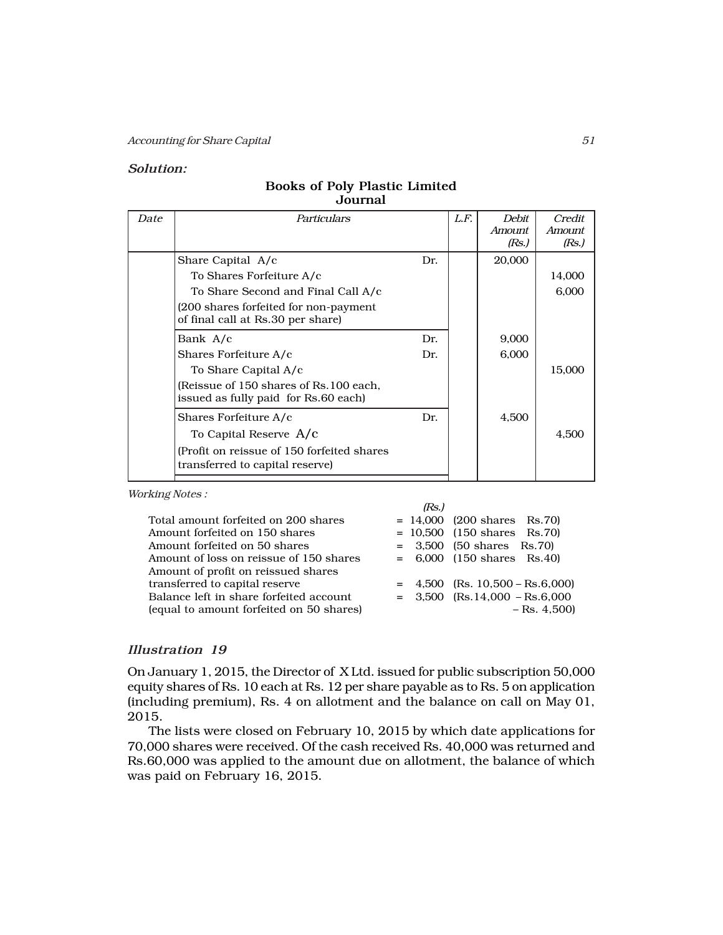#### *Accounting for Share Capital 51*

#### *Solution:*

#### **Books of Poly Plastic Limited Journal**

| Date | Particulars                                                                    |     | L.F. | Debit<br><i>Amount</i><br>(Rs.) | Credit<br><i>Amount</i><br>(Rs.) |
|------|--------------------------------------------------------------------------------|-----|------|---------------------------------|----------------------------------|
|      | Share Capital A/c                                                              | Dr. |      | 20,000                          |                                  |
|      | To Shares Forfeiture A/c                                                       |     |      |                                 | 14,000                           |
|      | To Share Second and Final Call A/c                                             |     |      |                                 | 6,000                            |
|      | (200 shares forfeited for non-payment<br>of final call at Rs.30 per share)     |     |      |                                 |                                  |
|      | Bank A/c                                                                       | Dr. |      | 9,000                           |                                  |
|      | Shares Forfeiture A/c                                                          | Dr. |      | 6,000                           |                                  |
|      | To Share Capital A/c                                                           |     |      |                                 | 15,000                           |
|      | (Reissue of 150 shares of Rs.100 each,<br>issued as fully paid for Rs.60 each) |     |      |                                 |                                  |
|      | Shares Forfeiture A/c                                                          | Dr. |      | 4,500                           |                                  |
|      | To Capital Reserve A/C                                                         |     |      |                                 | 4,500                            |
|      | (Profit on reissue of 150 forfeited shares)<br>transferred to capital reserve) |     |      |                                 |                                  |

*Working Notes :*

|                                          | (Rs.)                             |
|------------------------------------------|-----------------------------------|
| Total amount forfeited on 200 shares     | $= 14,000$ (200 shares Rs.70)     |
| Amount forfeited on 150 shares           | $= 10,500$ (150 shares Rs.70)     |
| Amount forfeited on 50 shares            | $=$ 3,500 (50 shares Rs.70)       |
| Amount of loss on reissue of 150 shares  | $= 6,000$ (150 shares Rs.40)      |
| Amount of profit on reissued shares      |                                   |
| transferred to capital reserve           | $= 4,500$ (Rs. 10,500 – Rs.6,000) |
| Balance left in share forfeited account  | $=$ 3,500 (Rs.14,000 – Rs.6,000)  |
| (equal to amount forfeited on 50 shares) | $-$ Rs. 4,500)                    |
|                                          |                                   |

## *Illustration 19*

On January 1, 2015, the Director of X Ltd. issued for public subscription 50,000 equity shares of Rs. 10 each at Rs. 12 per share payable as to Rs. 5 on application (including premium), Rs. 4 on allotment and the balance on call on May 01, 2015.

The lists were closed on February 10, 2015 by which date applications for 70,000 shares were received. Of the cash received Rs. 40,000 was returned and Rs.60,000 was applied to the amount due on allotment, the balance of which was paid on February 16, 2015.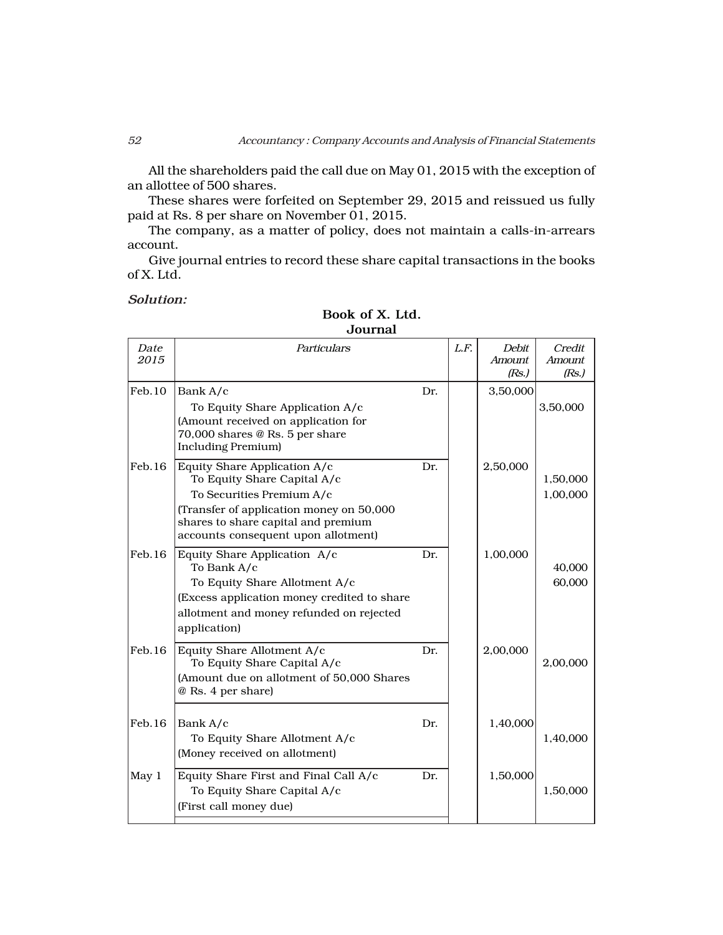All the shareholders paid the call due on May 01, 2015 with the exception of an allottee of 500 shares.

These shares were forfeited on September 29, 2015 and reissued us fully paid at Rs. 8 per share on November 01, 2015.

The company, as a matter of policy, does not maintain a calls-in-arrears account.

Give journal entries to record these share capital transactions in the books of X. Ltd.

## *Solution:*

| Date<br>2015 | Particulars                                                                                                                                                                                                        |     | L.F. | <b>Debit</b><br>Amount<br>(Rs.) | Credit<br>Amount<br>(Rs.) |
|--------------|--------------------------------------------------------------------------------------------------------------------------------------------------------------------------------------------------------------------|-----|------|---------------------------------|---------------------------|
| Feb.10       | Bank A/c<br>To Equity Share Application A/c<br>(Amount received on application for<br>70,000 shares @ Rs. 5 per share<br><b>Including Premium)</b>                                                                 | Dr. |      | 3,50,000                        | 3,50,000                  |
| Feb.16       | Equity Share Application A/c<br>To Equity Share Capital A/c<br>To Securities Premium A/c<br>(Transfer of application money on 50,000<br>shares to share capital and premium<br>accounts consequent upon allotment) | Dr. |      | 2,50,000                        | 1,50,000<br>1,00,000      |
| Feb.16       | Equity Share Application A/c<br>To Bank A/c<br>To Equity Share Allotment A/c<br>(Excess application money credited to share<br>allotment and money refunded on rejected<br>application)                            | Dr. |      | 1,00,000                        | 40,000<br>60,000          |
| Feb.16       | Equity Share Allotment A/c<br>To Equity Share Capital A/c<br>(Amount due on allotment of 50,000 Shares<br>@ Rs. 4 per share)                                                                                       | Dr. |      | 2,00,000                        | 2,00,000                  |
| Feb.16       | Bank A/c<br>To Equity Share Allotment A/c<br>(Money received on allotment)                                                                                                                                         | Dr. |      | 1,40,000                        | 1,40,000                  |
| May 1        | Equity Share First and Final Call A/c<br>To Equity Share Capital A/c<br>(First call money due)                                                                                                                     | Dr. |      | 1,50,000                        | 1,50,000                  |

## **Book of X. Ltd. Journal**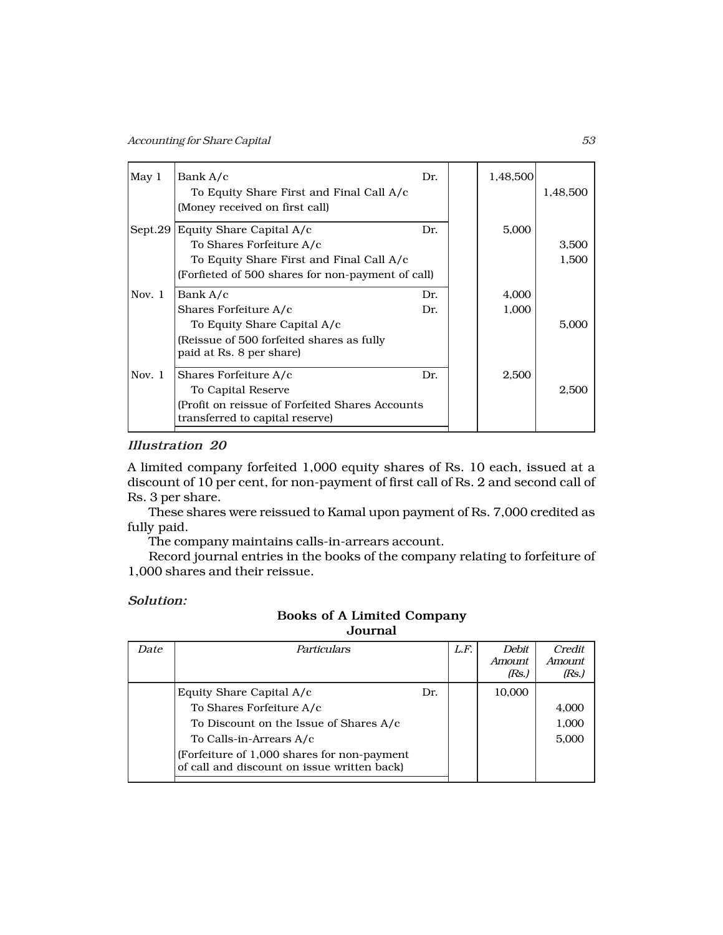| May 1    | Bank A/c<br>To Equity Share First and Final Call A/c<br>(Money received on first call)                                                                        | Dr. | 1,48,500 | 1,48,500       |
|----------|---------------------------------------------------------------------------------------------------------------------------------------------------------------|-----|----------|----------------|
|          | Sept.29 Equity Share Capital A/c<br>To Shares Forfeiture A/c<br>To Equity Share First and Final Call A/c<br>(Forfieted of 500 shares for non-payment of call) | Dr. | 5,000    | 3,500<br>1,500 |
| Nov. $1$ | Bank A/c                                                                                                                                                      | Dr. | 4,000    |                |
|          | Shares Forfeiture A/c<br>To Equity Share Capital A/c<br>(Reissue of 500 forfeited shares as fully<br>paid at Rs. 8 per share)                                 | Dr. | 1,000    | 5,000          |
| Nov. $1$ | Shares Forfeiture A/c<br>To Capital Reserve<br>(Profit on reissue of Forfeited Shares Accounts<br>transferred to capital reserve)                             | Dr. | 2,500    | 2,500          |

# *Illustration 20*

A limited company forfeited 1,000 equity shares of Rs. 10 each, issued at a discount of 10 per cent, for non-payment of first call of Rs. 2 and second call of Rs. 3 per share.

These shares were reissued to Kamal upon payment of Rs. 7,000 credited as fully paid.

The company maintains calls-in-arrears account.

Record journal entries in the books of the company relating to forfeiture of 1,000 shares and their reissue.

#### *Solution:*

## **Books of A Limited Company Journal**

| Date | Particulars                                                                                 |     | L.F. | Debit<br>Amount<br>(Rs.) | Credit<br><i>Amount</i><br>(Rs.) |
|------|---------------------------------------------------------------------------------------------|-----|------|--------------------------|----------------------------------|
|      | Equity Share Capital A/c                                                                    | Dr. |      | 10,000                   |                                  |
|      | To Shares Forfeiture A/c                                                                    |     |      |                          | 4,000                            |
|      | To Discount on the Issue of Shares A/c                                                      |     |      |                          | 1,000                            |
|      | To Calls-in-Arrears A/c                                                                     |     |      |                          | 5,000                            |
|      | (Forfeiture of 1,000 shares for non-payment)<br>of call and discount on issue written back) |     |      |                          |                                  |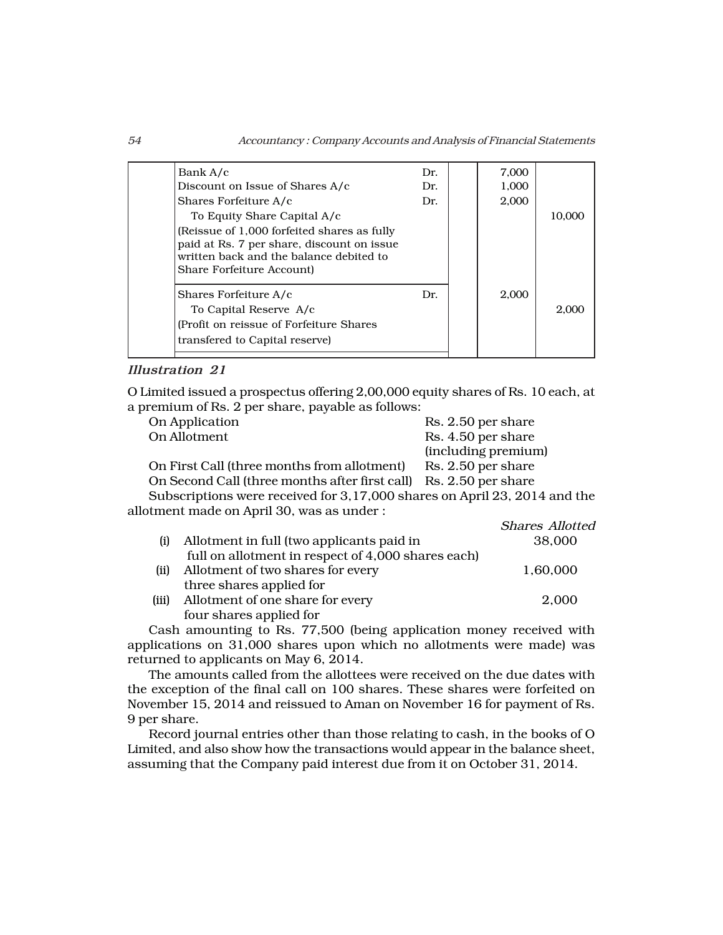| Bank A/c<br>Discount on Issue of Shares A/c                                                                                                                                                                               | Dr.<br>Dr. | 7,000<br>1,000 |        |
|---------------------------------------------------------------------------------------------------------------------------------------------------------------------------------------------------------------------------|------------|----------------|--------|
| Shares Forfeiture A/c<br>To Equity Share Capital A/c<br>(Reissue of 1,000 forfeited shares as fully<br>paid at Rs. 7 per share, discount on issue<br>written back and the balance debited to<br>Share Forfeiture Account) | Dr.        | 2,000          | 10.000 |
| Shares Forfeiture A/c<br>To Capital Reserve A/c<br>(Profit on reissue of Forfeiture Shares<br>transfered to Capital reserve)                                                                                              | Dr.        | 2.000          | 2.000  |

## *Illustration 21*

O Limited issued a prospectus offering 2,00,000 equity shares of Rs. 10 each, at a premium of Rs. 2 per share, payable as follows:

| On Application                                                            | Rs. 2.50 per share  |
|---------------------------------------------------------------------------|---------------------|
| On Allotment                                                              | Rs. 4.50 per share  |
|                                                                           | (including premium) |
| On First Call (three months from allotment)                               | Rs. 2.50 per share  |
| On Second Call (three months after first call) Rs. 2.50 per share         |                     |
| Subscriptions were received for 3,17,000 shares on April 23, 2014 and the |                     |

allotment made on April 30, was as under :

|                                                    | <b>Shares Allotted</b> |
|----------------------------------------------------|------------------------|
| Allotment in full (two applicants paid in          | 38,000                 |
| full on allotment in respect of 4,000 shares each) |                        |
| Allotment of two shares for every                  | 1,60,000               |
| three shares applied for                           |                        |
| Allotment of one share for every                   | 2,000                  |
| four shares applied for                            |                        |
|                                                    |                        |

Cash amounting to Rs. 77,500 (being application money received with applications on 31,000 shares upon which no allotments were made) was returned to applicants on May 6, 2014.

The amounts called from the allottees were received on the due dates with the exception of the final call on 100 shares. These shares were forfeited on November 15, 2014 and reissued to Aman on November 16 for payment of Rs. 9 per share.

Record journal entries other than those relating to cash, in the books of O Limited, and also show how the transactions would appear in the balance sheet, assuming that the Company paid interest due from it on October 31, 2014.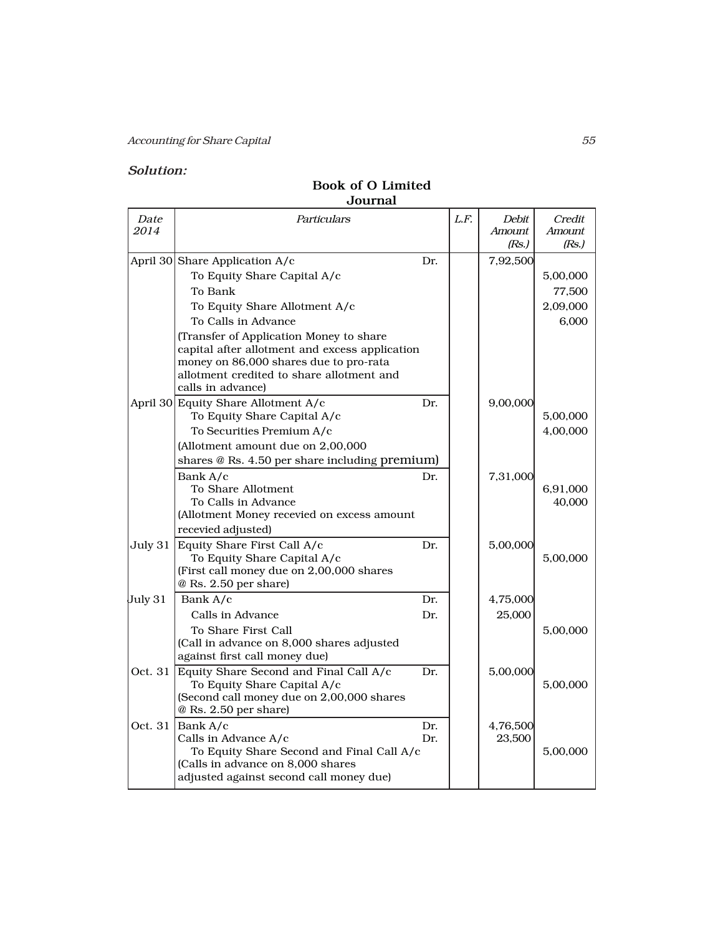# *Accounting for Share Capital 55*

# *Solution:*

# **Book of O Limited Journal**

| Date<br>2014 | Particulars                                                                                                                                                                                                                                                   |            | L.F. | Debit<br>Amount<br>(Rs.) | Credit<br>Amount<br>(Rs.) |
|--------------|---------------------------------------------------------------------------------------------------------------------------------------------------------------------------------------------------------------------------------------------------------------|------------|------|--------------------------|---------------------------|
|              | April 30 Share Application A/c<br>To Equity Share Capital A/c<br>To Bank                                                                                                                                                                                      | Dr.        |      | 7,92,500                 | 5,00,000<br>77,500        |
|              | To Equity Share Allotment A/c<br>To Calls in Advance<br>(Transfer of Application Money to share<br>capital after allotment and excess application<br>money on 86,000 shares due to pro-rata<br>allotment credited to share allotment and<br>calls in advancel |            |      |                          | 2,09,000<br>6,000         |
|              | April 30 Equity Share Allotment A/c<br>To Equity Share Capital A/c<br>To Securities Premium A/c<br>(Allotment amount due on 2,00,000<br>shares @ Rs. 4.50 per share including premium)                                                                        | Dr.        |      | 9,00,000                 | 5,00,000<br>4,00,000      |
|              | Bank A/c<br>To Share Allotment<br>To Calls in Advance<br>(Allotment Money recevied on excess amount<br>recevied adjusted)                                                                                                                                     | Dr.        |      | 7,31,000                 | 6,91,000<br>40,000        |
| July 31      | Equity Share First Call A/c<br>To Equity Share Capital A/c<br>(First call money due on 2,00,000 shares<br>@ Rs. 2.50 per share)                                                                                                                               | Dr.        |      | 5,00,000                 | 5,00,000                  |
| July 31      | Bank A/c<br>Calls in Advance<br>To Share First Call<br>(Call in advance on 8,000 shares adjusted<br>against first call money due)                                                                                                                             | Dr.<br>Dr. |      | 4,75,000<br>25,000       | 5,00,000                  |
|              | Oct. 31 Equity Share Second and Final Call A/c<br>To Equity Share Capital A/c<br>(Second call money due on 2,00,000 shares<br>@ Rs. 2.50 per share)                                                                                                           | Dr.        |      | 5,00,000                 | 5,00,000                  |
| Oct. 31      | Bank A/c<br>Calls in Advance A/c<br>To Equity Share Second and Final Call A/c<br>(Calls in advance on 8,000 shares<br>adjusted against second call money due)                                                                                                 | Dr.<br>Dr. |      | 4,76,500<br>23,500       | 5,00,000                  |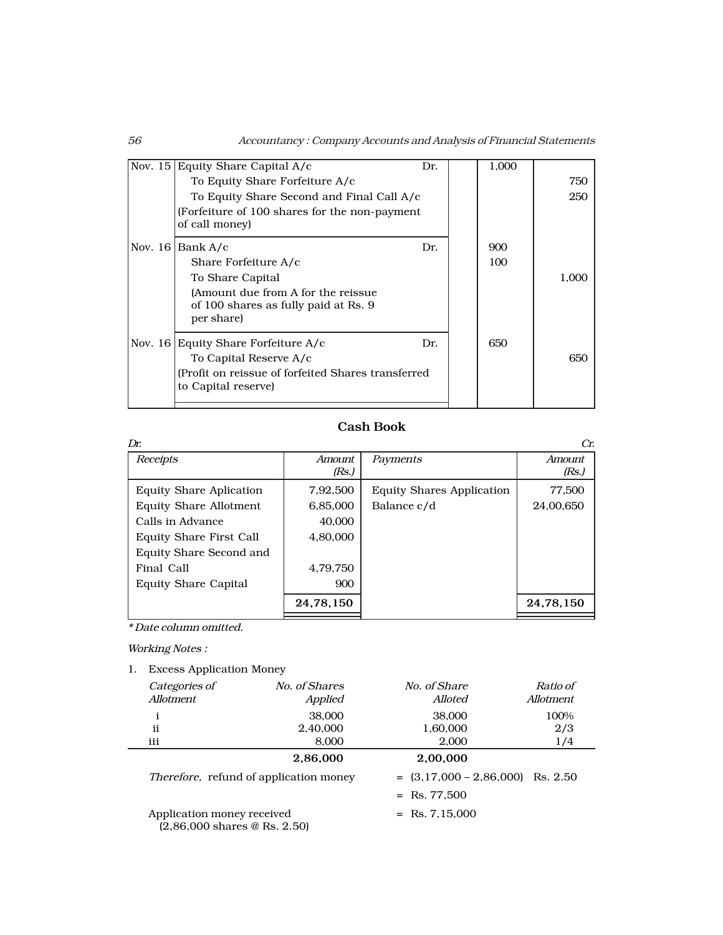| Nov. 15 Equity Share Capital A/c                                 | Dr. | 1,000 |       |
|------------------------------------------------------------------|-----|-------|-------|
| To Equity Share Forfeiture A/c                                   |     |       | 750   |
| To Equity Share Second and Final Call A/c                        |     |       | 250   |
| (Forfeiture of 100 shares for the non-payment)<br>of call money) |     |       |       |
| Nov. $16$ Bank A/c                                               | Dr. | 900   |       |
| Share Forfeiture A/c                                             |     | 100   |       |
| To Share Capital                                                 |     |       | 1,000 |
| (Amount due from A for the reissue)                              |     |       |       |
| of 100 shares as fully paid at Rs. 9                             |     |       |       |
| per share)                                                       |     |       |       |
| Nov. 16 Equity Share Forfeiture A/c                              | Dr. | 650   |       |
| To Capital Reserve A/c                                           |     |       | 650   |
| (Profit on reissue of forfeited Shares transferred)              |     |       |       |
| to Capital reserve)                                              |     |       |       |
|                                                                  |     |       |       |

# **Cash Book**

| Dr.                            |               |                                  | Cr.           |
|--------------------------------|---------------|----------------------------------|---------------|
| Receipts                       | <i>Amount</i> | Payments                         | <i>Amount</i> |
|                                | (Rs.)         |                                  | (Rs.)         |
| <b>Equity Share Aplication</b> | 7,92,500      | <b>Equity Shares Application</b> | 77,500        |
| <b>Equity Share Allotment</b>  | 6,85,000      | Balance c/d                      | 24,00,650     |
| Calls in Advance               | 40,000        |                                  |               |
| Equity Share First Call        | 4.80.000      |                                  |               |
| Equity Share Second and        |               |                                  |               |
| Final Call                     | 4,79,750      |                                  |               |
| <b>Equity Share Capital</b>    | 900           |                                  |               |
|                                | 24.78.150     |                                  | 24.78.150     |

*\* Date column omitted.*

*Working Notes :*

1. Excess Application Money

| Categories of<br>Allotment                                            | No. of Shares<br>Applied                      | No. of Share<br>Alloted            | Ratio of<br><i>Allotment</i> |
|-----------------------------------------------------------------------|-----------------------------------------------|------------------------------------|------------------------------|
| i                                                                     | 38,000                                        | 38,000                             | 100%                         |
| ii                                                                    | 2,40,000                                      | 1,60,000                           | 2/3                          |
| iii                                                                   | 8,000                                         | 2,000                              | 1/4                          |
|                                                                       | 2.86.000                                      | 2,00,000                           |                              |
|                                                                       | <i>Therefore, refund of application money</i> | $=$ (3,17,000 – 2,86,000) Rs. 2.50 |                              |
|                                                                       |                                               | $=$ Rs. 77,500                     |                              |
| Application money received<br>$(2,86,000 \text{ shares } @$ Rs. 2.50) |                                               | $=$ Rs. 7.15.000                   |                              |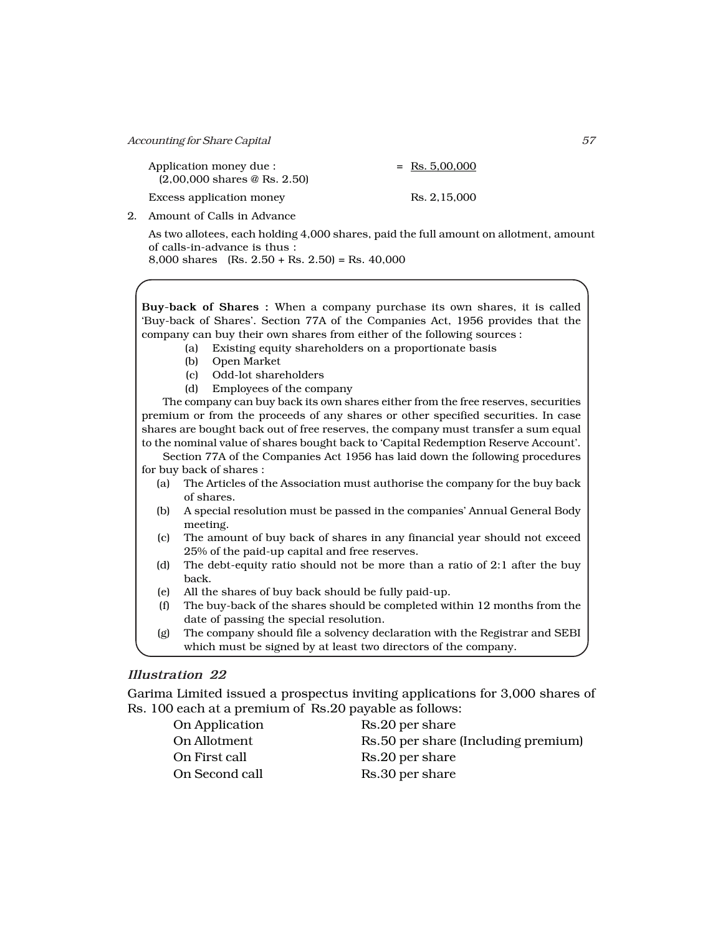| Application money due :<br>$(2,00,000 \text{ shares } @$ Rs. 2.50) | $=$ Rs. 5,00,000 |
|--------------------------------------------------------------------|------------------|
| Excess application money                                           | Rs. 2,15,000     |

2. Amount of Calls in Advance

As two allotees, each holding 4,000 shares, paid the full amount on allotment, amount of calls-in-advance is thus :

8,000 shares  $(Rs. 2.50 + Rs. 2.50) = Rs. 40,000$ 

**Buy-back of Shares :** When a company purchase its own shares, it is called 'Buy-back of Shares'. Section 77A of the Companies Act, 1956 provides that the company can buy their own shares from either of the following sources :

- (a) Existing equity shareholders on a proportionate basis
	- (b) Open Market
	- (c) Odd-lot shareholders
	- (d) Employees of the company

The company can buy back its own shares either from the free reserves, securities premium or from the proceeds of any shares or other specified securities. In case shares are bought back out of free reserves, the company must transfer a sum equal to the nominal value of shares bought back to 'Capital Redemption Reserve Account'.

Section 77A of the Companies Act 1956 has laid down the following procedures for buy back of shares :

- (a) The Articles of the Association must authorise the company for the buy back of shares.
- (b) A special resolution must be passed in the companies' Annual General Body meeting.
- (c) The amount of buy back of shares in any financial year should not exceed 25% of the paid-up capital and free reserves.
- (d) The debt-equity ratio should not be more than a ratio of 2:1 after the buy back.
- (e) All the shares of buy back should be fully paid-up.
- (f) The buy-back of the shares should be completed within 12 months from the date of passing the special resolution.
- (g) The company should file a solvency declaration with the Registrar and SEBI which must be signed by at least two directors of the company.

## *Illustration 22*

Garima Limited issued a prospectus inviting applications for 3,000 shares of Rs. 100 each at a premium of Rs.20 payable as follows:

On Application Rs.20 per share On Allotment Rs.50 per share (Including premium) On First call Rs.20 per share On Second call Rs.30 per share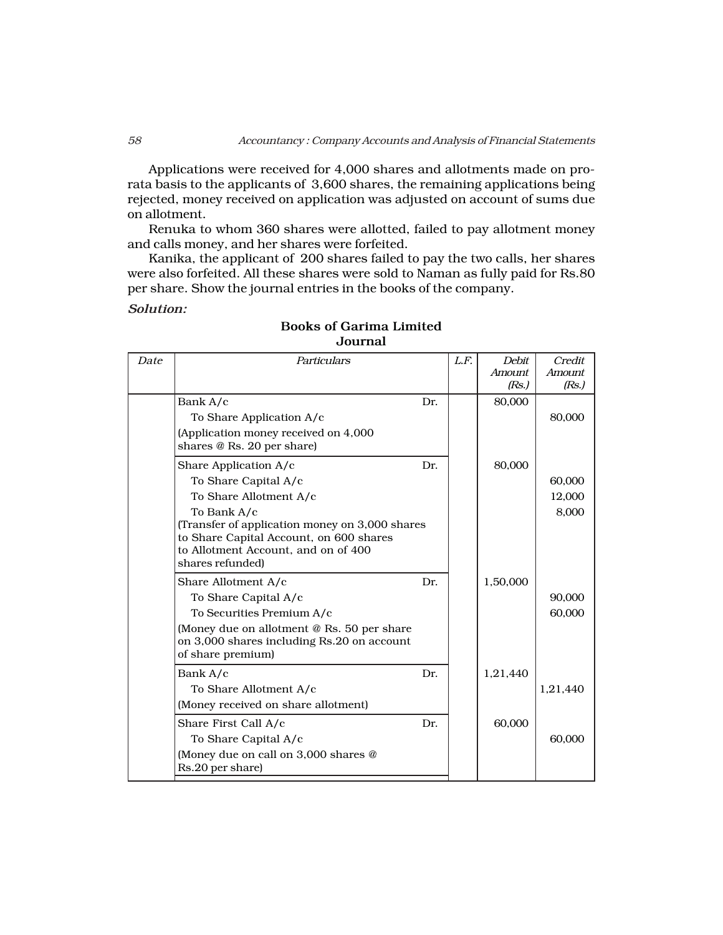Applications were received for 4,000 shares and allotments made on prorata basis to the applicants of 3,600 shares, the remaining applications being rejected, money received on application was adjusted on account of sums due on allotment.

Renuka to whom 360 shares were allotted, failed to pay allotment money and calls money, and her shares were forfeited.

Kanika, the applicant of 200 shares failed to pay the two calls, her shares were also forfeited. All these shares were sold to Naman as fully paid for Rs.80 per share. Show the journal entries in the books of the company.

## *Solution:*

| Date | Particulars                                                                                                                                          |     | L.F. | Debit    | Credit   |
|------|------------------------------------------------------------------------------------------------------------------------------------------------------|-----|------|----------|----------|
|      |                                                                                                                                                      |     |      | Amount   | Amount   |
|      |                                                                                                                                                      |     |      | (Rs.)    | (Rs.)    |
|      | Bank A/c                                                                                                                                             | Dr. |      | 80,000   |          |
|      | To Share Application A/c                                                                                                                             |     |      |          | 80,000   |
|      | (Application money received on 4,000<br>shares @ Rs. 20 per share)                                                                                   |     |      |          |          |
|      | Share Application A/c                                                                                                                                | Dr. |      | 80,000   |          |
|      | To Share Capital A/c                                                                                                                                 |     |      |          | 60,000   |
|      | To Share Allotment A/c                                                                                                                               |     |      |          | 12,000   |
|      | To Bank A/c                                                                                                                                          |     |      |          | 8,000    |
|      | (Transfer of application money on 3,000 shares<br>to Share Capital Account, on 600 shares<br>to Allotment Account, and on of 400<br>shares refunded) |     |      |          |          |
|      | Share Allotment A/c                                                                                                                                  | Dr. |      | 1,50,000 |          |
|      | To Share Capital A/c                                                                                                                                 |     |      |          | 90,000   |
|      | To Securities Premium A/c                                                                                                                            |     |      |          | 60,000   |
|      | (Money due on allotment @ Rs. 50 per share<br>on 3,000 shares including Rs.20 on account<br>of share premium)                                        |     |      |          |          |
|      | Bank A/c                                                                                                                                             | Dr. |      | 1,21,440 |          |
|      | To Share Allotment A/c                                                                                                                               |     |      |          | 1,21,440 |
|      | (Money received on share allotment)                                                                                                                  |     |      |          |          |
|      | Share First Call A/c                                                                                                                                 | Dr. |      | 60,000   |          |
|      | To Share Capital A/c                                                                                                                                 |     |      |          | 60,000   |
|      | (Money due on call on 3,000 shares @<br>Rs.20 per share)                                                                                             |     |      |          |          |

# **Books of Garima Limited Journal**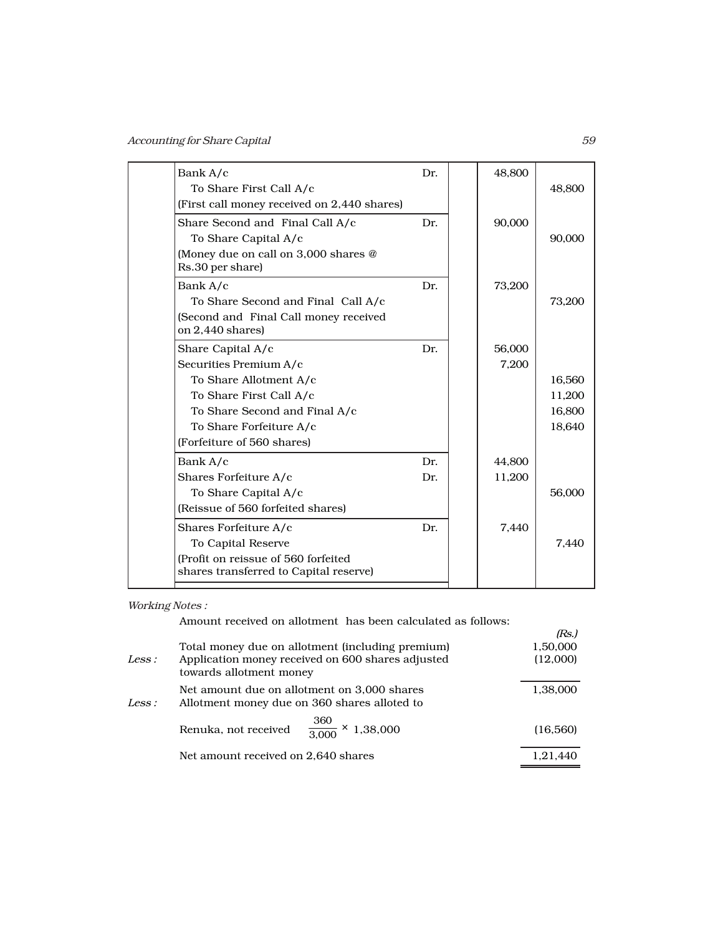| Bank A/c                                    | Dr. | 48,800 |        |
|---------------------------------------------|-----|--------|--------|
| To Share First Call A/c                     |     |        | 48,800 |
| (First call money received on 2,440 shares) |     |        |        |
| Share Second and Final Call A/c             | Dr. | 90,000 |        |
| To Share Capital A/c                        |     |        | 90,000 |
| (Money due on call on 3,000 shares @        |     |        |        |
| Rs.30 per share)                            |     |        |        |
| Bank A/c                                    | Dr. | 73,200 |        |
| To Share Second and Final Call A/c          |     |        | 73,200 |
| (Second and Final Call money received       |     |        |        |
| on $2,440$ shares)                          |     |        |        |
| Share Capital A/c                           | Dr. | 56,000 |        |
| Securities Premium A/c                      |     | 7,200  |        |
| To Share Allotment A/c                      |     |        | 16,560 |
| To Share First Call A/c                     |     |        | 11,200 |
| To Share Second and Final A/c               |     |        | 16,800 |
| To Share Forfeiture A/c                     |     |        | 18,640 |
| (Forfeiture of 560 shares)                  |     |        |        |
| Bank A/c                                    | Dr. | 44,800 |        |
| Shares Forfeiture A/c                       | Dr. | 11,200 |        |
| To Share Capital A/c                        |     |        | 56,000 |
| (Reissue of 560 forfeited shares)           |     |        |        |
| Shares Forfeiture A/c                       | Dr. | 7,440  |        |
| To Capital Reserve                          |     |        | 7.440  |
| (Profit on reissue of 560 forfeited         |     |        |        |
| shares transferred to Capital reserve)      |     |        |        |
|                                             |     |        |        |

*Working Notes :*

Amount received on allotment has been calculated as follows:

|               |                                                                                             | (Rs.)    |
|---------------|---------------------------------------------------------------------------------------------|----------|
|               | Total money due on allotment (including premium)                                            | 1,50,000 |
| <i>Less :</i> | Application money received on 600 shares adjusted<br>towards allotment money                | (12,000) |
| <i>Less :</i> | Net amount due on allotment on 3,000 shares<br>Allotment money due on 360 shares alloted to | 1,38,000 |
|               | $\frac{360}{3,000} \times 1,38,000$<br>Renuka, not received                                 | (16,560) |
|               | Net amount received on 2,640 shares                                                         |          |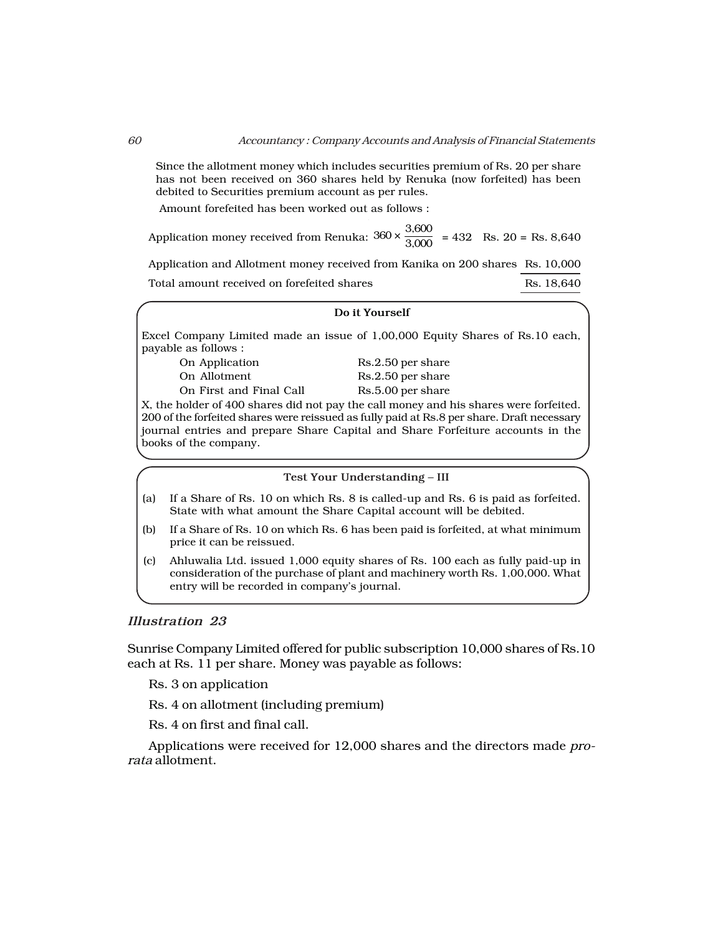Since the allotment money which includes securities premium of Rs. 20 per share has not been received on 360 shares held by Renuka (now forfeited) has been debited to Securities premium account as per rules.

Amount forefeited has been worked out as follows :

Application money received from Renuka:  $360 \times \frac{3,600}{3,000}$  $3600$  $\frac{360 \times 3000}{3000}$  = 432 Rs. 20 = Rs. 8,640

Application and Allotment money received from Kanika on 200 shares Rs. 10,000 Total amount received on forefeited shares Rs. 18,640

#### **Do it Yourself**

Excel Company Limited made an issue of 1,00,000 Equity Shares of Rs.10 each, payable as follows :

| On Application          | Rs.2.50 per share |
|-------------------------|-------------------|
| On Allotment            | Rs.2.50 per share |
| On First and Final Call | Rs.5.00 per share |

X, the holder of 400 shares did not pay the call money and his shares were forfeited. 200 of the forfeited shares were reissued as fully paid at Rs.8 per share. Draft necessary journal entries and prepare Share Capital and Share Forfeiture accounts in the books of the company.

#### **Test Your Understanding – III**

- (a) If a Share of Rs. 10 on which Rs. 8 is called-up and Rs. 6 is paid as forfeited. State with what amount the Share Capital account will be debited.
- (b) If a Share of Rs. 10 on which Rs. 6 has been paid is forfeited, at what minimum price it can be reissued.
- (c) Ahluwalia Ltd. issued 1,000 equity shares of Rs. 100 each as fully paid-up in consideration of the purchase of plant and machinery worth Rs. 1,00,000. What entry will be recorded in company's journal.

#### *Illustration 23*

Sunrise Company Limited offered for public subscription 10,000 shares of Rs.10 each at Rs. 11 per share. Money was payable as follows:

Rs. 3 on application

Rs. 4 on allotment (including premium)

Rs. 4 on first and final call.

Applications were received for 12,000 shares and the directors made *prorata* allotment.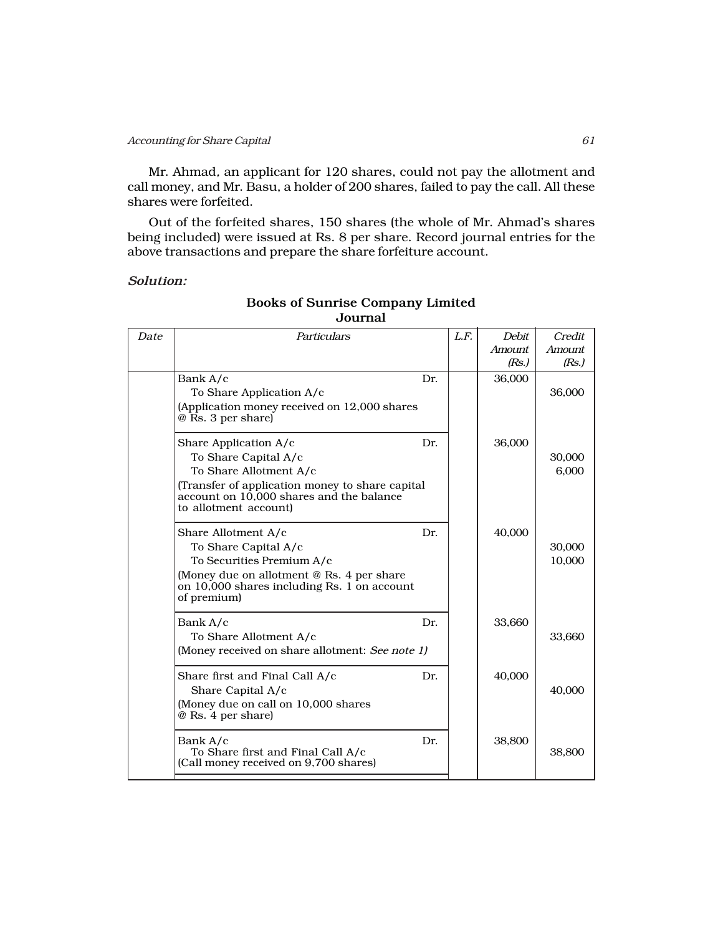Mr. Ahmad*,* an applicant for 120 shares, could not pay the allotment and call money, and Mr. Basu, a holder of 200 shares, failed to pay the call. All these shares were forfeited.

Out of the forfeited shares, 150 shares (the whole of Mr. Ahmad's shares being included) were issued at Rs. 8 per share. Record journal entries for the above transactions and prepare the share forfeiture account.

#### *Solution:*

| Date | Particulars                                                                                                                                                                                      |     | L.F. | Debit<br><i>Amount</i><br>(Rs.) | Credit<br>Amount<br>(Rs.) |
|------|--------------------------------------------------------------------------------------------------------------------------------------------------------------------------------------------------|-----|------|---------------------------------|---------------------------|
|      | Bank A/c<br>To Share Application A/c<br>(Application money received on 12,000 shares<br>@ Rs. 3 per share)                                                                                       | Dr. |      | 36,000                          | 36,000                    |
|      | Share Application A/c<br>To Share Capital A/c<br>To Share Allotment A/c<br>(Transfer of application money to share capital)<br>account on 10,000 shares and the balance<br>to allotment account) | Dr. |      | 36,000                          | 30,000<br>6,000           |
|      | Share Allotment A/c<br>To Share Capital A/c<br>To Securities Premium A/c<br>(Money due on allotment @ Rs. 4 per share<br>on 10,000 shares including Rs. 1 on account<br>of premium)              | Dr. |      | 40,000                          | 30,000<br>10,000          |
|      | Bank A/c<br>To Share Allotment A/c<br>(Money received on share allotment: See note 1)                                                                                                            | Dr. |      | 33,660                          | 33,660                    |
|      | Share first and Final Call A/c<br>Share Capital A/c<br>(Money due on call on 10,000 shares<br>@ Rs. 4 per share)                                                                                 | Dr. |      | 40,000                          | 40,000                    |
|      | Bank A/c<br>To Share first and Final Call A/c<br>(Call money received on 9,700 shares)                                                                                                           | Dr. |      | 38,800                          | 38,800                    |

# **Books of Sunrise Company Limited Journal**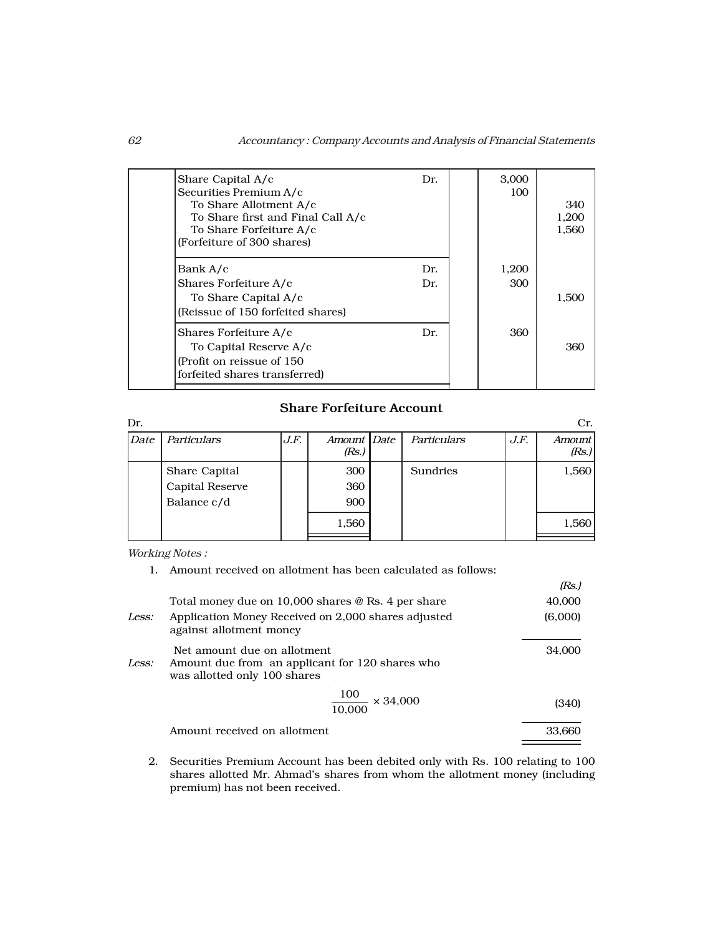| Share Capital A/c<br>Securities Premium A/c<br>To Share Allotment A/c<br>To Share first and Final Call A/c<br>To Share Forfeiture A/c | Dr.        | 3,000<br>100 | 340<br>1,200<br>1,560 |
|---------------------------------------------------------------------------------------------------------------------------------------|------------|--------------|-----------------------|
| (Forfeiture of 300 shares)<br>Bank A/c<br>Shares Forfeiture A/c<br>To Share Capital A/c<br>(Reissue of 150 forfeited shares)          | Dr.<br>Dr. | 1,200<br>300 | 1,500                 |
| Shares Forfeiture A/c<br>To Capital Reserve A/c<br>(Profit on reissue of 150)<br>forfeited shares transferred)                        | Dr.        | 360          | 360                   |

## **Share Forfeiture Account**

| Dr.         |                 |      |                      |             |      | Cr.                    |
|-------------|-----------------|------|----------------------|-------------|------|------------------------|
| <i>Date</i> | Particulars     | J.F. | Amount Date<br>(Rs.) | Particulars | J.F. | <i>Amount</i><br>(Rs.) |
|             | Share Capital   |      | 300                  | Sundries    |      | 1,560                  |
|             | Capital Reserve |      | 360                  |             |      |                        |
|             | Balance c/d     |      | 900                  |             |      |                        |
|             |                 |      | 1,560                |             |      | 1,560                  |
|             |                 |      |                      |             |      |                        |

*Working Notes :*

1. Amount received on allotment has been calculated as follows:

|              |                                                                                                                | (Rs.)   |
|--------------|----------------------------------------------------------------------------------------------------------------|---------|
|              | Total money due on 10,000 shares @ Rs. 4 per share                                                             | 40,000  |
| <i>Less:</i> | Application Money Received on 2,000 shares adjusted<br>against allotment money                                 | (6,000) |
| <i>Less:</i> | Net amount due on allotment<br>Amount due from an applicant for 120 shares who<br>was allotted only 100 shares | 34,000  |
|              | $\frac{100}{100} \times 34,000$<br>10.000                                                                      | (340)   |
|              | Amount received on allotment                                                                                   | 33.660  |

2. Securities Premium Account has been debited only with Rs. 100 relating to 100 shares allotted Mr. Ahmad's shares from whom the allotment money (including premium) has not been received.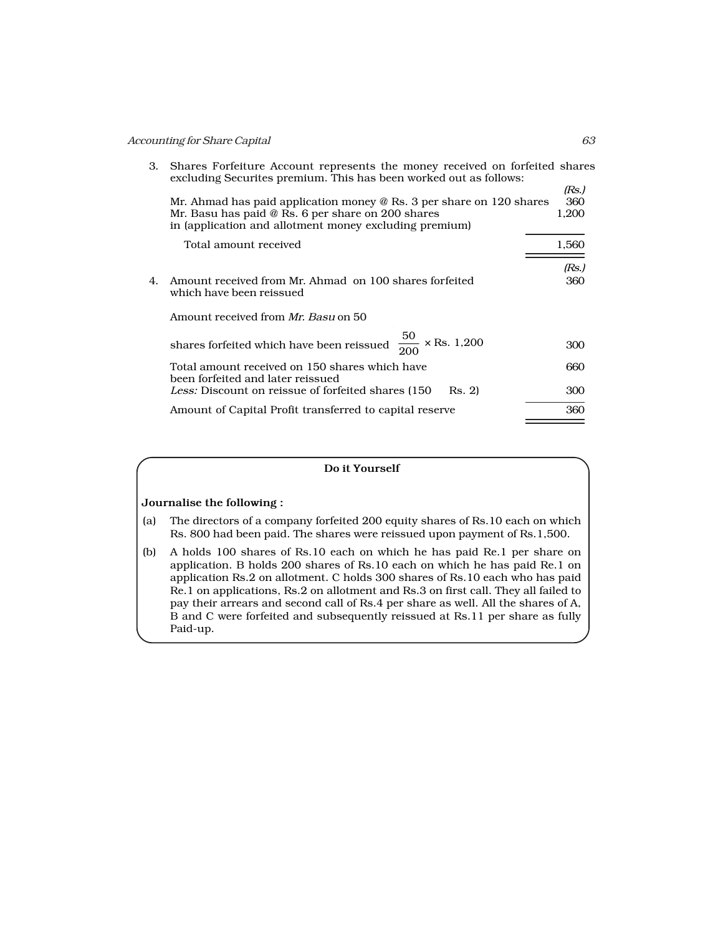#### *Accounting for Share Capital 63*

|    | 3. Shares Forfeiture Account represents the money received on forfeited shares<br>excluding Securites premium. This has been worked out as follows: |       |
|----|-----------------------------------------------------------------------------------------------------------------------------------------------------|-------|
|    |                                                                                                                                                     | (Rs.) |
|    | Mr. Ahmad has paid application money @ Rs. 3 per share on 120 shares                                                                                | 360   |
|    | Mr. Basu has paid @ Rs. 6 per share on 200 shares                                                                                                   | 1,200 |
|    | in (application and allotment money excluding premium)                                                                                              |       |
|    | Total amount received                                                                                                                               | 1,560 |
|    |                                                                                                                                                     |       |
|    |                                                                                                                                                     | (Rs.) |
| 4. | Amount received from Mr. Ahmad on 100 shares forfeited                                                                                              | 360   |
|    | which have been reissued                                                                                                                            |       |
|    | Amount received from <i>Mr. Basu</i> on 50                                                                                                          |       |
|    |                                                                                                                                                     |       |
|    | $\frac{50}{200}$ × Rs. 1,200<br>shares forfeited which have been reissued                                                                           | 300   |
|    | Total amount received on 150 shares which have                                                                                                      | 660   |
|    | been forfeited and later reissued                                                                                                                   |       |
|    | Less: Discount on reissue of forfeited shares (150)<br>Rs. 21                                                                                       | 300   |
|    | Amount of Capital Profit transferred to capital reserve                                                                                             | 360   |
|    |                                                                                                                                                     |       |

#### **Do it Yourself**

#### **Journalise the following :**

- (a) The directors of a company forfeited 200 equity shares of Rs.10 each on which Rs. 800 had been paid. The shares were reissued upon payment of Rs.1,500.
- (b) A holds 100 shares of Rs.10 each on which he has paid Re.1 per share on application. B holds 200 shares of Rs.10 each on which he has paid Re.1 on application Rs.2 on allotment. C holds 300 shares of Rs.10 each who has paid Re.1 on applications, Rs.2 on allotment and Rs.3 on first call. They all failed to pay their arrears and second call of Rs.4 per share as well. All the shares of A, B and C were forfeited and subsequently reissued at Rs.11 per share as fully Paid-up.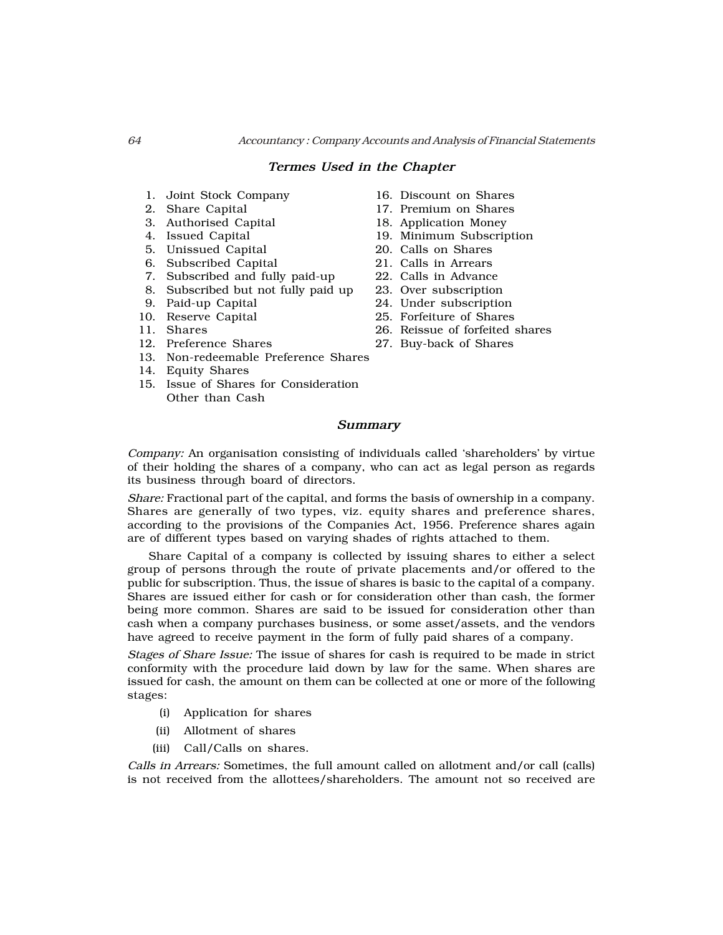#### *Termes Used in the Chapter*

- 1. Joint Stock Company 16. Discount on Shares
- 
- 
- 
- 5. Unissued Capital 20. Calls on Shares<br>6. Subscribed Capital 21. Calls in Arrears
- 6. Subscribed Capital
- 7. Subscribed and fully paid-up 22. Calls in Advance
- 8. Subscribed but not fully paid up 23. Over subscription
- 
- 
- 
- 12. Preference Shares 27. Buy-back of Shares
- 13. Non-redeemable Preference Shares
- 14. Equity Shares
- 15. Issue of Shares for Consideration Other than Cash
- 
- 2. Share Capital 17. Premium on Shares
- 3. Authorised Capital 18. Application Money
- 4. Issued Capital 19. Minimum Subscription
	-
	-
	-
	-
	-
- 9. Paid-up Capital 24. Under subscription 10. Reserve Capital 25. Forfeiture of Shares
	- 26. Reissue of forfeited shares
	-

#### *Summary*

*Company:* An organisation consisting of individuals called 'shareholders' by virtue of their holding the shares of a company, who can act as legal person as regards its business through board of directors.

*Share:* Fractional part of the capital, and forms the basis of ownership in a company. Shares are generally of two types, viz. equity shares and preference shares, according to the provisions of the Companies Act, 1956. Preference shares again are of different types based on varying shades of rights attached to them.

Share Capital of a company is collected by issuing shares to either a select group of persons through the route of private placements and/or offered to the public for subscription. Thus, the issue of shares is basic to the capital of a company. Shares are issued either for cash or for consideration other than cash, the former being more common. Shares are said to be issued for consideration other than cash when a company purchases business, or some asset/assets, and the vendors have agreed to receive payment in the form of fully paid shares of a company.

*Stages of Share Issue:* The issue of shares for cash is required to be made in strict conformity with the procedure laid down by law for the same. When shares are issued for cash, the amount on them can be collected at one or more of the following stages:

- (i) Application for shares
- (ii) Allotment of shares
- (iii) Call/Calls on shares.

*Calls in Arrears:* Sometimes, the full amount called on allotment and/or call (calls) is not received from the allottees/shareholders. The amount not so received are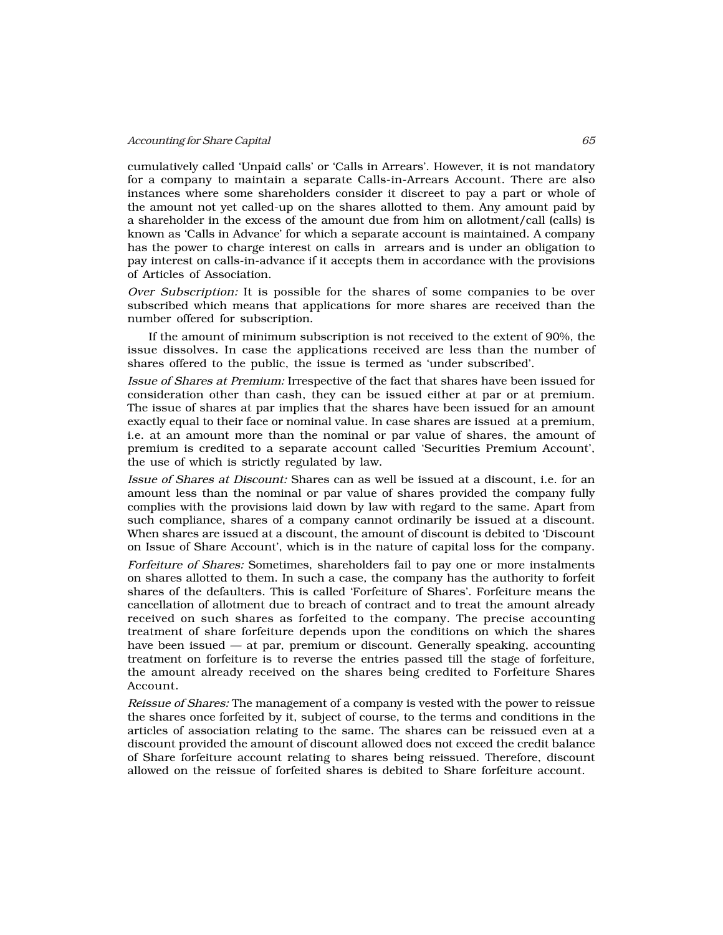#### *Accounting for Share Capital 65*

cumulatively called 'Unpaid calls' or 'Calls in Arrears'. However, it is not mandatory for a company to maintain a separate Calls-in-Arrears Account. There are also instances where some shareholders consider it discreet to pay a part or whole of the amount not yet called-up on the shares allotted to them. Any amount paid by a shareholder in the excess of the amount due from him on allotment/call (calls) is known as 'Calls in Advance' for which a separate account is maintained. A company has the power to charge interest on calls in arrears and is under an obligation to pay interest on calls-in-advance if it accepts them in accordance with the provisions of Articles of Association.

*Over Subscription:* It is possible for the shares of some companies to be over subscribed which means that applications for more shares are received than the number offered for subscription.

If the amount of minimum subscription is not received to the extent of 90%, the issue dissolves. In case the applications received are less than the number of shares offered to the public, the issue is termed as 'under subscribed'.

*Issue of Shares at Premium:* Irrespective of the fact that shares have been issued for consideration other than cash, they can be issued either at par or at premium. The issue of shares at par implies that the shares have been issued for an amount exactly equal to their face or nominal value. In case shares are issued at a premium, i.e. at an amount more than the nominal or par value of shares, the amount of premium is credited to a separate account called 'Securities Premium Account', the use of which is strictly regulated by law.

*Issue of Shares at Discount:* Shares can as well be issued at a discount, i.e. for an amount less than the nominal or par value of shares provided the company fully complies with the provisions laid down by law with regard to the same. Apart from such compliance, shares of a company cannot ordinarily be issued at a discount. When shares are issued at a discount, the amount of discount is debited to 'Discount on Issue of Share Account', which is in the nature of capital loss for the company.

*Forfeiture of Shares:* Sometimes, shareholders fail to pay one or more instalments on shares allotted to them. In such a case, the company has the authority to forfeit shares of the defaulters. This is called 'Forfeiture of Shares'. Forfeiture means the cancellation of allotment due to breach of contract and to treat the amount already received on such shares as forfeited to the company. The precise accounting treatment of share forfeiture depends upon the conditions on which the shares have been issued — at par, premium or discount. Generally speaking, accounting treatment on forfeiture is to reverse the entries passed till the stage of forfeiture, the amount already received on the shares being credited to Forfeiture Shares Account.

*Reissue of Shares:* The management of a company is vested with the power to reissue the shares once forfeited by it, subject of course, to the terms and conditions in the articles of association relating to the same. The shares can be reissued even at a discount provided the amount of discount allowed does not exceed the credit balance of Share forfeiture account relating to shares being reissued. Therefore, discount allowed on the reissue of forfeited shares is debited to Share forfeiture account.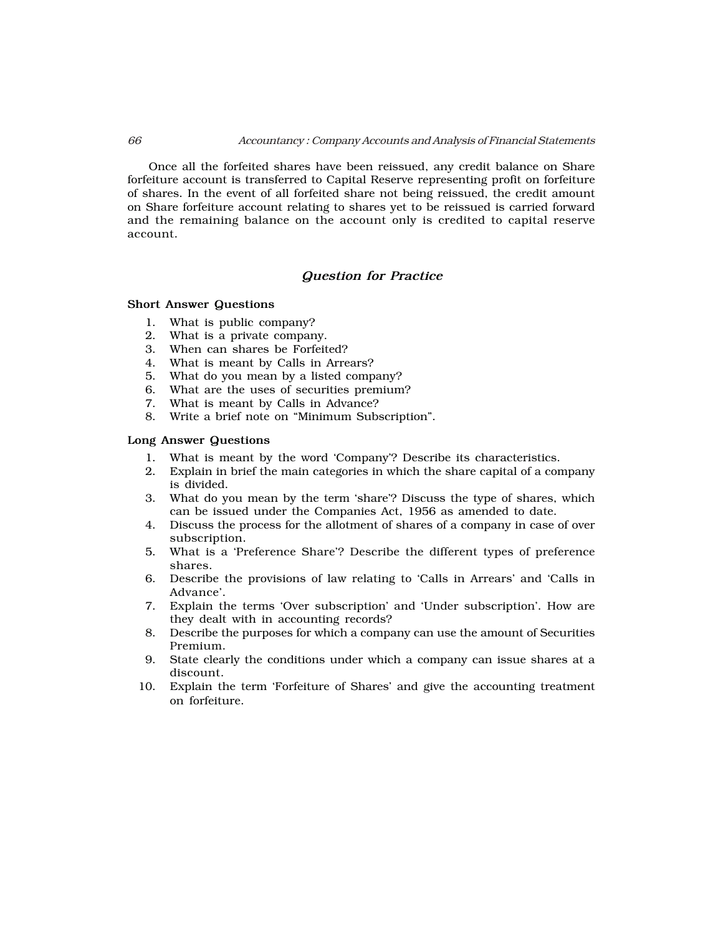Once all the forfeited shares have been reissued, any credit balance on Share forfeiture account is transferred to Capital Reserve representing profit on forfeiture of shares. In the event of all forfeited share not being reissued, the credit amount on Share forfeiture account relating to shares yet to be reissued is carried forward and the remaining balance on the account only is credited to capital reserve account.

#### *Question for Practice*

#### **Short Answer Questions**

- 1. What is public company?
- 2. What is a private company.
- 3. When can shares be Forfeited?
- 4. What is meant by Calls in Arrears?
- 5. What do you mean by a listed company?
- 6. What are the uses of securities premium?
- 7. What is meant by Calls in Advance?
- 8. Write a brief note on "Minimum Subscription".

# **Long Answer Questions**

- 1. What is meant by the word 'Company'? Describe its characteristics.
- 2. Explain in brief the main categories in which the share capital of a company is divided.
- 3. What do you mean by the term 'share'? Discuss the type of shares, which can be issued under the Companies Act, 1956 as amended to date.
- 4. Discuss the process for the allotment of shares of a company in case of over subscription.
- 5. What is a 'Preference Share'? Describe the different types of preference shares.
- 6. Describe the provisions of law relating to 'Calls in Arrears' and 'Calls in Advance'.
- 7. Explain the terms 'Over subscription' and 'Under subscription'. How are they dealt with in accounting records?
- 8. Describe the purposes for which a company can use the amount of Securities Premium.
- 9. State clearly the conditions under which a company can issue shares at a discount.
- 10. Explain the term 'Forfeiture of Shares' and give the accounting treatment on forfeiture.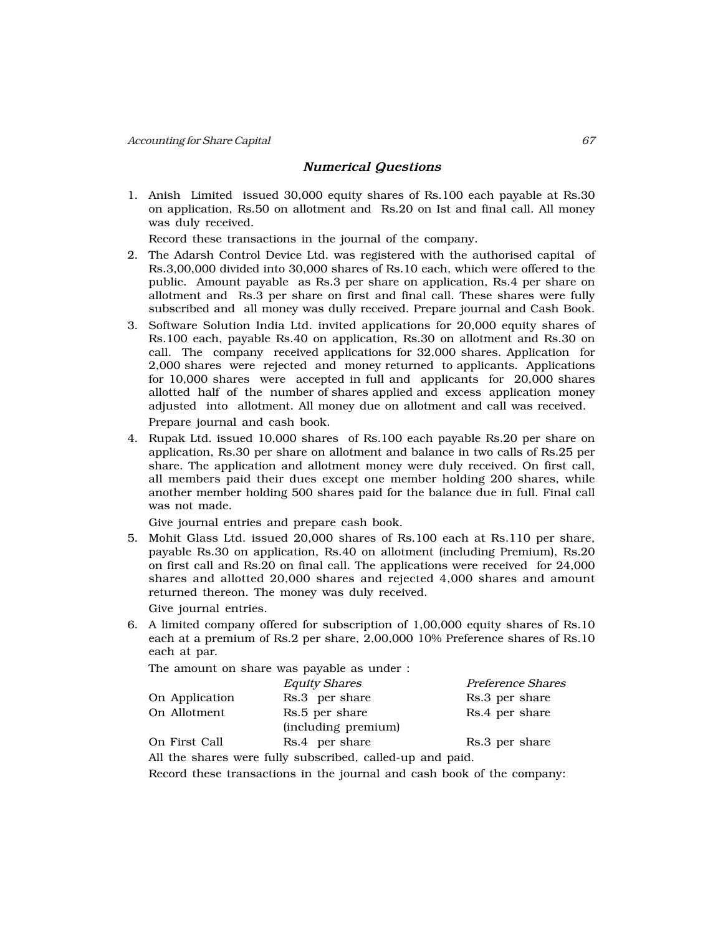#### *Numerical Questions*

1. Anish Limited issued 30,000 equity shares of Rs.100 each payable at Rs.30 on application, Rs.50 on allotment and Rs.20 on Ist and final call. All money was duly received.

Record these transactions in the journal of the company.

- 2. The Adarsh Control Device Ltd. was registered with the authorised capital of Rs.3,00,000 divided into 30,000 shares of Rs.10 each, which were offered to the public. Amount payable as Rs.3 per share on application, Rs.4 per share on allotment and Rs.3 per share on first and final call. These shares were fully subscribed and all money was dully received. Prepare journal and Cash Book.
- 3. Software Solution India Ltd. invited applications for 20,000 equity shares of Rs.100 each, payable Rs.40 on application, Rs.30 on allotment and Rs.30 on call. The company received applications for 32,000 shares. Application for 2,000 shares were rejected and money returned to applicants. Applications for 10,000 shares were accepted in full and applicants for 20,000 shares allotted half of the number of shares applied and excess application money adjusted into allotment. All money due on allotment and call was received. Prepare journal and cash book.
- 4. Rupak Ltd. issued 10,000 shares of Rs.100 each payable Rs.20 per share on application, Rs.30 per share on allotment and balance in two calls of Rs.25 per share. The application and allotment money were duly received. On first call, all members paid their dues except one member holding 200 shares, while another member holding 500 shares paid for the balance due in full. Final call was not made.

Give journal entries and prepare cash book.

5. Mohit Glass Ltd. issued 20,000 shares of Rs.100 each at Rs.110 per share, payable Rs.30 on application, Rs.40 on allotment (including Premium), Rs.20 on first call and Rs.20 on final call. The applications were received for 24,000 shares and allotted 20,000 shares and rejected 4,000 shares and amount returned thereon. The money was duly received.

Give journal entries.

6. A limited company offered for subscription of 1,00,000 equity shares of Rs.10 each at a premium of Rs.2 per share, 2,00,000 10% Preference shares of Rs.10 each at par.

The amount on share was payable as under :

| <b>Equity Shares</b> | Preference Shares   |
|----------------------|---------------------|
| Rs.3 per share       | Rs.3 per share      |
| Rs.5 per share       | Rs.4 per share      |
|                      |                     |
| Rs.4 per share       | Rs.3 per share      |
|                      | (including premium) |

All the shares were fully subscribed, called-up and paid.

Record these transactions in the journal and cash book of the company: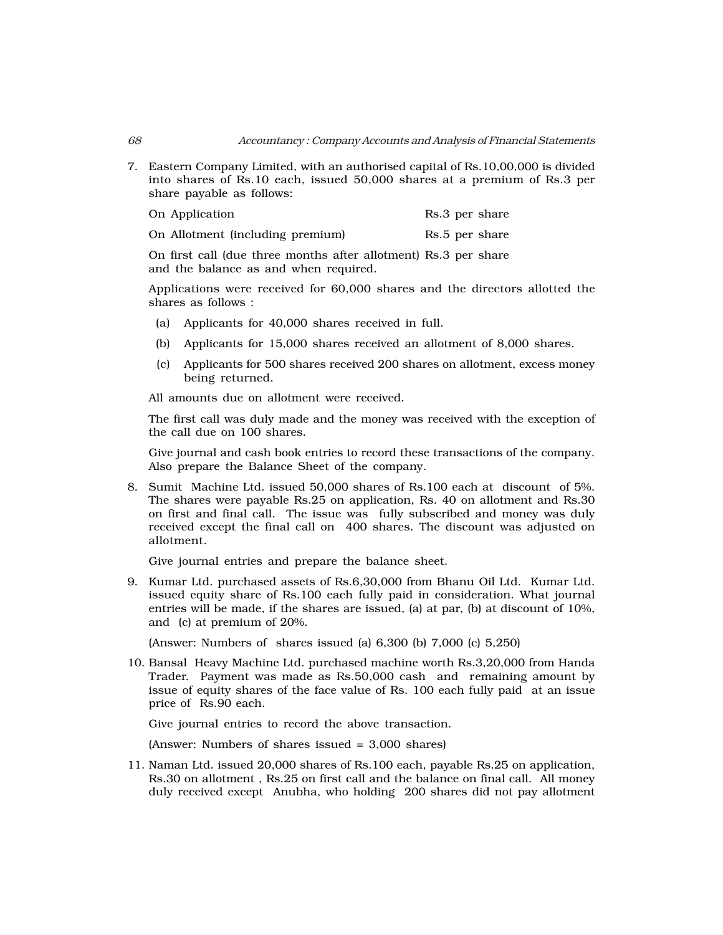7. Eastern Company Limited, with an authorised capital of Rs.10,00,000 is divided into shares of Rs.10 each, issued 50,000 shares at a premium of Rs.3 per share payable as follows:

| On Application | Rs.3 per share |  |
|----------------|----------------|--|
|                |                |  |

On Allotment (including premium) Rs.5 per share

On first call (due three months after allotment) Rs.3 per share and the balance as and when required.

Applications were received for 60,000 shares and the directors allotted the shares as follows :

- (a) Applicants for 40,000 shares received in full.
- (b) Applicants for 15,000 shares received an allotment of 8,000 shares.
- (c) Applicants for 500 shares received 200 shares on allotment, excess money being returned.

All amounts due on allotment were received.

The first call was duly made and the money was received with the exception of the call due on 100 shares.

Give journal and cash book entries to record these transactions of the company. Also prepare the Balance Sheet of the company.

8. Sumit Machine Ltd. issued 50,000 shares of Rs.100 each at discount of 5%. The shares were payable Rs.25 on application, Rs. 40 on allotment and Rs.30 on first and final call. The issue was fully subscribed and money was duly received except the final call on 400 shares. The discount was adjusted on allotment.

Give journal entries and prepare the balance sheet.

9. Kumar Ltd. purchased assets of Rs.6,30,000 from Bhanu Oil Ltd. Kumar Ltd. issued equity share of Rs.100 each fully paid in consideration. What journal entries will be made, if the shares are issued, (a) at par, (b) at discount of 10%, and (c) at premium of 20%.

(Answer: Numbers of shares issued (a) 6,300 (b) 7,000 (c) 5,250)

10. Bansal Heavy Machine Ltd. purchased machine worth Rs.3,20,000 from Handa Trader. Payment was made as Rs.50,000 cash and remaining amount by issue of equity shares of the face value of Rs. 100 each fully paid at an issue price of Rs.90 each.

Give journal entries to record the above transaction.

(Answer: Numbers of shares issued = 3,000 shares)

11. Naman Ltd. issued 20,000 shares of Rs.100 each, payable Rs.25 on application, Rs.30 on allotment , Rs.25 on first call and the balance on final call. All money duly received except Anubha, who holding 200 shares did not pay allotment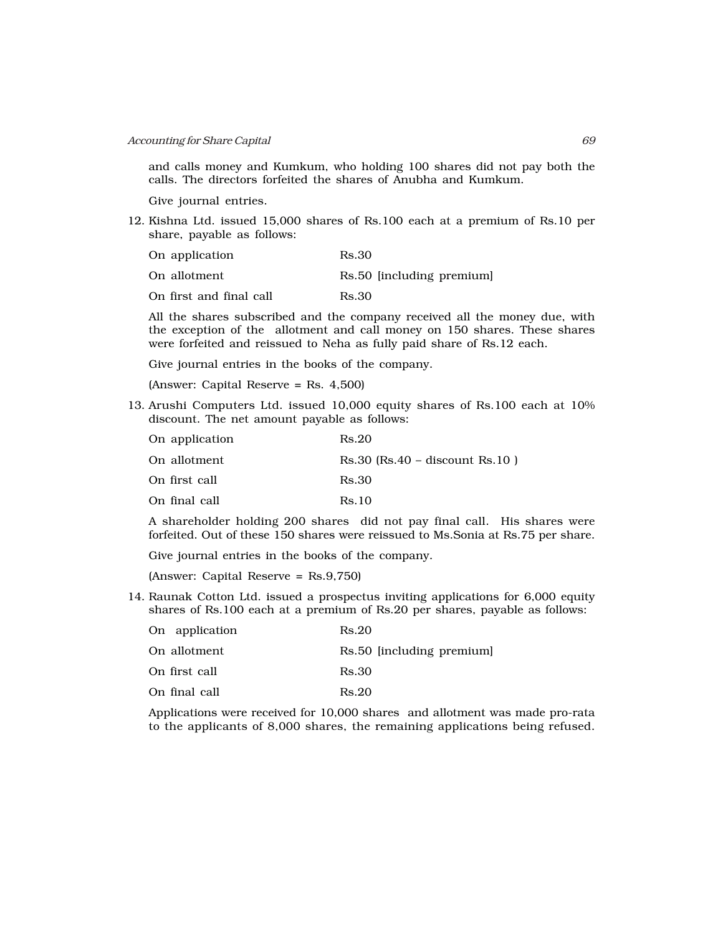and calls money and Kumkum, who holding 100 shares did not pay both the calls. The directors forfeited the shares of Anubha and Kumkum.

Give journal entries.

12. Kishna Ltd. issued 15,000 shares of Rs.100 each at a premium of Rs.10 per share, payable as follows:

| On application          | Rs.30                     |
|-------------------------|---------------------------|
| On allotment            | Rs.50 [including premium] |
| On first and final call | Rs 30                     |

All the shares subscribed and the company received all the money due, with the exception of the allotment and call money on 150 shares. These shares were forfeited and reissued to Neha as fully paid share of Rs.12 each.

Give journal entries in the books of the company.

(Answer: Capital Reserve = Rs. 4,500)

13. Arushi Computers Ltd. issued 10,000 equity shares of Rs.100 each at 10% discount. The net amount payable as follows:

| On application | Rs.20                                   |
|----------------|-----------------------------------------|
| On allotment   | $\text{Rs.30}$ (Rs.40 – discount Rs.10) |
| On first call  | Rs.30                                   |
| On final call  | Rs.10                                   |
|                |                                         |

A shareholder holding 200 shares did not pay final call. His shares were forfeited. Out of these 150 shares were reissued to Ms.Sonia at Rs.75 per share.

Give journal entries in the books of the company.

(Answer: Capital Reserve = Rs.9,750)

14. Raunak Cotton Ltd. issued a prospectus inviting applications for 6,000 equity shares of Rs.100 each at a premium of Rs.20 per shares, payable as follows:

| On application | Rs.20                     |
|----------------|---------------------------|
| On allotment   | Rs.50 [including premium] |
| On first call  | Rs.30                     |
| On final call  | Rs.20                     |
|                |                           |

Applications were received for 10,000 shares and allotment was made pro-rata to the applicants of 8,000 shares, the remaining applications being refused.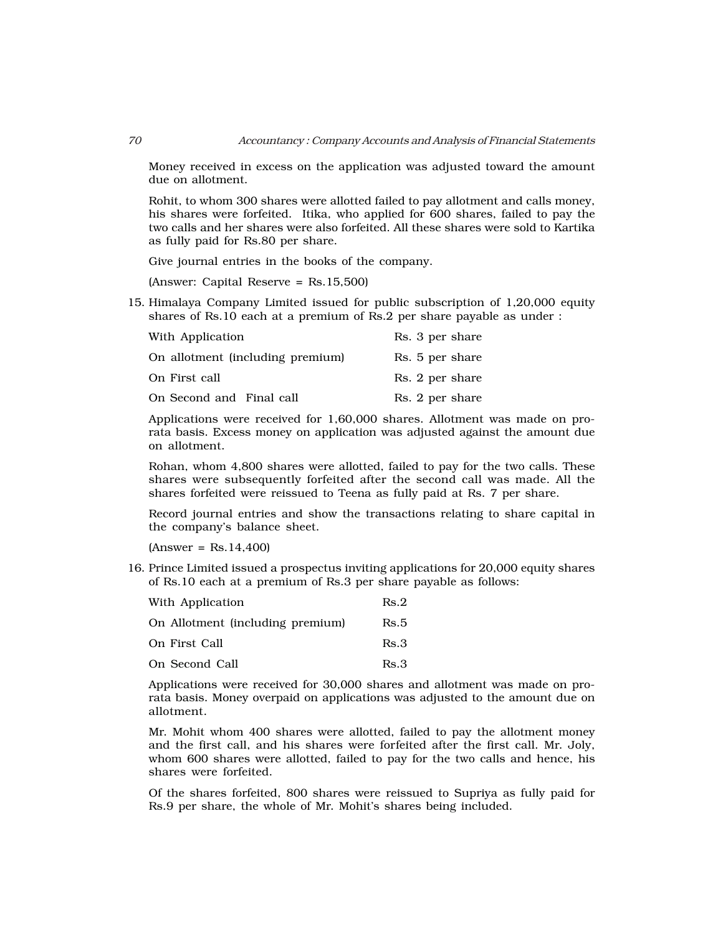Money received in excess on the application was adjusted toward the amount due on allotment.

Rohit, to whom 300 shares were allotted failed to pay allotment and calls money, his shares were forfeited. Itika, who applied for 600 shares, failed to pay the two calls and her shares were also forfeited. All these shares were sold to Kartika as fully paid for Rs.80 per share.

Give journal entries in the books of the company.

(Answer: Capital Reserve = Rs.15,500)

15. Himalaya Company Limited issued for public subscription of 1,20,000 equity shares of Rs.10 each at a premium of Rs.2 per share payable as under :

| With Application                 | Rs. 3 per share |
|----------------------------------|-----------------|
| On allotment (including premium) | Rs. 5 per share |
| On First call                    | Rs. 2 per share |
| On Second and Final call         | Rs. 2 per share |

Applications were received for 1,60,000 shares. Allotment was made on prorata basis. Excess money on application was adjusted against the amount due on allotment.

Rohan, whom 4,800 shares were allotted, failed to pay for the two calls. These shares were subsequently forfeited after the second call was made. All the shares forfeited were reissued to Teena as fully paid at Rs. 7 per share.

Record journal entries and show the transactions relating to share capital in the company's balance sheet.

 $(Answer = Rs.14,400)$ 

16. Prince Limited issued a prospectus inviting applications for 20,000 equity shares of Rs.10 each at a premium of Rs.3 per share payable as follows:

| With Application                 | Rs.2 |
|----------------------------------|------|
| On Allotment (including premium) | Rs.5 |
| On First Call                    | Rs.3 |
| On Second Call                   | Rs.3 |

Applications were received for 30,000 shares and allotment was made on prorata basis. Money overpaid on applications was adjusted to the amount due on allotment.

Mr. Mohit whom 400 shares were allotted, failed to pay the allotment money and the first call, and his shares were forfeited after the first call. Mr. Joly, whom 600 shares were allotted, failed to pay for the two calls and hence, his shares were forfeited.

Of the shares forfeited, 800 shares were reissued to Supriya as fully paid for Rs.9 per share, the whole of Mr. Mohit's shares being included.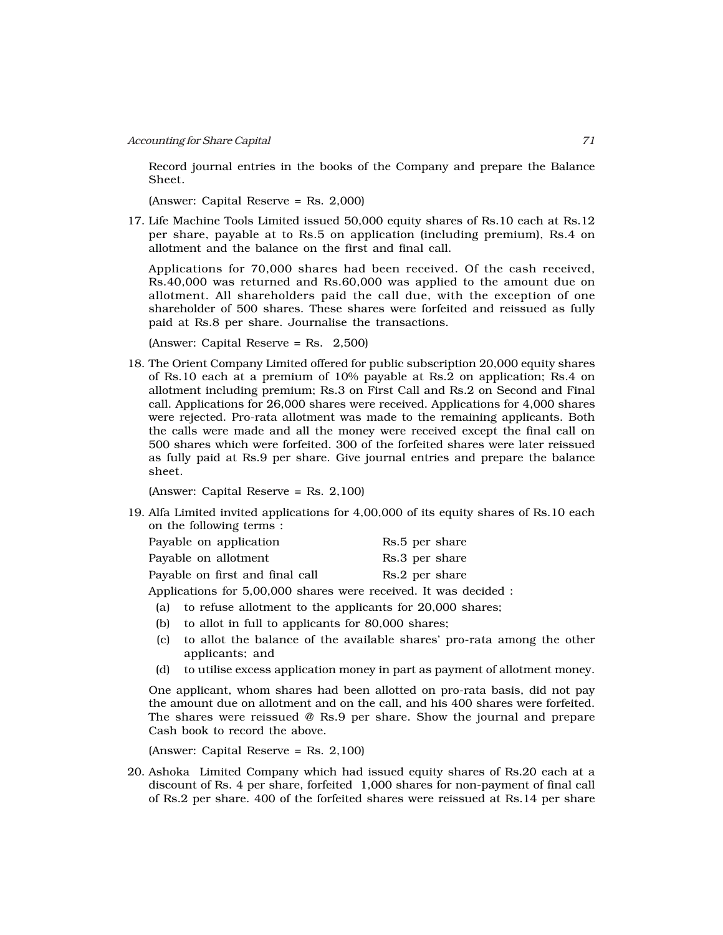Record journal entries in the books of the Company and prepare the Balance Sheet.

(Answer: Capital Reserve = Rs. 2,000)

17. Life Machine Tools Limited issued 50,000 equity shares of Rs.10 each at Rs.12 per share, payable at to Rs.5 on application (including premium), Rs.4 on allotment and the balance on the first and final call.

Applications for 70,000 shares had been received. Of the cash received, Rs.40,000 was returned and Rs.60,000 was applied to the amount due on allotment. All shareholders paid the call due, with the exception of one shareholder of 500 shares. These shares were forfeited and reissued as fully paid at Rs.8 per share. Journalise the transactions.

(Answer: Capital Reserve = Rs. 2,500)

18. The Orient Company Limited offered for public subscription 20,000 equity shares of Rs.10 each at a premium of 10% payable at Rs.2 on application; Rs.4 on allotment including premium; Rs.3 on First Call and Rs.2 on Second and Final call. Applications for 26,000 shares were received. Applications for 4,000 shares were rejected. Pro-rata allotment was made to the remaining applicants. Both the calls were made and all the money were received except the final call on 500 shares which were forfeited. 300 of the forfeited shares were later reissued as fully paid at Rs.9 per share. Give journal entries and prepare the balance sheet.

(Answer: Capital Reserve = Rs. 2,100)

19. Alfa Limited invited applications for 4,00,000 of its equity shares of Rs.10 each on the following terms :

| Payable on application          | Rs.5 per share |
|---------------------------------|----------------|
| Pavable on allotment            | Rs.3 per share |
| Pavable on first and final call | Rs.2 per share |

Applications for 5,00,000 shares were received. It was decided :

- (a) to refuse allotment to the applicants for 20,000 shares;
- (b) to allot in full to applicants for 80,000 shares;
- (c) to allot the balance of the available shares' pro-rata among the other applicants; and
- (d) to utilise excess application money in part as payment of allotment money.

One applicant, whom shares had been allotted on pro-rata basis, did not pay the amount due on allotment and on the call, and his 400 shares were forfeited. The shares were reissued @ Rs.9 per share. Show the journal and prepare Cash book to record the above.

(Answer: Capital Reserve = Rs. 2,100)

20. Ashoka Limited Company which had issued equity shares of Rs.20 each at a discount of Rs. 4 per share, forfeited 1,000 shares for non-payment of final call of Rs.2 per share. 400 of the forfeited shares were reissued at Rs.14 per share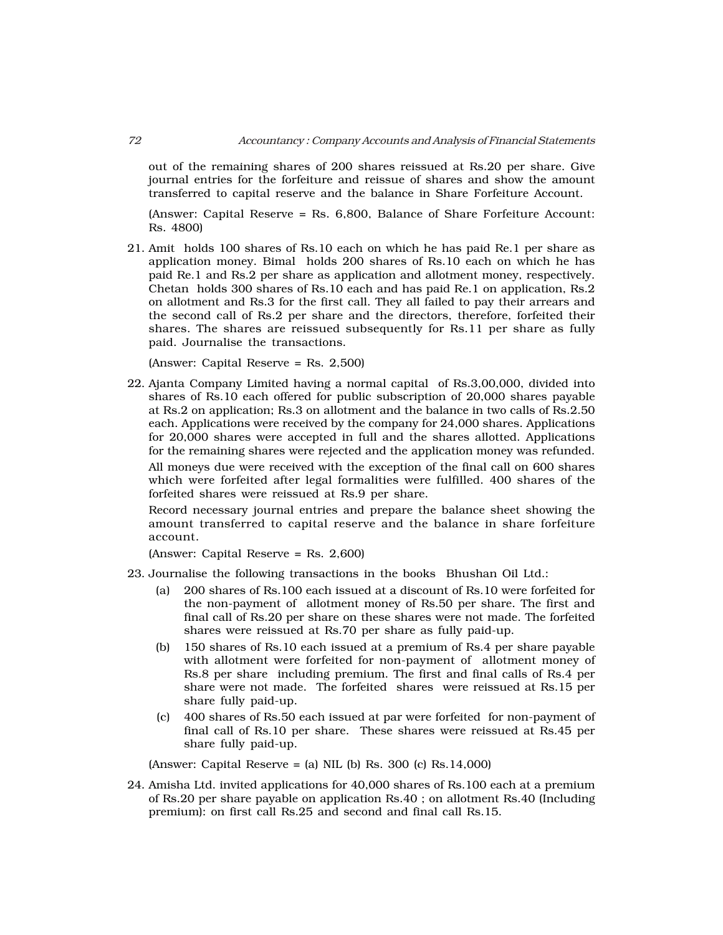out of the remaining shares of 200 shares reissued at Rs.20 per share. Give journal entries for the forfeiture and reissue of shares and show the amount transferred to capital reserve and the balance in Share Forfeiture Account.

(Answer: Capital Reserve = Rs. 6,800, Balance of Share Forfeiture Account: Rs. 4800)

21. Amit holds 100 shares of Rs.10 each on which he has paid Re.1 per share as application money. Bimal holds 200 shares of Rs.10 each on which he has paid Re.1 and Rs.2 per share as application and allotment money, respectively. Chetan holds 300 shares of Rs.10 each and has paid Re.1 on application, Rs.2 on allotment and Rs.3 for the first call. They all failed to pay their arrears and the second call of Rs.2 per share and the directors, therefore, forfeited their shares. The shares are reissued subsequently for Rs.11 per share as fully paid. Journalise the transactions.

(Answer: Capital Reserve = Rs. 2,500)

22. Ajanta Company Limited having a normal capital of Rs.3,00,000, divided into shares of Rs.10 each offered for public subscription of 20,000 shares payable at Rs.2 on application; Rs.3 on allotment and the balance in two calls of Rs.2.50 each. Applications were received by the company for 24,000 shares. Applications for 20,000 shares were accepted in full and the shares allotted. Applications for the remaining shares were rejected and the application money was refunded.

All moneys due were received with the exception of the final call on 600 shares which were forfeited after legal formalities were fulfilled. 400 shares of the forfeited shares were reissued at Rs.9 per share.

Record necessary journal entries and prepare the balance sheet showing the amount transferred to capital reserve and the balance in share forfeiture account.

(Answer: Capital Reserve = Rs. 2,600)

- 23. Journalise the following transactions in the books Bhushan Oil Ltd.:
	- (a) 200 shares of Rs.100 each issued at a discount of Rs.10 were forfeited for the non-payment of allotment money of Rs.50 per share. The first and final call of Rs.20 per share on these shares were not made. The forfeited shares were reissued at Rs.70 per share as fully paid-up.
	- (b) 150 shares of Rs.10 each issued at a premium of Rs.4 per share payable with allotment were forfeited for non-payment of allotment money of Rs.8 per share including premium. The first and final calls of Rs.4 per share were not made. The forfeited shares were reissued at Rs.15 per share fully paid-up.
	- (c) 400 shares of Rs.50 each issued at par were forfeited for non-payment of final call of Rs.10 per share. These shares were reissued at Rs.45 per share fully paid-up.

(Answer: Capital Reserve = (a) NIL (b) Rs. 300 (c) Rs.14,000)

24. Amisha Ltd. invited applications for 40,000 shares of Rs.100 each at a premium of Rs.20 per share payable on application Rs.40 ; on allotment Rs.40 (Including premium): on first call Rs.25 and second and final call Rs.15.